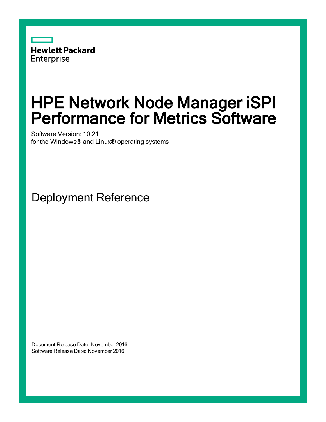

# HPE Network Node Manager iSPI Performance for Metrics Software

Software Version: 10.21 for the Windows® and Linux® operating systems

Deployment Reference

Document Release Date: November 2016 Software Release Date: November 2016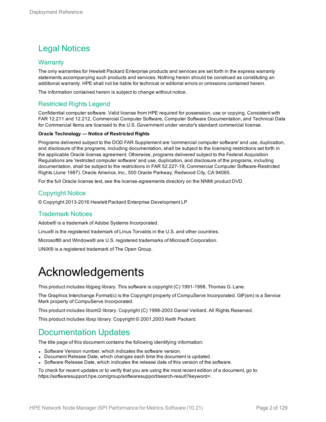## Legal Notices

#### **Warranty**

The only warranties for Hewlett Packard Enterprise products and services are set forth in the express warranty statements accompanying such products and services. Nothing herein should be construed as constituting an additional warranty. HPE shall not be liable for technical or editorial errors or omissions contained herein.

The information contained herein is subject to change without notice.

#### Restricted Rights Legend

Confidential computer software. Valid license from HPE required for possession, use or copying. Consistent with FAR 12.211 and 12.212, Commercial Computer Software, Computer Software Documentation, and Technical Data for Commercial Items are licensed to the U.S. Government under vendor's standard commercial license.

#### **Oracle Technology — Notice of Restricted Rights**

Programs delivered subject to the DOD FAR Supplement are 'commercial computer software' and use, duplication, and disclosure of the programs, including documentation, shall be subject to the licensing restrictions set forth in the applicable Oracle license agreement. Otherwise, programs delivered subject to the Federal Acquisition Regulations are 'restricted computer software' and use, duplication, and disclosure of the programs, including documentation, shall be subject to the restrictions in FAR 52.227-19, Commercial Computer Software-Restricted Rights (June 1987). Oracle America, Inc., 500 Oracle Parkway, Redwood City, CA 94065.

For the full Oracle license text, see the license-agreements directory on the NNMi product DVD.

#### Copyright Notice

© Copyright 2013-2016 Hewlett Packard Enterprise Development LP

#### Trademark Notices

Adobe® is a trademark of Adobe Systems Incorporated.

Linux® is the registered trademark of Linus Torvalds in the U.S. and other countries.

Microsoft® and Windows® are U.S. registered trademarks of Microsoft Corporation.

UNIX® is a registered trademark of The Open Group.

## Acknowledgements

This product includes libjpeg library. This software is copyright (C) 1991-1998, Thomas G. Lane.

The Graphics Interchange Format(c) is the Copyright property of CompuServe Incorporated. GIF(sm) is a Service Mark property of CompuServe Incorporated.

This product includes libxml2 library. Copyright (C) 1998-2003 Daniel Veillard. All Rights Reserved.

This product includes libxp library. Copyright © 2001,2003 Keith Packard.

### Documentation Updates

The title page of this document contains the following identifying information:

- Software Version number, which indicates the software version.
- Document Release Date, which changes each time the document is updated.
- Software Release Date, which indicates the release date of this version of the software.

To check for recent updates or to verify that you are using the most recent edition of a document, go to: https://softwaresupport.hpe.com/group/softwaresupport/search-result?keyword=.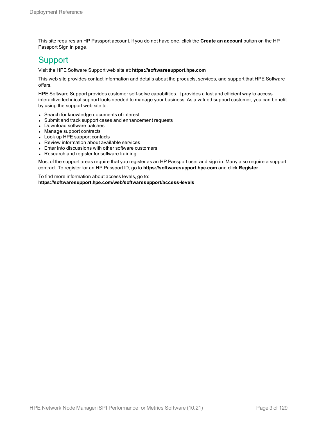This site requires an HP Passport account. If you do not have one, click the **Create an account** button on the HP Passport Sign in page.

## **Support**

Visit the HPE Software Support web site at: **https://softwaresupport.hpe.com**

This web site provides contact information and details about the products, services, and support that HPE Software offers.

HPE Software Support provides customer self-solve capabilities. It provides a fast and efficient way to access interactive technical support tools needed to manage your business. As a valued support customer, you can benefit by using the support web site to:

- Search for knowledge documents of interest
- Submit and track support cases and enhancement requests
- Download software patches
- Manage support contracts
- Look up HPE support contacts
- Review information about available services
- Enter into discussions with other software customers
- Research and register for software training

Most of the support areas require that you register as an HP Passport user and sign in. Many also require a support contract. To register for an HP Passport ID, go to **https://softwaresupport.hpe.com** and click **Register**.

To find more information about access levels, go to: **https://softwaresupport.hpe.com/web/softwaresupport/access-levels**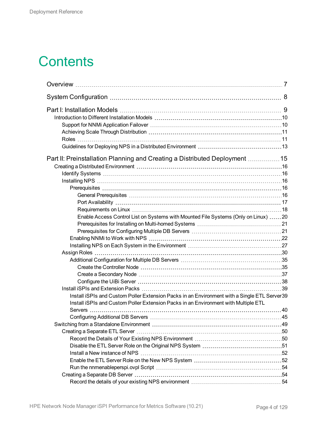# **Contents**

| Part II: Preinstallation Planning and Creating a Distributed Deployment  15<br>Enable Access Control List on Systems with Mounted File Systems (Only on Linux) 20<br>Install iSPIs and Custom Poller Extension Packs in an Environment with a Single ETL Server39<br>Install iSPIs and Custom Poller Extension Packs in an Environment with Multiple ETL<br>40<br><b>Configuring Additional DB Servers</b><br>45 |  |
|------------------------------------------------------------------------------------------------------------------------------------------------------------------------------------------------------------------------------------------------------------------------------------------------------------------------------------------------------------------------------------------------------------------|--|
|                                                                                                                                                                                                                                                                                                                                                                                                                  |  |
|                                                                                                                                                                                                                                                                                                                                                                                                                  |  |
|                                                                                                                                                                                                                                                                                                                                                                                                                  |  |
|                                                                                                                                                                                                                                                                                                                                                                                                                  |  |
|                                                                                                                                                                                                                                                                                                                                                                                                                  |  |
|                                                                                                                                                                                                                                                                                                                                                                                                                  |  |
|                                                                                                                                                                                                                                                                                                                                                                                                                  |  |
|                                                                                                                                                                                                                                                                                                                                                                                                                  |  |
|                                                                                                                                                                                                                                                                                                                                                                                                                  |  |
|                                                                                                                                                                                                                                                                                                                                                                                                                  |  |
|                                                                                                                                                                                                                                                                                                                                                                                                                  |  |
|                                                                                                                                                                                                                                                                                                                                                                                                                  |  |
|                                                                                                                                                                                                                                                                                                                                                                                                                  |  |
|                                                                                                                                                                                                                                                                                                                                                                                                                  |  |
|                                                                                                                                                                                                                                                                                                                                                                                                                  |  |
|                                                                                                                                                                                                                                                                                                                                                                                                                  |  |
|                                                                                                                                                                                                                                                                                                                                                                                                                  |  |
|                                                                                                                                                                                                                                                                                                                                                                                                                  |  |
|                                                                                                                                                                                                                                                                                                                                                                                                                  |  |
|                                                                                                                                                                                                                                                                                                                                                                                                                  |  |
|                                                                                                                                                                                                                                                                                                                                                                                                                  |  |
|                                                                                                                                                                                                                                                                                                                                                                                                                  |  |
|                                                                                                                                                                                                                                                                                                                                                                                                                  |  |
|                                                                                                                                                                                                                                                                                                                                                                                                                  |  |
|                                                                                                                                                                                                                                                                                                                                                                                                                  |  |
|                                                                                                                                                                                                                                                                                                                                                                                                                  |  |
|                                                                                                                                                                                                                                                                                                                                                                                                                  |  |
|                                                                                                                                                                                                                                                                                                                                                                                                                  |  |
|                                                                                                                                                                                                                                                                                                                                                                                                                  |  |
|                                                                                                                                                                                                                                                                                                                                                                                                                  |  |
|                                                                                                                                                                                                                                                                                                                                                                                                                  |  |
|                                                                                                                                                                                                                                                                                                                                                                                                                  |  |
|                                                                                                                                                                                                                                                                                                                                                                                                                  |  |
|                                                                                                                                                                                                                                                                                                                                                                                                                  |  |
|                                                                                                                                                                                                                                                                                                                                                                                                                  |  |
|                                                                                                                                                                                                                                                                                                                                                                                                                  |  |
|                                                                                                                                                                                                                                                                                                                                                                                                                  |  |
|                                                                                                                                                                                                                                                                                                                                                                                                                  |  |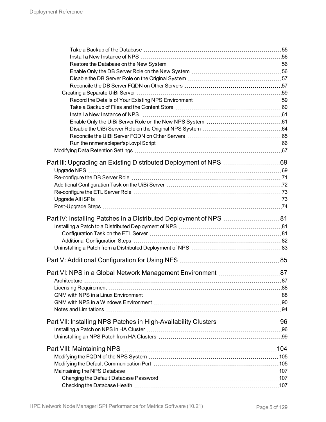| Part IV: Installing Patches in a Distributed Deployment of NPS  81 |  |
|--------------------------------------------------------------------|--|
|                                                                    |  |
|                                                                    |  |
|                                                                    |  |
|                                                                    |  |
|                                                                    |  |
|                                                                    |  |
| Part VI: NPS in a Global Network Management Environment 87         |  |
|                                                                    |  |
|                                                                    |  |
|                                                                    |  |
|                                                                    |  |
|                                                                    |  |
| Part VII: Installing NPS Patches in High-Availability Clusters 96  |  |
|                                                                    |  |
|                                                                    |  |
|                                                                    |  |
|                                                                    |  |
|                                                                    |  |
|                                                                    |  |
|                                                                    |  |
|                                                                    |  |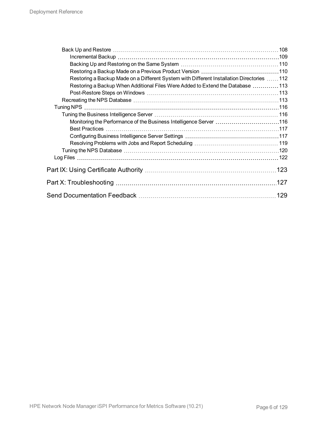| Restoring a Backup Made on a Different System with Different Installation Directories  112 |     |
|--------------------------------------------------------------------------------------------|-----|
| Restoring a Backup When Additional Files Were Added to Extend the Database  113            |     |
|                                                                                            |     |
|                                                                                            |     |
|                                                                                            |     |
|                                                                                            |     |
| Monitoring the Performance of the Business Intelligence Server 116                         |     |
| <b>Best Practices</b>                                                                      |     |
|                                                                                            |     |
|                                                                                            |     |
|                                                                                            |     |
|                                                                                            |     |
|                                                                                            |     |
|                                                                                            |     |
|                                                                                            | 127 |
|                                                                                            | 129 |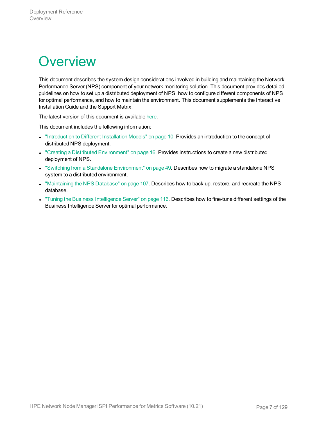# <span id="page-6-0"></span>**Overview**

This document describes the system design considerations involved in building and maintaining the Network Performance Server (NPS) component of your network monitoring solution. This document provides detailed guidelines on how to set up a distributed deployment of NPS, how to configure different components of NPS for optimal performance, and how to maintain the environment. This document supplements the Interactive Installation Guide and the Support Matrix.

The latest version of this document is available [here](http://support.openview.hp.com/selfsolve/document/KM00940852/binary/nnm_ispi_Metrics_Deployment_10.00.pdf).

This document includes the following information:

- ["Introduction](#page-9-0) to Different Installation Models" on page 10. Provides an introduction to the concept of distributed NPS deployment.
- "Creating a Distributed [Environment"](#page-15-0) on page 16. Provides instructions to create a new distributed deployment of NPS.
- . "Switching from a Standalone [Environment"](#page-48-0) on page 49. Describes how to migrate a standalone NPS system to a distributed environment.
- ["Maintaining](#page-106-0) the NPS Database" on page 107. Describes how to back up, restore, and recreate the NPS database.
- . "Tuning the Business [Intelligence](#page-115-1) Server" on page 116. Describes how to fine-tune different settings of the Business Intelligence Server for optimal performance.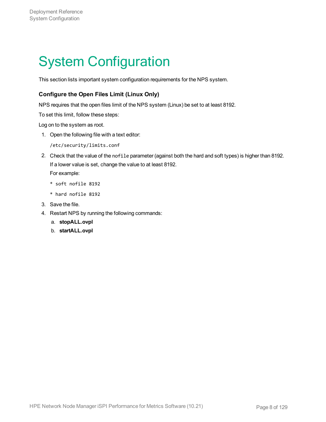# <span id="page-7-0"></span>System Configuration

This section lists important system configuration requirements for the NPS system.

#### **Configure the Open Files Limit (Linux Only)**

NPS requires that the open files limit of the NPS system (Linux) be set to at least 8192.

To set this limit, follow these steps:

Log on to the system as root.

1. Open the following file with a text editor:

/etc/security/limits.conf

- 2. Check that the value of the nofile parameter (against both the hard and soft types) is higher than 8192. If a lower value is set, change the value to at least 8192. For example:
	- \* soft nofile 8192
	- \* hard nofile 8192
- 3. Save the file.
- 4. Restart NPS by running the following commands:
	- a. **stopALL.ovpl**
	- b. **startALL.ovpl**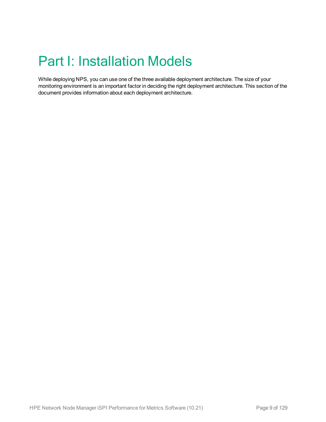# <span id="page-8-0"></span>Part I: Installation Models

While deploying NPS, you can use one of the three available deployment architecture. The size of your monitoring environment is an important factor in deciding the right deployment architecture. This section of the document provides information about each deployment architecture.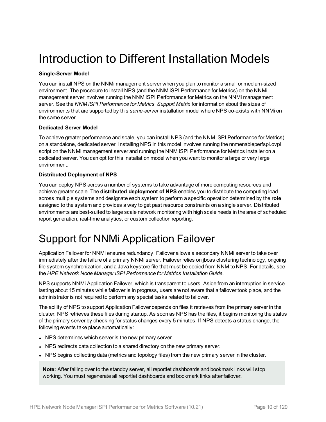# <span id="page-9-0"></span>Introduction to Different Installation Models

#### **Single-Server Model**

You can install NPS on the NNMi management server when you plan to monitor a small or medium-sized environment. The procedure to install NPS (and the NNM iSPI Performance for Metrics) on the NNMi management server involves running the NNM iSPI Performance for Metrics on the NNMi management server. See the *NNM iSPI Performance for Metrics Support Matrix* for information about the sizes of environments that are supported by this *same-server* installation model where NPS co-exists with NNMi on the same server.

#### **Dedicated Server Model**

To achieve greater performance and scale, you can install NPS (and the NNM iSPI Performance for Metrics) on a standalone, dedicated server. Installing NPS in this model involves running the nnmenableperfspi.ovpl script on the NNMi management server and running the NNM iSPI Performance for Metrics installer on a dedicated server. You can opt for this installation model when you want to monitor a large or very large environment.

#### **Distributed Deployment of NPS**

You can deploy NPS across a number of systems to take advantage of more computing resources and achieve greater scale. The **distributed deployment of NPS** enables you to distribute the computing load across multiple systems and designate each system to perform a specific operation determined by the **role** assigned to the system and provides a way to get past resource constraints on a single server. Distributed environments are best-suited to large scale network monitoring with high scale needs in the area of scheduled report generation, real-time analytics, or custom collection reporting.

## <span id="page-9-1"></span>Support for NNMi Application Failover

Application Failover for NNMi ensures redundancy. Failover allows a secondary NNMi server to take over immediately after the failure of a primary NNMi server. Failover relies on jboss clustering technology, ongoing file system synchronization, and a Java keystore file that must be copied from NNM to NPS. For details, see the *HPE Network Node Manager iSPI Performance for Metrics Installation Guide*.

NPS supports NNMi Application Failover, which is transparent to users. Aside from an interruption in service lasting about 15 minutes while failover is in progress, users are not aware that a failover took place, and the administrator is not required to perform any special tasks related to failover.

The ability of NPS to support Application Failover depends on files it retrieves from the primary server in the cluster. NPS retrieves these files during startup. As soon as NPS has the files, it begins monitoring the status of the primary server by checking for status changes every 5 minutes. If NPS detects a status change, the following events take place automatically:

- NPS determines which server is the new primary server.
- NPS redirects data collection to a shared directory on the new primary server.
- NPS begins collecting data (metrics and topology files) from the new primary server in the cluster.

**Note:** After failing over to the standby server, all reportlet dashboards and bookmark links will stop working. You must regenerate all reportlet dashboards and bookmark links after failover.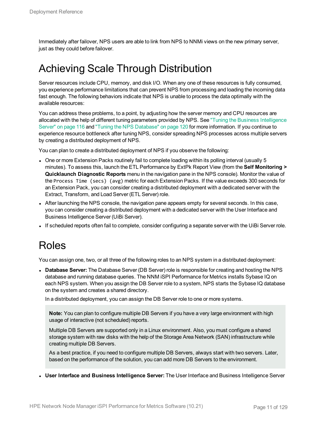<span id="page-10-0"></span>Immediately after failover, NPS users are able to link from NPS to NNMi views on the new primary server, just as they could before failover.

## Achieving Scale Through Distribution

Server resources include CPU, memory, and disk I/O. When any one of these resources is fully consumed, you experience performance limitations that can prevent NPS from processing and loading the incoming data fast enough. The following behaviors indicate that NPS is unable to process the data optimally with the available resources:

You can address these problems, to a point, by adjusting how the server memory and CPU resources are allocated with the help of different tuning parameters provided by NPS. See "Tuning the Business [Intelligence](#page-115-1) [Server"](#page-115-1) on page 116 and "Tuning the NPS [Database"](#page-119-0) on page 120 for more information. If you continue to experience resource bottleneck after tuning NPS, consider spreading NPS processes across multiple servers by creating a distributed deployment of NPS.

You can plan to create a distributed deployment of NPS if you observe the following:

- One or more Extension Packs routinely fail to complete loading within its polling interval (usually 5 minutes). To assess this, launch the ETL Performance by ExtPk Report View (from the **Self Monitoring > Quicklaunch Diagnostic Reports** menu in the navigation pane in the NPS console). Monitor the value of the Process Time (secs) (avg) metric for each Extension Packs. If the value exceeds 300 seconds for an Extension Pack, you can consider creating a distributed deployment with a dedicated server with the Extract, Transform, and Load Server (ETL Server) role.
- After launching the NPS console, the navigation pane appears empty for several seconds. In this case, you can consider creating a distributed deployment with a dedicated server with the User Interface and Business Intelligence Server (UiBi Server).
- <span id="page-10-1"></span>If scheduled reports often fail to complete, consider configuring a separate server with the UiBi Server role.

## Roles

You can assign one, two, or all three of the following roles to an NPS system in a distributed deployment:

**Database Server:** The Database Server (DB Server) role is responsible for creating and hosting the NPS database and running database queries. The NNM iSPI Performance for Metrics installs Sybase IQ on each NPS system. When you assign the DB Server role to a system, NPS starts the Sybase IQ database on the system and creates a shared directory.

In a distributed deployment, you can assign the DB Server role to one or more systems.

**Note:** You can plan to configure multiple DB Servers if you have a very large environment with high usage of interactive (not scheduled) reports.

Multiple DB Servers are supported only in a Linux environment. Also, you must configure a shared storage system with raw disks with the help of the Storage Area Network (SAN) infrastructure while creating multiple DB Servers.

As a best practice, if you need to configure multiple DB Servers, always start with two servers. Later, based on the performance of the solution, you can add more DB Servers to the environment.

<sup>l</sup> **User Interface and Business Intelligence Server:** The User Interface and Business Intelligence Server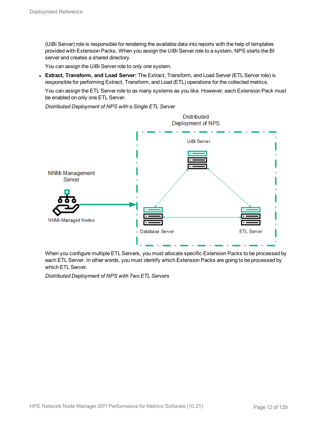(UiBi Server) role is responsible for rendering the available data into reports with the help of templates provided with Extension Packs. When you assign the UiBi Server role to a system, NPS starts the BI server and creates a shared directory.

You can assign the UiBi Server role to *only one* system.

<sup>l</sup> **Extract, Transform, and Load Server:** The Extract, Transform, and Load Server (ETL Server role) is responsible for performing Extract, Transform, and Load (ETL) operations for the collected metrics.

You can assign the ETL Server role to as many systems as you like. However, each Extension Pack must be enabled on only one ETL Server.

*Distributed Deployment of NPS with a Single ETL Server*



When you configure multiple ETL Servers, you must allocate specific Extension Packs to be processed by each ETL Server. In other words, you must identify which Extension Packs are going to be processed by which ETL Server.

*Distributed Deployment of NPS with Two ETL Servers*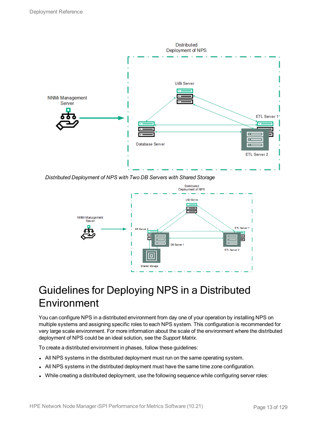

*Distributed Deployment of NPS with Two DB Servers with Shared Storage*



## <span id="page-12-0"></span>Guidelines for Deploying NPS in a Distributed Environment

You can configure NPS in a distributed environment from day one of your operation by installing NPS on multiple systems and assigning specific roles to each NPS system. This configuration is recommended for very large scale environment. For more information about the scale of the environment where the distributed deployment of NPS could be an ideal solution, see the *Support Matrix*.

To create a distributed environment in phases, follow these guidelines:

- I All NPS systems in the distributed deployment must run on the same operating system.
- <sup>l</sup> All NPS systems in the distributed deployment must have the same time zone configuration.
- While creating a distributed deployment, use the following sequence while configuring server roles: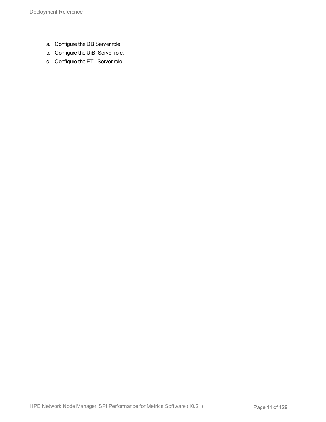- a. Configure the DB Server role.
- b. Configure the UiBi Server role.
- c. Configure the ETL Server role.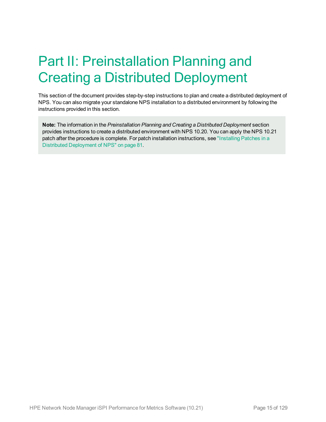# <span id="page-14-0"></span>Part II: Preinstallation Planning and Creating a Distributed Deployment

This section of the document provides step-by-step instructions to plan and create a distributed deployment of NPS. You can also migrate your standalone NPS installation to a distributed environment by following the instructions provided in this section.

**Note:** The information in the *Preinstallation Planning and Creating a Distributed Deployment* section provides instructions to create a distributed environment with NPS 10.20. You can apply the NPS 10.21 patch after the procedure is complete. For patch installation instructions, see ["Installing](#page-80-0) Patches in a Distributed [Deployment](#page-80-0) of NPS" on page 81.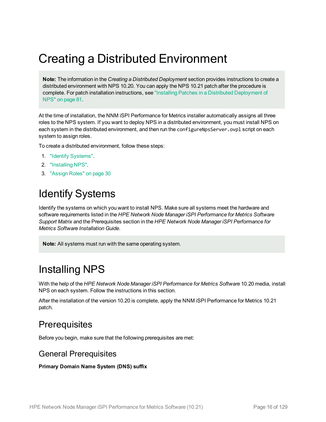# <span id="page-15-0"></span>Creating a Distributed Environment

**Note:** The information in the *Creating a Distributed Deployment* section provides instructions to create a distributed environment with NPS 10.20. You can apply the NPS 10.21 patch after the procedure is complete. For patch installation instructions, see "Installing Patches in a Distributed [Deployment](#page-80-0) of [NPS"](#page-80-0) on page 81.

At the time of installation, the NNM iSPI Performance for Metrics installer automatically assigns all three roles to the NPS system. If you want to deploy NPS in a distributed environment, you must install NPS on each system in the distributed environment, and then run the configureNpsServer.ovpl script on each system to assign roles.

To create a distributed environment, follow these steps:

- 1. "Identify [Systems".](#page-15-1)
- 2. ["Installing](#page-15-2) NPS".
- <span id="page-15-1"></span>3. ["Assign](#page-29-0) Roles" on page 30

## Identify Systems

Identify the systems on which you want to install NPS. Make sure all systems meet the hardware and software requirements listed in the *HPE Network Node Manager iSPI Performance for Metrics Software Support Matrix* and the Prerequisites section in the *HPE Network Node Manager iSPI Performance for Metrics Software Installation Guide*.

<span id="page-15-2"></span>**Note:** All systems must run with the same operating system.

## Installing NPS

With the help of the *HPE Network Node Manager iSPI Performance for Metrics Software* 10.20 media, install NPS on each system. Follow the instructions in this section.

<span id="page-15-3"></span>After the installation of the version 10.20 is complete, apply the NNM iSPI Performance for Metrics 10.21 patch.

### **Prerequisites**

<span id="page-15-4"></span>Before you begin, make sure that the following prerequisites are met:

### General Prerequisites

#### **Primary Domain Name System (DNS) suffix**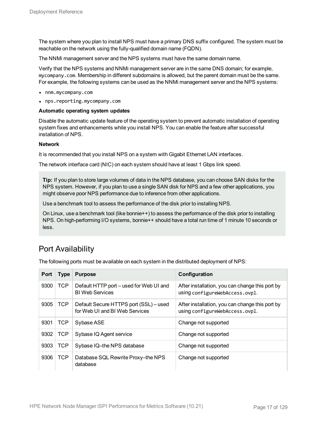The system where you plan to install NPS must have a primary DNS suffix configured. The system must be reachable on the network using the fully-qualified domain name (FQDN).

The NNMi management server and the NPS systems must have the same domain name.

Verify that the NPS systems and NNMi management server are in the same DNS domain; for example, mycompany.com. Membership in different subdomains is allowed, but the parent domain must be the same. For example, the following systems can be used as the NNMi management server and the NPS systems:

- nnm.mycompany.com
- nps.reporting.mycompany.com

#### **Automatic operating system updates**

Disable the automatic update feature of the operating system to prevent automatic installation of operating system fixes and enhancements while you install NPS. You can enable the feature after successful installation of NPS.

#### **Network**

It is recommended that you install NPS on a system with Gigabit Ethernet LAN interfaces.

The network interface card (NIC) on each system should have at least 1 Gbps link speed.

**Tip:** If you plan to store large volumes of data in the NPS database, you can choose SAN disks for the NPS system. However, if you plan to use a single SAN disk for NPS and a few other applications, you might observe poor NPS performance due to inference from other applications.

Use a benchmark tool to assess the performance of the disk prior to installing NPS.

On Linux, use a benchmark tool (like bonnie++) to assess the performance of the disk prior to installing NPS. On high-performing I/O systems, bonnie++ should have a total run time of 1 minute 10 seconds or less.

### <span id="page-16-0"></span>Port Availability

The following ports must be available on each system in the distributed deployment of NPS:

| <b>Port</b> | <b>Type</b> | <b>Purpose</b>                                                           | Configuration                                                                     |
|-------------|-------------|--------------------------------------------------------------------------|-----------------------------------------------------------------------------------|
| 9300        | TCP         | Default HTTP port – used for Web UI and<br><b>BI Web Services</b>        | After installation, you can change this port by<br>using configureWebAccess.ovpl. |
| 9305        | TCP         | Default Secure HTTPS port (SSL) – used<br>for Web UI and BI Web Services | After installation, you can change this port by<br>using configureWebAccess.ovpl. |
| 9301        | <b>TCP</b>  | Sybase ASE                                                               | Change not supported                                                              |
| 9302        | TCP         | Sybase IQ Agent service                                                  | Change not supported                                                              |
| 9303        | <b>TCP</b>  | Sybase IQ-the NPS database                                               | Change not supported                                                              |
| 9306        | TCP         | Database SQL Rewrite Proxy-the NPS<br>database                           | Change not supported                                                              |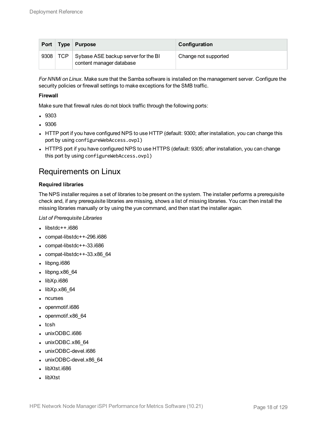|      |     | Port   Type   Purpose                                           | Configuration        |
|------|-----|-----------------------------------------------------------------|----------------------|
| 9308 | TCP | Sybase ASE backup server for the BI<br>content manager database | Change not supported |

*For NNMi on Linux.* Make sure that the Samba software is installed on the management server. Configure the security policies or firewall settings to make exceptions for the SMB traffic.

#### **Firewall**

Make sure that firewall rules do not block traffic through the following ports:

- $.9303$
- $.9306$
- HTTP port if you have configured NPS to use HTTP (default: 9300; after installation, you can change this port by using configureWebAccess.ovpl)
- HTTPS port if you have configured NPS to use HTTPS (default: 9305; after installation, you can change this port by using configureWebAccess.ovpl)

### <span id="page-17-0"></span>Requirements on Linux

#### **Required libraries**

The NPS installer requires a set of libraries to be present on the system. The installer performs a prerequisite check and, if any prerequisite libraries are missing, shows a list of missing libraries. You can then install the missing libraries manually or by using the yum command, and then start the installer again.

*List of Prerequisite Libraries*

- $\bullet$  libstdc++.i686
- $\bullet$  compat-libstdc++-296.i686
- $\bullet$  compat-libstdc++-33.i686
- $\bullet$  compat-libstdc++-33.x86\_64
- $\bullet$  libpng.i686
- $\bullet$  libpng.x86\_64
- $\bullet$  libXp.i686
- $\bullet$  libXp.x86\_64
- ncurses
- openmotif.i686
- $\bullet$  openmotif.x86\_64
- $\cdot$  tcsh
- unixODBC.i686
- unixODBC.x86\_64
- unixODBC-devel.i686
- unixODBC-devel.x86\_64
- $\bullet$  libXtst.i686
- . libXtst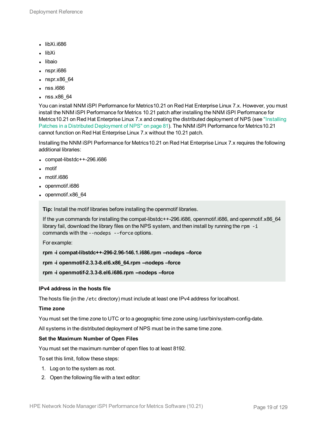- $\bullet$  libXi.i686
- $\blacksquare$ libXi
- libaio
- $\cdot$  nspr.i686
- nspr.x86\_64
- $\cdot$  nss.i686
- nss.x86 64

You can install NNM iSPI Performance for Metrics10.21 on Red Hat Enterprise Linux 7.x. However, you must install the NNM iSPI Performance for Metrics 10.21 patch after installing the NNM iSPI Performance for Metrics10.21 on Red Hat Enterprise Linux 7.x and creating the distributed deployment of NPS (see ["Installing](#page-80-0) Patches in a Distributed [Deployment](#page-80-0) of NPS" on page 81). The NNM iSPI Performance for Metrics10.21 cannot function on Red Hat Enterprise Linux 7.x without the 10.21 patch.

Installing the NNM iSPI Performance for Metrics10.21 on Red Hat Enterprise Linux 7.x requires the following additional libraries:

- $\bullet$  compat-libstdc++-296.i686
- $\blacksquare$  motif
- $\bullet$  motif.i686
- openmotif.i686
- openmotif.x86\_64

**Tip:** Install the motif libraries before installing the openmotif libraries.

If the yum commands for installing the compat-libstdc++-296.i686, openmotif.i686, and openmotif.x86\_64 library fail, download the library files on the NPS system, and then install by running the rpm  $-i$ commands with the --nodeps --force options.

For example:

**rpm -i compat-libstdc++-296-2.96-146.1.i686.rpm --nodeps --force**

**rpm -i openmotif-2.3.3-8.el6.x86\_64.rpm --nodeps –force**

**rpm -i openmotif-2.3.3-8.el6.i686.rpm --nodeps --force**

#### **IPv4 address in the hosts file**

The hosts file (in the /etc directory) must include at least one IPv4 address for localhost.

#### **Time zone**

You must set the time zone to UTC or to a geographic time zone using /usr/bin/system-config-date.

All systems in the distributed deployment of NPS must be in the same time zone.

#### **Set the Maximum Number of Open Files**

You must set the maximum number of open files to at least 8192.

To set this limit, follow these steps:

- 1. Log on to the system as root.
- 2. Open the following file with a text editor: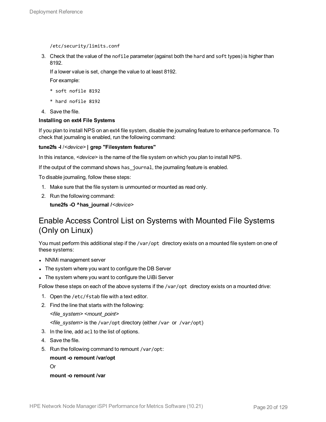/etc/security/limits.conf

3. Check that the value of the nofile parameter (against both the hard and soft types) is higher than 8192.

If a lower value is set, change the value to at least 8192.

For example:

- \* soft nofile 8192
- \* hard nofile 8192
- 4. Save the file.

#### **Installing on ext4 File Systems**

If you plan to install NPS on an ext4 file system, disable the journaling feature to enhance performance. To check that journaling is enabled, run the following command:

#### **tune2fs -l** /*<device>* **| grep "Filesystem features"**

In this instance, *<device>* is the name of the file system on which you plan to install NPS.

If the output of the command shows has journal, the journaling feature is enabled.

To disable journaling, follow these steps:

- 1. Make sure that the file system is unmounted or mounted as read only.
- 2. Run the following command:

**tune2fs -O ^has\_journal /***<device>*

### <span id="page-19-0"></span>Enable Access Control List on Systems with Mounted File Systems (Only on Linux)

You must perform this additional step if the /var/opt directory exists on a mounted file system on one of these systems:

- NNMi management server
- The system where you want to configure the DB Server
- The system where you want to configure the UiBi Server

Follow these steps on each of the above systems if the /var/opt directory exists on a mounted drive:

- 1. Open the /etc/fstab file with a text editor.
- 2. Find the line that starts with the following:

*<file\_system> <mount\_point>*

*<file\_system>* is the /var/opt directory (either /var or /var/opt)

- 3. In the line, add acl to the list of options.
- 4. Save the file.
- 5. Run the following command to remount /var/opt:

#### **mount -o remount /var/opt**

Or

#### **mount -o remount /var**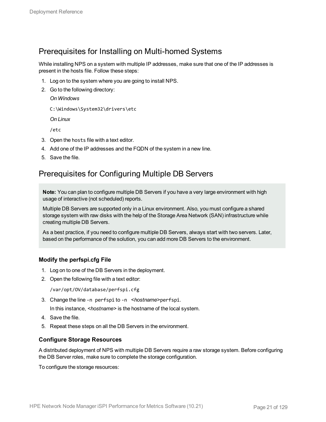### <span id="page-20-0"></span>Prerequisites for Installing on Multi-homed Systems

While installing NPS on a system with multiple IP addresses, make sure that one of the IP addresses is present in the hosts file. Follow these steps:

- 1. Log on to the system where you are going to install NPS.
- 2. Go to the following directory:

*On Windows*

```
C:\Windows\System32\drivers\etc
```
*On Linux*

/etc

- 3. Open the hosts file with a text editor.
- 4. Add one of the IP addresses and the FQDN of the system in a new line.
- <span id="page-20-1"></span>5. Save the file.

### Prerequisites for Configuring Multiple DB Servers

**Note:** You can plan to configure multiple DB Servers if you have a very large environment with high usage of interactive (not scheduled) reports.

Multiple DB Servers are supported only in a Linux environment. Also, you must configure a shared storage system with raw disks with the help of the Storage Area Network (SAN) infrastructure while creating multiple DB Servers.

As a best practice, if you need to configure multiple DB Servers, always start with two servers. Later, based on the performance of the solution, you can add more DB Servers to the environment.

#### **Modify the perfspi.cfg File**

- 1. Log on to one of the DB Servers in the deployment.
- 2. Open the following file with a text editor:

/var/opt/OV/database/perfspi.cfg

3. Change the line -n perfspi to -n *<hostname>*perfspi.

In this instance, *<hostname>* is the hostname of the local system.

- 4. Save the file.
- 5. Repeat these steps on all the DB Servers in the environment.

#### **Configure Storage Resources**

A distributed deployment of NPS with multiple DB Servers require a raw storage system. Before configuring the DB Server roles, make sure to complete the storage configuration.

To configure the storage resources: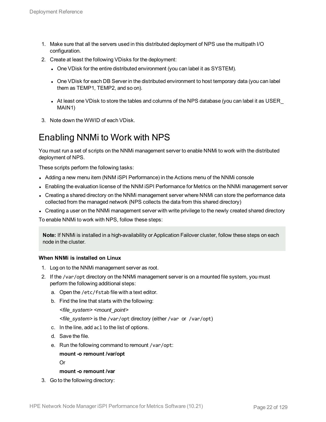- 1. Make sure that all the servers used in this distributed deployment of NPS use the multipath I/O configuration.
- 2. Create at least the following VDisks for the deployment:
	- $\bullet$  One VDisk for the entire distributed environment (you can label it as SYSTEM).
	- One VDisk for each DB Server in the distributed environment to host temporary data (you can label them as TEMP1, TEMP2, and so on).
	- At least one VDisk to store the tables and columns of the NPS database (you can label it as USER MAIN1)
- <span id="page-21-1"></span><span id="page-21-0"></span>3. Note down the WWID of each VDisk.

## Enabling NNMi to Work with NPS

You must run a set of scripts on the NNMi management server to enable NNMi to work with the distributed deployment of NPS.

These scripts perform the following tasks:

- Adding a new menu item (NNM iSPI Performance) in the Actions menu of the NNMi console
- Enabling the evaluation license of the NNM iSPI Performance for Metrics on the NNMi management server
- Creating a shared directory on the NNMi management server where NNMi can store the performance data collected from the managed network (NPS collects the data from this shared directory)
- Creating a user on the NNMi management server with write privilege to the newly created shared directory

To enable NNMi to work with NPS, follow these steps:

**Note:** If NNMi is installed in a high-availability or Application Failover cluster, follow these steps on each node in the cluster.

#### **When NNMi is installed on Linux**

- 1. Log on to the NNMi management server as root.
- 2. If the /var/opt directory on the NNMi management server is on a mounted file system, you must perform the following additional steps:
	- a. Open the /etc/fstab file with a text editor.
	- b. Find the line that starts with the following:
		- *<file\_system> <mount\_point>*
		- *<file\_system>* is the /var/opt directory (either /var or /var/opt)
	- c. In the line, add acl to the list of options.
	- d. Save the file.
	- e. Run the following command to remount /var/opt:

**mount -o remount /var/opt**

Or

#### **mount -o remount /var**

3. Go to the following directory: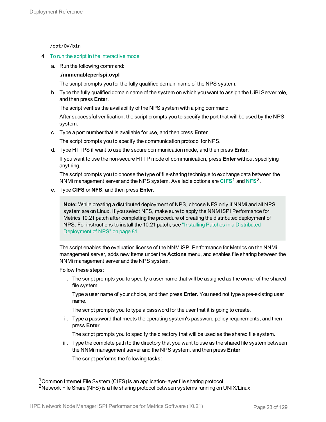#### /opt/OV/bin

- 4. To run the script in the interactive mode:
	- a. Run the following command:

#### **./nnmenableperfspi.ovpl**

The script prompts you for the fully qualified domain name of the NPS system.

b. Type the fully qualified domain name of the system on which you want to assign the UiBi Server role, and then press **Enter**.

The script verifies the availability of the NPS system with a ping command.

After successful verification, the script prompts you to specify the port that will be used by the NPS system.

c. Type a port number that is available for use, and then press **Enter**.

The script prompts you to specify the communication protocol for NPS.

d. Type HTTPS if want to use the secure communication mode, and then press **Enter**.

If you want to use the non-secure HTTP mode of communication, press **Enter** without specifying anything.

The script prompts you to choose the type of file-sharing technique to exchange data between the NNMi management server and the NPS system. Available options are **CIFS**1 and **NFS**2.

#### e. Type **CIFS** or **NFS**, and then press **Enter**.

**Note:** While creating a distributed deployment of NPS, choose NFS only if NNMi and all NPS system are on Linux. If you select NFS, make sure to apply the NNM iSPI Performance for Metrics 10.21 patch after completing the procedure of creating the distributed deployment of NPS. For instructions to install the 10.21 patch, see "Installing Patches in a [Distributed](#page-80-0) [Deployment](#page-80-0) of NPS" on page 81.

The script enables the evaluation license of the NNM iSPI Performance for Metrics on the NNMi management server, adds new items under the **Actions** menu, and enables file sharing between the NNMi management server and the NPS system.

Follow these steps:

i. The script prompts you to specify a user name that will be assigned as the owner of the shared file system.

Type a user name of your choice, and then press **Enter**. You need not type a pre-existing user name.

The script prompts you to type a password for the user that it is going to create.

ii. Type a password that meets the operating system's password policy requirements, and then press **Enter**.

The script prompts you to specify the directory that will be used as the shared file system.

iii. Type the complete path to the directory that you want to use as the shared file system between the NNMi management server and the NPS system, and then press **Enter** The script performs the following tasks:

 $1$ Common Internet File System (CIFS) is an application-layer file sharing protocol. <sup>2</sup>Network File Share (NFS) is a file sharing protocol between systems running on UNIX/Linux.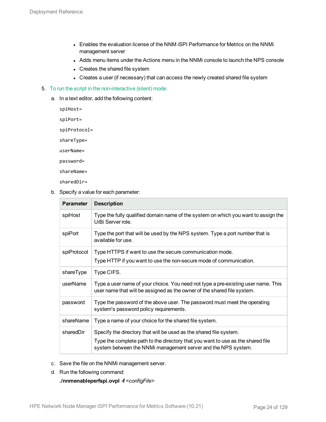- <sup>l</sup> Enables the evaluation license of the NNM iSPI Performance for Metrics on the NNMi management server
- Adds menu items under the Actions menu in the NNMi console to launch the NPS console
- Creates the shared file system
- Creates a user (if necessary) that can access the newly created shared file system

#### 5. To run the script in the non-interactive (silent) mode:

a. In a text editor, add the following content:

| spiHost=     |
|--------------|
| $spiPort =$  |
| spiProtocol= |
| shareType=   |
| userName=    |
| password=    |
| shareName=   |
| sharedDir=   |

b. Specify a value for each parameter:

| <b>Parameter</b> | <b>Description</b>                                                                                                                                           |  |
|------------------|--------------------------------------------------------------------------------------------------------------------------------------------------------------|--|
| spiHost          | Type the fully qualified domain name of the system on which you want to assign the<br>UiBi Server role.                                                      |  |
| spiPort          | Type the port that will be used by the NPS system. Type a port number that is<br>available for use.                                                          |  |
| spiProtocol      | Type HTTPS if want to use the secure communication mode.                                                                                                     |  |
|                  | Type HTTP if you want to use the non-secure mode of communication.                                                                                           |  |
| shareType        | Type CIFS.                                                                                                                                                   |  |
| userName         | Type a user name of your choice. You need not type a pre-existing user name. This<br>user name that will be assigned as the owner of the shared file system. |  |
| password         | Type the password of the above user. The password must meet the operating<br>system's password policy requirements.                                          |  |
| shareName        | Type a name of your choice for the shared file system.                                                                                                       |  |
| sharedDir        | Specify the directory that will be used as the shared file system.                                                                                           |  |
|                  | Type the complete path to the directory that you want to use as the shared file<br>system between the NNMi management server and the NPS system.             |  |

- c. Save the file on the NNMi management server.
- d. Run the following command:

**./nnmenableperfspi.ovpl -f** *<configFile>*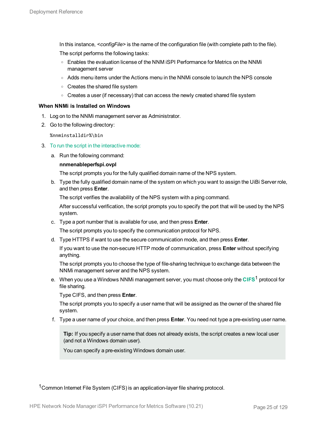In this instance, *<configFile>* is the name of the configuration file (with complete path to the file). The script performs the following tasks:

- <sup>o</sup> Enables the evaluation license of the NNM iSPI Performance for Metrics on the NNMi management server
- $\circ$  Adds menu items under the Actions menu in the NNMi console to launch the NPS console
- <sup>o</sup> Creates the shared file system
- o Creates a user (if necessary) that can access the newly created shared file system

#### **When NNMi is Installed on Windows**

- 1. Log on to the NNMi management server as Administrator.
- 2. Go to the following directory:

%nnminstalldir%\bin

- 3. To run the script in the interactive mode:
	- a. Run the following command:

#### **nnmenableperfspi.ovpl**

The script prompts you for the fully qualified domain name of the NPS system.

b. Type the fully qualified domain name of the system on which you want to assign the UiBi Server role, and then press **Enter**.

The script verifies the availability of the NPS system with a ping command.

After successful verification, the script prompts you to specify the port that will be used by the NPS system.

c. Type a port number that is available for use, and then press **Enter**.

The script prompts you to specify the communication protocol for NPS.

d. Type HTTPS if want to use the secure communication mode, and then press **Enter**.

If you want to use the non-secure HTTP mode of communication, press **Enter** without specifying anything.

The script prompts you to choose the type of file-sharing technique to exchange data between the NNMi management server and the NPS system.

e. When you use a Windows NNMi management server, you must choose only the **CIFS**1 protocol for file sharing.

Type CIFS, and then press **Enter**.

The script prompts you to specify a user name that will be assigned as the owner of the shared file system.

f. Type a user name of your choice, and then press **Enter**. You need not type a pre-existing user name.

**Tip:** If you specify a user name that does not already exists, the script creates a new local user (and not a Windows domain user).

You can specify a pre-existing Windows domain user.

<sup>1</sup> Common Internet File System (CIFS) is an application-layer file sharing protocol.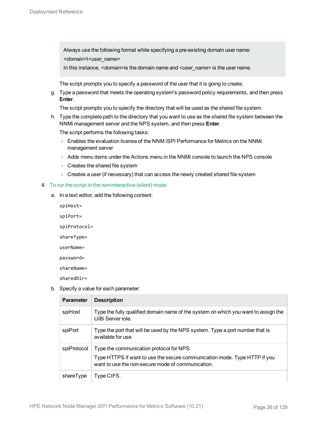Always use the following format while specifying a pre-existing domain user name: *<domain>***\***<user\_name>*

In this instance, *<domain>*is the domain name and *<user\_name>* is the user name.

The script prompts you to specify a password of the user that it is going to create.

g. Type a password that meets the operating system's password policy requirements, and then press **Enter**.

The script prompts you to specify the directory that will be used as the shared file system.

h. Type the complete path to the directory that you want to use as the shared file system between the NNMi management server and the NPS system, and then press **Enter**.

The script performs the following tasks:

- <sup>o</sup> Enables the evaluation license of the NNM iSPI Performance for Metrics on the NNMi management server
- $\circ$  Adds menu items under the Actions menu in the NNMi console to launch the NPS console
- <sup>o</sup> Creates the shared file system
- $\circ$  Creates a user (if necessary) that can access the newly created shared file system

#### 4. To run the script in the non-interactive (silent) mode:

a. In a text editor, add the following content:

spiHost= spiPort= spiProtocol= shareType= userName=

password=

shareName=

sharedDir=

b. Specify a value for each parameter:

| <b>Parameter</b> | <b>Description</b>                                                                                                                                                         |  |
|------------------|----------------------------------------------------------------------------------------------------------------------------------------------------------------------------|--|
| spiHost          | Type the fully qualified domain name of the system on which you want to assign the<br>UiBi Server role.                                                                    |  |
| spiPort          | Type the port that will be used by the NPS system. Type a port number that is<br>available for use.                                                                        |  |
| spiProtocol      | Type the communication protocol for NPS.<br>Type HTTPS if want to use the secure communication mode. Type HTTP if you<br>want to use the non-secure mode of communication. |  |
| shareType        | Type CIFS.                                                                                                                                                                 |  |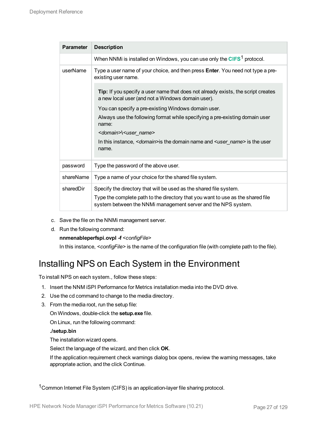| <b>Parameter</b> | <b>Description</b>                                                                                                                                                                                                     |  |
|------------------|------------------------------------------------------------------------------------------------------------------------------------------------------------------------------------------------------------------------|--|
|                  | When NNMi is installed on Windows, you can use only the CIFS <sup>1</sup> protocol.                                                                                                                                    |  |
| userName         | Type a user name of your choice, and then press <b>Enter</b> . You need not type a pre-<br>existing user name.                                                                                                         |  |
|                  | Tip: If you specify a user name that does not already exists, the script creates<br>a new local user (and not a Windows domain user).                                                                                  |  |
|                  | You can specify a pre-existing Windows domain user.                                                                                                                                                                    |  |
|                  | Always use the following format while specifying a pre-existing domain user<br>name:                                                                                                                                   |  |
|                  | <domain>\<user name=""></user></domain>                                                                                                                                                                                |  |
|                  | In this instance, <domain>is the domain name and <user name=""> is the user<br/>name.</user></domain>                                                                                                                  |  |
| password         | Type the password of the above user.                                                                                                                                                                                   |  |
| shareName        | Type a name of your choice for the shared file system.                                                                                                                                                                 |  |
| sharedDir        | Specify the directory that will be used as the shared file system.<br>Type the complete path to the directory that you want to use as the shared file<br>system between the NNMi management server and the NPS system. |  |

- c. Save the file on the NNMi management server.
- d. Run the following command:

**nnmenableperfspi.ovpl -f** *<configFile>*

In this instance, *<configFile>* is the name of the configuration file (with complete path to the file).

## <span id="page-26-0"></span>Installing NPS on Each System in the Environment

To install NPS on each system., follow these steps:

- 1. Insert the NNM iSPI Performance for Metrics installation media into the DVD drive.
- 2. Use the cd command to change to the media directory.
- 3. From the media root, run the setup file:

On Windows, double-click the **setup.exe** file.

On Linux, run the following command:

#### **./setup.bin**

The installation wizard opens.

Select the language of the wizard, and then click **OK**.

If the application requirement check warnings dialog box opens, review the warning messages, take appropriate action, and the click Continue.

<sup>1</sup>Common Internet File System (CIFS) is an application-layer file sharing protocol.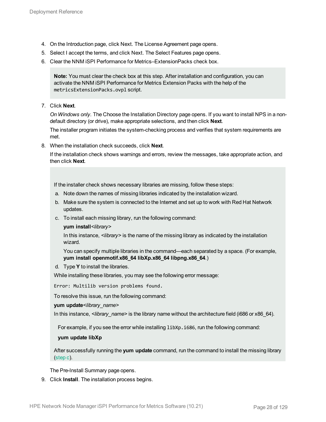- 4. On the Introduction page, click Next. The License Agreement page opens.
- 5. Select I accept the terms, and click Next. The Select Features page opens.
- 6. Clear the NNM iSPI Performance for Metrics–ExtensionPacks check box.

**Note:** You must clear the check box at this step. After installation and configuration, you can activate the NNM iSPI Performance for Metrics Extension Packs with the help of the metricsExtensionPacks.ovpl script.

7. Click **Next**.

*On Windows only.* The Choose the Installation Directory page opens. If you want to install NPS in a nondefault directory (or drive), make appropriate selections, and then click **Next**.

The installer program initiates the system-checking process and verifies that system requirements are met.

8. When the installation check succeeds, click **Next**.

If the installation check shows warnings and errors, review the messages, take appropriate action, and then click **Next**.

If the installer check shows necessary libraries are missing, follow these steps:

- a. Note down the names of missing libraries indicated by the installation wizard.
- b. Make sure the system is connected to the Internet and set up to work with Red Hat Network updates.
- <span id="page-27-0"></span>c. To install each missing library, run the following command:

**yum install***<library>*

In this instance, *<library>* is the name of the missing library as indicated by the installation wizard.

You can specify multiple libraries in the command—each separated by a space. (For example, **yum install openmotif.x86\_64 libXp.x86\_64 libpng.x86\_64**.)

d. Type **Y** to install the libraries.

While installing these libraries, you may see the following error message:

Error: Multilib version problems found.

To resolve this issue, run the following command:

**yum update***<library\_name>*

In this instance, *<library\_name>* is the library name without the architecture field (i686 or x86\_64).

For example, if you see the error while installing libXp.i686, run the following command:

#### **yum update libXp**

After successfully running the **yum update** command, run the command to install the missing library [\(step](#page-27-0) c).

The Pre-Install Summary page opens.

9. Click **Install**. The installation process begins.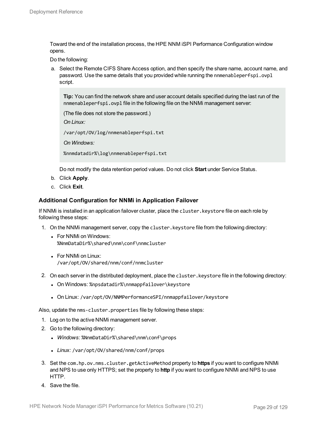Toward the end of the installation process, the HPE NNM iSPI Performance Configuration window opens.

Do the following:

a. Select the Remote CIFS Share Access option, and then specify the share name, account name, and password. Use the same details that you provided while running the nnmenableperfspi.ovpl script.

**Tip:** You can find the network share and user account details specified during the last run of the nnmenableperfspi.ovpl file in the following file on the NNMi management server:

```
(The file does not store the password.)
On Linux:
/var/opt/OV/log/nnmenableperfspi.txt
On Windows:
%nnmdatadir%\log\nnmenableperfspi.txt
```
Do not modify the data retention period values. Do not click **Start** under Service Status.

- b. Click **Apply**.
- c. Click **Exit**.

#### **Additional Configuration for NNMi in Application Failover**

If NNMi is installed in an application failover cluster, place the cluster.keystore file on each role by following these steps:

- 1. On the NNMi management server, copy the cluster.keystore file from the following directory:
	- For NNMi on Windows: %NnmDataDir%\shared\nnm\conf\nnmcluster
	- For NNMi on Linux: /var/opt/OV/shared/nnm/conf/nnmcluster
- 2. On each server in the distributed deployment, place the cluster.keystore file in the following directory:
	- On Windows: %npsdatadir%\nnmappfailover\keystore
	- On Linux: /var/opt/OV/NNMPerformanceSPI/nnmappfailover/keystore

Also, update the nms-cluster.properties file by following these steps:

- 1. Log on to the active NNMi management server.
- 2. Go to the following directory:
	- <sup>l</sup> *Windows:* %NnmDataDir%\shared\nnm\conf\props
	- Linux: /var/opt/OV/shared/nnm/conf/props
- 3. Set the com.hp.ov.nms.cluster.getActiveMethod property to **https** if you want to configure NNMi and NPS to use only HTTPS; set the property to **http** if you want to configure NNMi and NPS to use HTTP.
- 4. Save the file.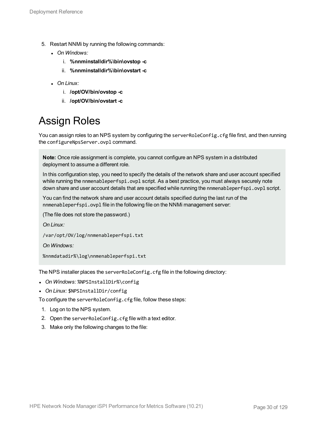- 5. Restart NNMi by running the following commands:
	- <sup>l</sup> *On Windows:*
		- i. **%nnminstalldir%\bin\ovstop -c**
		- ii. **%nnminstalldir%\bin\ovstart -c**
	- <sup>l</sup> *On Linux:*
		- i. **/opt/OV/bin/ovstop -c**
		- ii. **/opt/OV/bin/ovstart -c**

## <span id="page-29-0"></span>Assign Roles

You can assign roles to an NPS system by configuring the serverRoleConfig.cfg file first, and then running the configureNpsServer.ovpl command.

**Note:** Once role assignment is complete, you cannot configure an NPS system in a distributed deployment to assume a different role.

In this configuration step, you need to specify the details of the network share and user account specified while running the nnmenableperfspi.ovpl script. As a best practice, you must always securely note down share and user account details that are specified while running the nnmenableperfspi.ovpl script.

You can find the network share and user account details specified during the last run of the nnmenableperfspi.ovpl file in the following file on the NNMi management server:

(The file does not store the password.)

*On Linux:*

/var/opt/OV/log/nnmenableperfspi.txt

```
On Windows:
```
%nnmdatadir%\log\nnmenableperfspi.txt

The NPS installer places the serverRoleConfig.cfg file in the following directory:

- <sup>l</sup> *On Windows:* %NPSInstallDir%\config
- <sup>l</sup> *On Linux:* \$NPSInstallDir/config

To configure the serverRoleConfig.cfg file, follow these steps:

- 1. Log on to the NPS system.
- 2. Open the serverRoleConfig.cfg file with a text editor.
- 3. Make only the following changes to the file: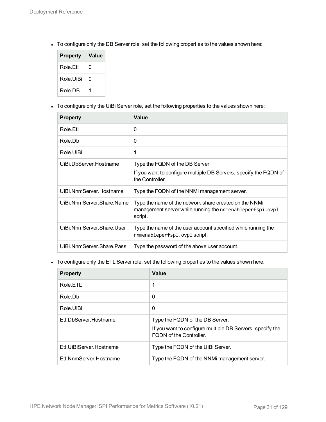• To configure only the DB Server role, set the following properties to the values shown here:

| <b>Property</b> | Value |
|-----------------|-------|
| Role Etl        | ი     |
| Role UiBi       | ი     |
| Role DB         | 1     |

• To configure only the UiBi Server role, set the following properties to the values shown here:

| <b>Property</b>           | Value                                                                                                                         |
|---------------------------|-------------------------------------------------------------------------------------------------------------------------------|
| Role.Etl                  | $\Omega$                                                                                                                      |
| Role.Db                   | 0                                                                                                                             |
| Role.UiBi                 | 1                                                                                                                             |
| UiBi.DbServer.Hostname    | Type the FQDN of the DB Server.<br>If you want to configure multiple DB Servers, specify the FQDN of<br>the Controller.       |
| UiBi.NnmServer.Hostname   | Type the FQDN of the NNMi management server.                                                                                  |
| UiBi.NnmServer.Share.Name | Type the name of the network share created on the NNM<br>management server while running the nnmenableperfspi.ovpl<br>script. |
| UiBi NnmServer Share User | Type the name of the user account specified while running the<br>nnmenableperfspi.ovpl script.                                |
| UiBi.NnmServer.Share.Pass | Type the password of the above user account.                                                                                  |

• To configure only the ETL Server role, set the following properties to the values shown here:

| <b>Property</b>         | Value                                                                                                                   |
|-------------------------|-------------------------------------------------------------------------------------------------------------------------|
| Role.ETL                |                                                                                                                         |
| Role Db                 | 0                                                                                                                       |
| Role.UiBi               | 0                                                                                                                       |
| Etl.DbServer.Hostname   | Type the FQDN of the DB Server.<br>If you want to configure multiple DB Servers, specify the<br>FQDN of the Controller. |
| Etl.UiBiServer.Hostname | Type the FQDN of the UiBi Server.                                                                                       |
| Etl.NnmServer.Hostname  | Type the FQDN of the NNMi management server.                                                                            |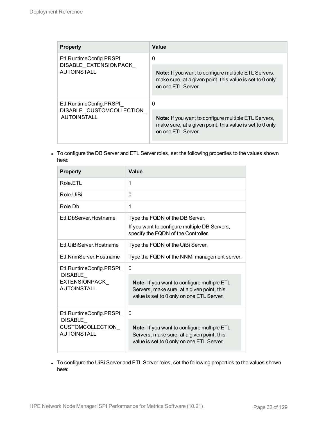| <b>Property</b>                                                           | Value                                                                                                                                              |
|---------------------------------------------------------------------------|----------------------------------------------------------------------------------------------------------------------------------------------------|
| Etl.RuntimeConfig.PRSPI<br>DISABLE EXTENSIONPACK<br><b>AUTOINSTALL</b>    | 0<br><b>Note:</b> If you want to configure multiple ETL Servers,<br>make sure, at a given point, this value is set to 0 only<br>on one ETL Server. |
| Etl.RuntimeConfig.PRSPI<br>DISABLE CUSTOMCOLLECTION<br><b>AUTOINSTALL</b> | 0<br>Note: If you want to configure multiple ETL Servers,<br>make sure, at a given point, this value is set to 0 only<br>on one ETL Server.        |

• To configure the DB Server and ETL Server roles, set the following properties to the values shown here:

| <b>Property</b>                                                                            | Value                                                                                                                                                  |
|--------------------------------------------------------------------------------------------|--------------------------------------------------------------------------------------------------------------------------------------------------------|
| Role FTL                                                                                   | 1                                                                                                                                                      |
| Role.UiBi                                                                                  | $\Omega$                                                                                                                                               |
| Role Db                                                                                    | 1                                                                                                                                                      |
| Etl.DbServer.Hostname                                                                      | Type the FQDN of the DB Server.<br>If you want to configure multiple DB Servers,<br>specify the FQDN of the Controller.                                |
| Etl.UiBiServer.Hostname                                                                    | Type the FQDN of the UiBi Server.                                                                                                                      |
| Etl.NnmServer.Hostname                                                                     | Type the FQDN of the NNMi management server.                                                                                                           |
| Etl.RuntimeConfig.PRSPI<br>DISABLE<br><b>EXTENSIONPACK</b><br><b>AUTOINSTALL</b>           | $\mathbf{0}$<br>Note: If you want to configure multiple ETL<br>Servers, make sure, at a given point, this<br>value is set to 0 only on one ETL Server. |
| Etl.RuntimeConfig.PRSPI<br><b>DISABLE</b><br><b>CUSTOMCOLLECTION</b><br><b>AUTOINSTALL</b> | $\Omega$                                                                                                                                               |
|                                                                                            | Note: If you want to configure multiple ETL<br>Servers, make sure, at a given point, this<br>value is set to 0 only on one ETL Server.                 |

• To configure the UiBi Server and ETL Server roles, set the following properties to the values shown here: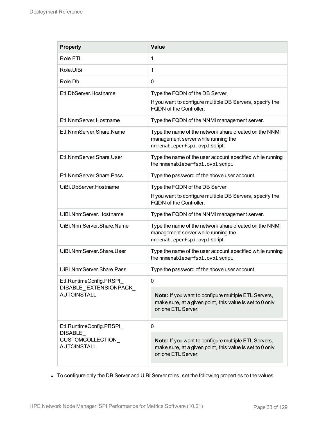| <b>Property</b>                                                                | Value                                                                                                                                  |
|--------------------------------------------------------------------------------|----------------------------------------------------------------------------------------------------------------------------------------|
| Role.ETL                                                                       | 1                                                                                                                                      |
| Role.UiBi                                                                      | 1                                                                                                                                      |
| Role.Db                                                                        | $\mathbf{0}$                                                                                                                           |
| Etl. DbServer. Hostname                                                        | Type the FQDN of the DB Server.                                                                                                        |
|                                                                                | If you want to configure multiple DB Servers, specify the<br>FQDN of the Controller.                                                   |
| Etl.NnmServer.Hostname                                                         | Type the FQDN of the NNMi management server.                                                                                           |
| Etl.NnmServer.Share.Name                                                       | Type the name of the network share created on the NNMi<br>management server while running the<br>nnmenableperfspi.ovpl script.         |
| Etl.NnmServer.Share.User                                                       | Type the name of the user account specified while running<br>the nnmenableperfspi.ovpl script.                                         |
| Etl.NnmServer.Share.Pass                                                       | Type the password of the above user account.                                                                                           |
| UiBi.DbServer.Hostname                                                         | Type the FQDN of the DB Server.                                                                                                        |
|                                                                                | If you want to configure multiple DB Servers, specify the<br>FQDN of the Controller.                                                   |
| UiBi.NnmServer.Hostname                                                        | Type the FQDN of the NNMi management server.                                                                                           |
| UiBi.NnmServer.Share.Name                                                      | Type the name of the network share created on the NNMi<br>management server while running the<br>nnmenableperfspi.ovpl script.         |
| UiBi.NnmServer.Share.User                                                      | Type the name of the user account specified while running<br>the nnmenableperfspi.ovpl script.                                         |
| UiBi.NnmServer.Share.Pass                                                      | Type the password of the above user account.                                                                                           |
| Etl.RuntimeConfig.PRSPI<br>DISABLE_EXTENSIONPACK_<br><b>AUTOINSTALL</b>        | 0                                                                                                                                      |
|                                                                                | Note: If you want to configure multiple ETL Servers,<br>make sure, at a given point, this value is set to 0 only<br>on one ETL Server. |
| Etl.RuntimeConfig.PRSPI<br>DISABLE_<br>CUSTOMCOLLECTION_<br><b>AUTOINSTALL</b> | $\mathbf{0}$                                                                                                                           |
|                                                                                | Note: If you want to configure multiple ETL Servers,<br>make sure, at a given point, this value is set to 0 only<br>on one ETL Server. |

• To configure only the DB Server and UiBi Server roles, set the following properties to the values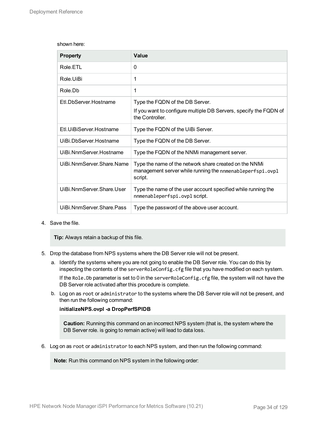| <b>Property</b>           | Value                                                                                                                          |
|---------------------------|--------------------------------------------------------------------------------------------------------------------------------|
| Role FTL                  | 0                                                                                                                              |
| Role.UiBi                 | 1                                                                                                                              |
| Role.Db                   | 1                                                                                                                              |
| Etl.DbServer.Hostname     | Type the FQDN of the DB Server.                                                                                                |
|                           | If you want to configure multiple DB Servers, specify the FQDN of<br>the Controller.                                           |
| Etl.UiBiServer.Hostname   | Type the FQDN of the UiBi Server.                                                                                              |
| UiBi.DbServer.Hostname    | Type the FQDN of the DB Server.                                                                                                |
| UiBi NnmServer Hostname   | Type the FQDN of the NNMi management server.                                                                                   |
| UiBi NnmServer Share Name | Type the name of the network share created on the NNMi<br>management server while running the nnmenableperfspi.ovpl<br>script. |
| UiBi.NnmServer.Share.User | Type the name of the user account specified while running the<br>nnmenableperfspi.ovpl script.                                 |
| UiBi.NnmServer.Share.Pass | Type the password of the above user account.                                                                                   |

4. Save the file.

**Tip:** Always retain a backup of this file.

- 5. Drop the database from NPS systems where the DB Server role will not be present.
	- a. Identify the systems where you are not going to enable the DB Server role. You can do this by inspecting the contents of the serverRoleConfig.cfg file that you have modified on each system. If the Role.Db parameter is set to 0 in the serverRoleConfig.cfg file, the system will not have the DB Server role activated after this procedure is complete.
	- b. Log on as root or administrator to the systems where the DB Server role will not be present, and then run the following command:

#### **initializeNPS.ovpl -a DropPerfSPIDB**

**Caution:** Running this command on an incorrect NPS system (that is, the system where the DB Server role. is going to remain active) will lead to data loss.

6. Log on as root or administrator to each NPS system, and then run the following command:

**Note:** Run this command on NPS system in the following order: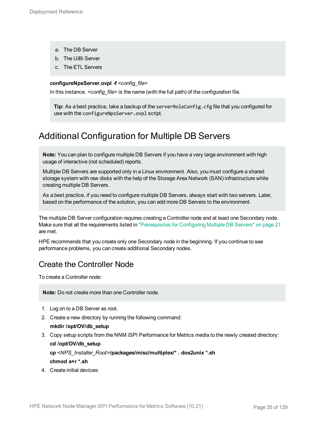- a. The DB Server
- b. The UiBi Server
- c. The ETL Servers

#### **configureNpsServer.ovpl -f** *<config\_file>*

In this instance, *<config file>* is the name (with the full path) of the configuration file.

**Tip:** As a best practice, take a backup of the serverRoleConfig.cfg file that you configured for use with the configureNpsServer.ovpl script.

## <span id="page-34-0"></span>Additional Configuration for Multiple DB Servers

**Note:** You can plan to configure multiple DB Servers if you have a very large environment with high usage of interactive (not scheduled) reports.

Multiple DB Servers are supported only in a Linux environment. Also, you must configure a shared storage system with raw disks with the help of the Storage Area Network (SAN) infrastructure while creating multiple DB Servers.

As a best practice, if you need to configure multiple DB Servers, always start with two servers. Later, based on the performance of the solution, you can add more DB Servers to the environment.

The multiple DB Server configuration requires creating a Controller node and at least one Secondary node. Make sure that all the requirements listed in ["Prerequisites](#page-20-1) for Configuring Multiple DB Servers" on page 21 are met.

HPE recommends that you create only one Secondary node in the beginning. If you continue to see performance problems, you can create additional Secondary nodes.

### <span id="page-34-1"></span>Create the Controller Node

To create a Controller node:

**Note:** Do not create more than one Controller node.

- 1. Log on to a DB Server as root.
- 2. Create a new directory by running the following command: **mkdir /opt/OV/db\_setup**
- 3. Copy setup scripts from the NNM iSPI Performance for Metrics media to the newly created directory: **cd /opt/OV/db\_setup cp** *<NPS\_Installer\_Root>***/packages/misc/multiplex/\* . dos2unix \*.sh**

**chmod a+r \*.sh**

4. Create initial devices: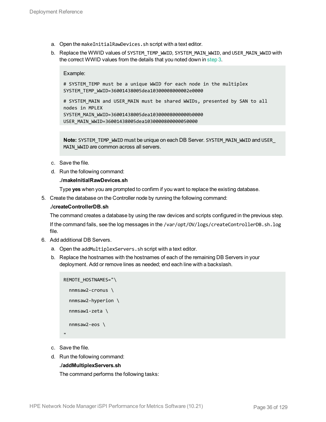- a. Open the makeInitialRawDevices.sh script with a text editor.
- b. Replace the WWID values of SYSTEM\_TEMP\_WWID, SYSTEM\_MAIN\_WWID, and USER\_MAIN\_WWID with the correct WWID values from the details that you noted down in [step](#page-21-1) 3.

#### Example:

```
# SYSTEM_TEMP must be a unique WWID for each node in the multiplex
SYSTEM_TEMP_WWID=36001438005dea10300008000002e0000
```

```
# SYSTEM_MAIN and USER_MAIN must be shared WWIDs, presented by SAN to all
nodes in MPLEX
SYSTEM_MAIN_WWID=36001438005dea10300008000000b0000
USER_MAIN_WWID=36001438005dea1030000800000050000
```
**Note:** SYSTEM\_TEMP\_WWID must be unique on each DB Server. SYSTEM\_MAIN\_WWID and USER MAIN WWID are common across all servers.

- c. Save the file.
- d. Run the following command:

#### **./makeInitialRawDevices.sh**

Type **yes** when you are prompted to confirm if you want to replace the existing database.

5. Create the database on the Controller node by running the following command:

#### **./createControllerDB.sh**

The command creates a database by using the raw devices and scripts configured in the previous step. If the command fails, see the log messages in the /var/opt/OV/logs/createControllerDB.sh.log file.

- 6. Add additional DB Servers.
	- a. Open the addMultiplexServers.sh script with a text editor.
	- b. Replace the hostnames with the hostnames of each of the remaining DB Servers in your deployment. Add or remove lines as needed; end each line with a backslash.

```
REMOTE_HOSTNAMES="\
  nnmsaw2-cronus \
  nnmsaw2-hyperion \
  nnmsaw1-zeta \
  nnmsaw2-eos \
"
```
- c. Save the file.
- d. Run the following command:

#### **./addMultiplexServers.sh**

The command performs the following tasks: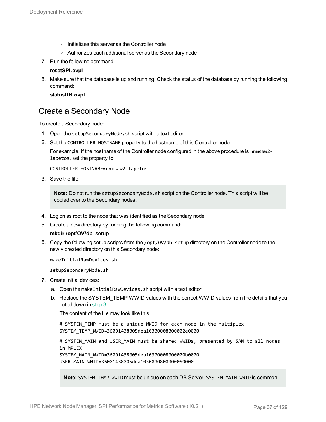- <sup>o</sup> Initializes this server as the Controller node
- <sup>o</sup> Authorizes each additional server as the Secondary node
- 7. Run the following command:

#### **resetSPI.ovpl**

8. Make sure that the database is up and running. Check the status of the database by running the following command:

**statusDB.ovpl**

### Create a Secondary Node

To create a Secondary node:

- 1. Open the setupSecondaryNode.sh script with a text editor.
- 2. Set the CONTROLLER HOSTNAME property to the hostname of this Controller node.

For example, if the hostname of the Controller node configured in the above procedure is nnmsaw2 lapetos, set the property to:

CONTROLLER\_HOSTNAME=nnmsaw2-lapetos

3. Save the file.

**Note:** Do not run the setupSecondaryNode.sh script on the Controller node. This script will be copied over to the Secondary nodes.

- 4. Log on as root to the node that was identified as the Secondary node.
- 5. Create a new directory by running the following command:

#### **mkdir /opt/OV/db\_setup**

6. Copy the following setup scripts from the /opt/0V/db\_setup directory on the Controller node to the newly created directory on this Secondary node:

makeInitialRawDevices.sh

setupSecondaryNode.sh

- 7. Create initial devices:
	- a. Open the makeInitialRawDevices.sh script with a text editor.
	- b. Replace the SYSTEM\_TEMP WWID values with the correct WWID values from the details that you noted down in [step](#page-21-0) 3.

The content of the file may look like this:

# SYSTEM\_TEMP must be a unique WWID for each node in the multiplex SYSTEM\_TEMP\_WWID=36001438005dea10300008000002e0000

# SYSTEM\_MAIN and USER\_MAIN must be shared WWIDs, presented by SAN to all nodes in MPLEX

SYSTEM\_MAIN\_WWID=36001438005dea10300008000000b0000 USER\_MAIN\_WWID=36001438005dea1030000800000050000

**Note:** SYSTEM\_TEMP\_WWID must be unique on each DB Server. SYSTEM\_MAIN\_WWID is common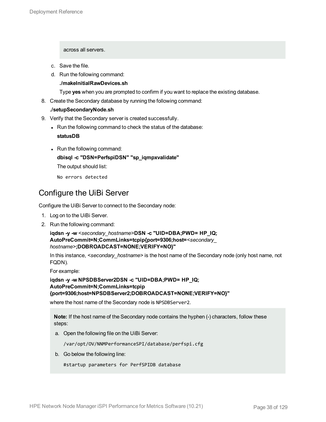#### across all servers.

- c. Save the file.
- d. Run the following command:

### **./makeInitialRawDevices.sh**

Type **yes** when you are prompted to confirm if you want to replace the existing database.

8. Create the Secondary database by running the following command:

### **./setupSecondaryNode.sh**

- 9. Verify that the Secondary server is created successfully.
	- . Run the following command to check the status of the database: **statusDB**
	- Run the following command:

**dbisql -c "DSN=PerfspiDSN" "sp\_iqmpxvalidate"**

The output should list:

No errors detected

### Configure the UiBi Server

Configure the UiBi Server to connect to the Secondary node:

- 1. Log on to the UiBi Server.
- 2. Run the following command:

**iqdsn -y -w** *<secondary\_hostname>***DSN -c "UID=DBA;PWD= HP\_IQ; AutoPreCommit=N;CommLinks=tcpip{port=9306;host=***<secondary\_ hostname>***;DOBROADCAST=NONE;VERIFY=NO}"**

In this instance, *<secondary\_hostname>* is the host name of the Secondary node (only host name, not FQDN).

For example:

**iqdsn -y -w NPSDBServer2DSN -c "UID=DBA;PWD= HP\_IQ; AutoPreCommit=N;CommLinks=tcpip {port=9306;host=NPSDBServer2;DOBROADCAST=NONE;VERIFY=NO}"**

where the host name of the Secondary node is NPSDBServer2.

**Note:** If the host name of the Secondary node contains the hyphen (-) characters, follow these steps:

a. Open the following file on the UiBi Server:

/var/opt/OV/NNMPerformanceSPI/database/perfspi.cfg

b. Go below the following line:

#startup parameters for PerfSPIDB database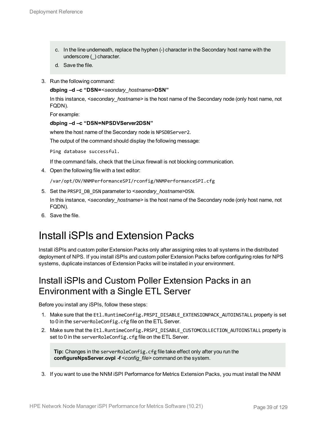- c. In the line underneath, replace the hyphen (-) character in the Secondary host name with the underscore () character.
- d. Save the file.
- 3. Run the following command:

```
dbping –d –c "DSN=<seondary_hostname>DSN"
```
In this instance, *<secondary\_hostname>* is the host name of the Secondary node (only host name, not FQDN).

For example:

#### **dbping –d –c "DSN=NPSDVServer2DSN"**

where the host name of the Secondary node is NPSDBServer2.

The output of the command should display the following message:

Ping database successful.

If the command fails, check that the Linux firewall is not blocking communication.

4. Open the following file with a text editor:

/var/opt/OV/NNMPerformanceSPI/rconfig/NNMPerformanceSPI.cfg

- 5. Set the PRSPI\_DB\_DSN parameter to *<seondary\_hostname>*DSN. In this instance, *<secondary\_hostname>* is the host name of the Secondary node (only host name, not FQDN).
- 6. Save the file.

### Install iSPIs and Extension Packs

Install iSPIs and custom poller Extension Packs only after assigning roles to all systems in the distributed deployment of NPS. If you install iSPIs and custom poller Extension Packs before configuring roles for NPS systems, duplicate instances of Extension Packs will be installed in your environment.

### Install iSPIs and Custom Poller Extension Packs in an Environment with a Single ETL Server

Before you install any iSPIs, follow these steps:

- 1. Make sure that the Etl.RuntimeConfig.PRSPI\_DISABLE\_EXTENSIONPACK\_AUTOINSTALL property is set to 0 in the serverRoleConfig.cfg file on the ETL Server.
- 2. Make sure that the Etl.RuntimeConfig.PRSPI\_DISABLE\_CUSTOMCOLLECTION\_AUTOINSTALL property is set to 0 in the serverRoleConfig.cfg file on the ETL Server.

**Tip:** Changes in the serverRoleConfig.cfg file take effect only after you run the **configureNpsServer.ovpl -f** *<config\_file>* command on the system.

3. If you want to use the NNM iSPI Performance for Metrics Extension Packs, you must install the NNM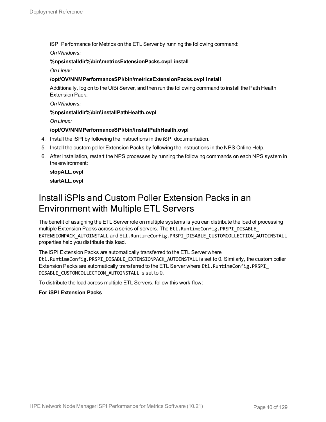iSPI Performance for Metrics on the ETL Server by running the following command:

*On Windows:*

### **%npsinstalldir%\bin\metricsExtensionPacks.ovpl install**

*On Linux:*

### **/opt/OV/NNMPerformanceSPI/bin/metricsExtensionPacks.ovpl install**

Additionally, log on to the UiBi Server, and then run the following command to install the Path Health Extension Pack:

*On Windows:*

### **%npsinstalldir%\bin\installPathHealth.ovpl**

*On Linux:*

### **/opt/OV/NNMPerformanceSPI/bin/installPathHealth.ovpl**

- 4. Install the iSPI by following the instructions in the iSPI documentation.
- 5. Install the custom poller Extension Packs by following the instructions in the NPS Online Help.
- 6. After installation, restart the NPS processes by running the following commands on each NPS system in the environment:

**stopALL.ovpl startALL.ovpl**

### Install iSPIs and Custom Poller Extension Packs in an Environment with Multiple ETL Servers

The benefit of assigning the ETL Server role on multiple systems is you can distribute the load of processing multiple Extension Packs across a series of servers. The Et1. RuntimeConfig.PRSPI\_DISABLE EXTENSIONPACK\_AUTOINSTALL and Etl.RuntimeConfig.PRSPI\_DISABLE\_CUSTOMCOLLECTION\_AUTOINSTALL properties help you distribute this load.

The iSPI Extension Packs are automatically transferred to the ETL Server where Etl.RuntimeConfig.PRSPI\_DISABLE\_EXTENSIONPACK\_AUTOINSTALL is set to 0. Similarly, the custom poller Extension Packs are automatically transferred to the ETL Server where Et1. RuntimeConfig.PRSPI DISABLE\_CUSTOMCOLLECTION\_AUTOINSTALL is set to 0.

To distribute the load across multiple ETL Servers, follow this work-flow:

#### **For iSPI Extension Packs**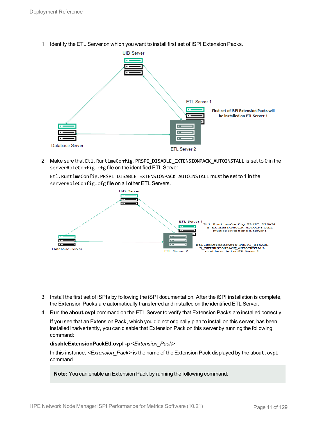1. Identify the ETL Server on which you want to install first set of iSPI Extension Packs.



2. Make sure that Etl.RuntimeConfig.PRSPI\_DISABLE\_EXTENSIONPACK\_AUTOINSTALL is set to 0 in the serverRoleConfig.cfg file on the identified ETL Server.

Etl.RuntimeConfig.PRSPI\_DISABLE\_EXTENSIONPACK\_AUTOINSTALL must be set to 1 in the serverRoleConfig.cfg file on all other ETL Servers.



- 3. Install the first set of iSPIs by following the iSPI documentation. After the iSPI installation is complete, the Extension Packs are automatically transferred and installed on the identified ETL Server.
- 4. Run the **about.ovpl** command on the ETL Server to verify that Extension Packs are installed correctly.

If you see that an Extension Pack, which you did not originally plan to install on this server, has been installed inadvertently, you can disable that Extension Pack on this server by running the following command:

#### **disableExtensionPackEtl.ovpl -p** *<Extension\_Pack>*

In this instance, *<Extension Pack>* is the name of the Extension Pack displayed by the about.ovpl command.

**Note:** You can enable an Extension Pack by running the following command: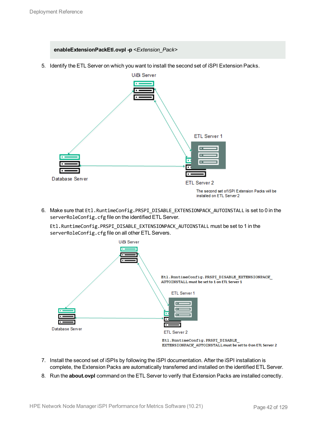**enableExtensionPackEtl.ovpl -p** *<Extension\_Pack>*

5. Identify the ETL Server on which you want to install the second set of iSPI Extension Packs.



6. Make sure that Etl.RuntimeConfig.PRSPI\_DISABLE\_EXTENSIONPACK\_AUTOINSTALL is set to 0 in the serverRoleConfig.cfg file on the identified ETL Server.

Etl.RuntimeConfig.PRSPI\_DISABLE\_EXTENSIONPACK\_AUTOINSTALL must be set to 1 in the serverRoleConfig.cfg file on all other ETL Servers.



- 7. Install the second set of iSPIs by following the iSPI documentation. After the iSPI installation is complete, the Extension Packs are automatically transferred and installed on the identified ETL Server.
- 8. Run the **about.ovpl** command on the ETL Server to verify that Extension Packs are installed correctly.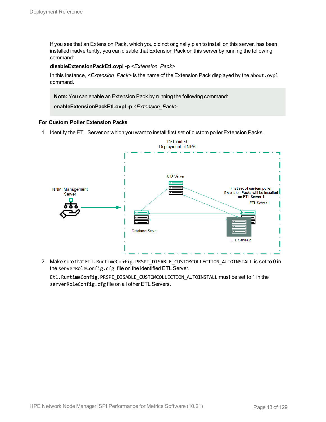If you see that an Extension Pack, which you did not originally plan to install on this server, has been installed inadvertently, you can disable that Extension Pack on this server by running the following command:

### **disableExtensionPackEtl.ovpl -p** *<Extension\_Pack>*

In this instance, *<Extension Pack>* is the name of the Extension Pack displayed by the about.ovpl command.

**Note:** You can enable an Extension Pack by running the following command:

**enableExtensionPackEtl.ovpl -p** *<Extension\_Pack>*

### **For Custom Poller Extension Packs**

1. Identify the ETL Server on which you want to install first set of custom poller Extension Packs.



2. Make sure that Etl.RuntimeConfig.PRSPI\_DISABLE\_CUSTOMCOLLECTION\_AUTOINSTALL is set to 0 in the serverRoleConfig.cfg file on the identified ETL Server.

Etl.RuntimeConfig.PRSPI\_DISABLE\_CUSTOMCOLLECTION\_AUTOINSTALL must be set to 1 in the serverRoleConfig.cfg file on all other ETL Servers.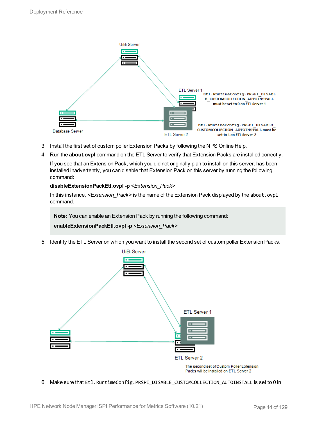

- 3. Install the first set of custom poller Extension Packs by following the NPS Online Help.
- 4. Run the **about.ovpl** command on the ETL Server to verify that Extension Packs are installed correctly.

If you see that an Extension Pack, which you did not originally plan to install on this server, has been installed inadvertently, you can disable that Extension Pack on this server by running the following command:

**disableExtensionPackEtl.ovpl -p** *<Extension\_Pack>*

In this instance, *<Extension Pack>* is the name of the Extension Pack displayed by the about.ovpl command.

**Note:** You can enable an Extension Pack by running the following command:

**enableExtensionPackEtl.ovpl -p** *<Extension\_Pack>*

5. Identify the ETL Server on which you want to install the second set of custom poller Extension Packs.



6. Make sure that Etl.RuntimeConfig.PRSPI\_DISABLE\_CUSTOMCOLLECTION\_AUTOINSTALL is set to 0 in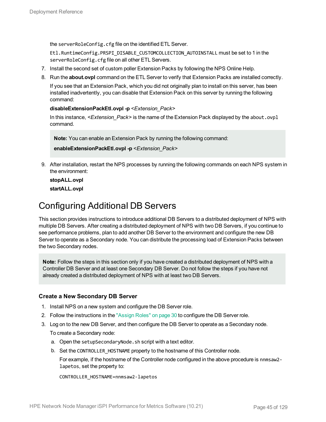the serverRoleConfig.cfg file on the identified ETL Server.

Etl.RuntimeConfig.PRSPI\_DISABLE\_CUSTOMCOLLECTION\_AUTOINSTALL must be set to 1 in the serverRoleConfig.cfg file on all other ETL Servers.

- 7. Install the second set of custom poller Extension Packs by following the NPS Online Help.
- 8. Run the **about.ovpl** command on the ETL Server to verify that Extension Packs are installed correctly.

If you see that an Extension Pack, which you did not originally plan to install on this server, has been installed inadvertently, you can disable that Extension Pack on this server by running the following command:

### **disableExtensionPackEtl.ovpl -p** *<Extension\_Pack>*

In this instance, *<Extension Pack>* is the name of the Extension Pack displayed by the about.ovpl command.

**Note:** You can enable an Extension Pack by running the following command:

**enableExtensionPackEtl.ovpl -p** *<Extension\_Pack>*

9. After installation, restart the NPS processes by running the following commands on each NPS system in the environment:

**stopALL.ovpl startALL.ovpl**

### Configuring Additional DB Servers

This section provides instructions to introduce additional DB Servers to a distributed deployment of NPS with multiple DB Servers. After creating a distributed deployment of NPS with two DB Servers, if you continue to see performance problems, plan to add another DB Server to the environment and configure the new DB Server to operate as a Secondary node. You can distribute the processing load of Extension Packs between the two Secondary nodes.

**Note:** Follow the steps in this section only if you have created a distributed deployment of NPS with a Controller DB Server and at least one Secondary DB Server. Do not follow the steps if you have not already created a distributed deployment of NPS with at least two DB Servers.

### **Create a New Secondary DB Server**

- 1. Install NPS on a new system and configure the DB Server role.
- 2. Follow the instructions in the ["Assign](#page-29-0) Roles" on page 30 to configure the DB Server role.
- 3. Log on to the new DB Server, and then configure the DB Server to operate as a Secondary node. To create a Secondary node:
	- a. Open the setupSecondaryNode.sh script with a text editor.
	- b. Set the CONTROLLER HOSTNAME property to the hostname of this Controller node.

For example, if the hostname of the Controller node configured in the above procedure is nnmsaw2 lapetos, set the property to:

CONTROLLER\_HOSTNAME=nnmsaw2-lapetos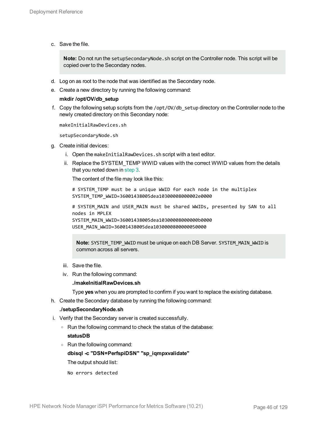c. Save the file.

**Note:** Do not run the setupSecondaryNode.sh script on the Controller node. This script will be copied over to the Secondary nodes.

- d. Log on as root to the node that was identified as the Secondary node.
- e. Create a new directory by running the following command:

#### **mkdir /opt/OV/db\_setup**

f. Copy the following setup scripts from the /opt/OV/db\_setup directory on the Controller node to the newly created directory on this Secondary node:

makeInitialRawDevices.sh

setupSecondaryNode.sh

- g. Create initial devices:
	- i. Open the makeInitialRawDevices.sh script with a text editor.
	- ii. Replace the SYSTEM\_TEMP WWID values with the correct WWID values from the details that you noted down in [step](#page-21-0) 3.

The content of the file may look like this:

# SYSTEM\_TEMP must be a unique WWID for each node in the multiplex SYSTEM\_TEMP\_WWID=36001438005dea10300008000002e0000

# SYSTEM\_MAIN and USER\_MAIN must be shared WWIDs, presented by SAN to all nodes in MPLEX SYSTEM\_MAIN\_WWID=36001438005dea10300008000000b0000 USER\_MAIN\_WWID=36001438005dea1030000800000050000

**Note:** SYSTEM\_TEMP\_WWID must be unique on each DB Server. SYSTEM\_MAIN\_WWID is common across all servers.

- iii. Save the file.
- iv. Run the following command:

#### **./makeInitialRawDevices.sh**

Type **yes** when you are prompted to confirm if you want to replace the existing database.

h. Create the Secondary database by running the following command:

### **./setupSecondaryNode.sh**

- i. Verify that the Secondary server is created successfully.
	- <sup>o</sup> Run the following command to check the status of the database: **statusDB**
	- <sup>o</sup> Run the following command:

**dbisql -c "DSN=PerfspiDSN" "sp\_iqmpxvalidate"**

The output should list:

No errors detected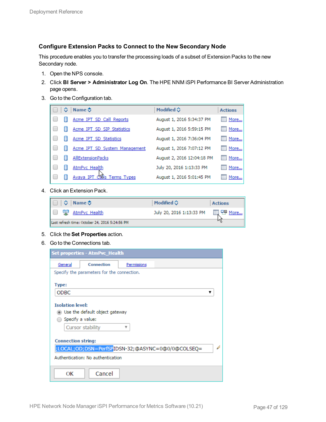### **Configure Extension Packs to Connect to the New Secondary Node**

This procedure enables you to transfer the processing loads of a subset of Extension Packs to the new Secondary node.

- 1. Open the NPS console.
- 2. Click **BI Server > Administrator Log On**. The HPE NNM iSPI Performance BI Server Administration page opens.
- 3. Go to the Configuration tab.

| ≎ | Name $\Leftrightarrow$        | Modified $\diamondsuit$    | <b>Actions</b> |
|---|-------------------------------|----------------------------|----------------|
|   | Acme IPT SD Call Reports      | August 1, 2016 5:34:37 PM  | More           |
|   | Acme IPT SD SIP Statistics    | August 1, 2016 5:59:15 PM  | More           |
|   | Acme IPT SD Statistics        | August 1, 2016 7:36:04 PM  | More           |
|   | Acme IPT SD System Management | August 1, 2016 7:07:12 PM  | More           |
|   | AllExtensionPacks             | August 2, 2016 12:04:18 PM | More           |
|   | <b>AtmPvc Health</b>          | July 20, 2016 1:13:33 PM   | More           |
|   | Avaya IPT Calls Terms Types   | August 1, 2016 5:01:45 PM  | More           |

<span id="page-46-0"></span>4. Click an Extension Pack.

| $\Box$ $\diamond$   Name $\diamondsuit$        | Modified $\Diamond$      | <b>Actions</b> |
|------------------------------------------------|--------------------------|----------------|
| $\Box$ $\mathbb{R}$ AtmPvc Health              | July 20, 2016 1:13:33 PM | E. 모٣ More     |
| Last refresh time: October 24, 2016 5:24:56 PM |                          |                |

- 5. Click the **Set Properties** action.
- 6. Go to the Connections tab.

| Set properties - AtmPvc_Health                            |                                            |             |  |  |  |  |
|-----------------------------------------------------------|--------------------------------------------|-------------|--|--|--|--|
| General                                                   | Connection                                 | Permissions |  |  |  |  |
|                                                           | Specify the parameters for the connection. |             |  |  |  |  |
| <b>Type:</b>                                              |                                            |             |  |  |  |  |
| <b>ODBC</b>                                               |                                            |             |  |  |  |  |
| <b>Isolation level:</b><br>Use the default object gateway |                                            |             |  |  |  |  |
| Specify a value:                                          |                                            |             |  |  |  |  |
| Cursor stability<br>v                                     |                                            |             |  |  |  |  |
| <b>Connection string:</b>                                 |                                            |             |  |  |  |  |
| ;LOCAL;OD;DSN=PerfSFIDSN-32;@ASYNC=0@0/0@COLSEQ=          |                                            |             |  |  |  |  |
| Authentication: No authentication                         |                                            |             |  |  |  |  |
| ОK                                                        | Cancel                                     |             |  |  |  |  |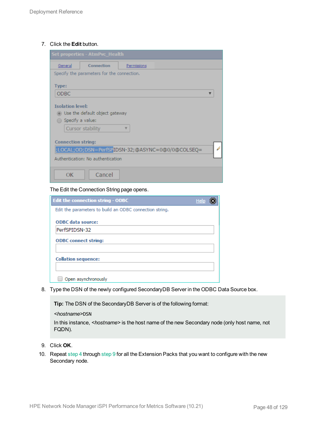### 7. Click the **Edit** button.

| Set properties - AtmPvc_Health                                                                      |  |
|-----------------------------------------------------------------------------------------------------|--|
| Connection<br>General<br>Permissions                                                                |  |
| Specify the parameters for the connection.                                                          |  |
| Type:                                                                                               |  |
| <b>ODBC</b>                                                                                         |  |
| <b>Isolation level:</b><br>O Use the default object gateway<br>Specify a value:<br>Cursor stability |  |
| <b>Connection string:</b>                                                                           |  |
| ;LOCAL;OD;DSN=PerfSPIDSN-32;@ASYNC=0@0/0@COLSEQ=                                                    |  |
| Authentication: No authentication                                                                   |  |
| Cancel<br>OK                                                                                        |  |

The Edit the Connection String page opens.

| <b>Edit the connection string - ODBC</b>                | Hel |  |
|---------------------------------------------------------|-----|--|
| Edit the parameters to build an ODBC connection string. |     |  |
| <b>ODBC</b> data source:                                |     |  |
| PerfSPIDSN-32                                           |     |  |
| <b>ODBC</b> connect string:                             |     |  |
| <b>Collation sequence:</b>                              |     |  |
|                                                         |     |  |
| Open asynchronously                                     |     |  |

8. Type the DSN of the newly configured SecondaryDB Server in the ODBC Data Source box.

**Tip:** The DSN of the SecondaryDB Server is of the following format:

*<hostname>*DSN

In this instance, *<hostname>* is the host name of the new Secondary node (only host name, not FQDN).

- <span id="page-47-0"></span>9. Click **OK**.
- 10. Repeat [step](#page-47-0) 4 through step 9 for all the Extension Packs that you want to configure with the new Secondary node.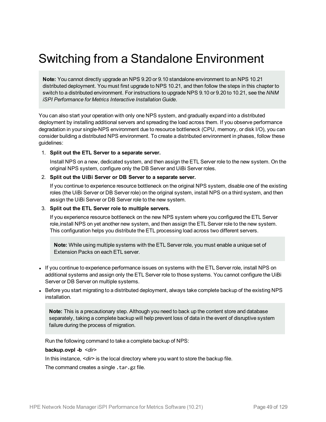# Switching from a Standalone Environment

**Note:** You cannot directly upgrade an NPS 9.20 or 9.10 standalone environment to an NPS 10.21 distributed deployment. You must first upgrade to NPS 10.21, and then follow the steps in this chapter to switch to a distributed environment. For instructions to upgrade NPS 9.10 or 9.20 to 10.21, see the *NNM iSPI Performance for Metrics Interactive Installation Guide*.

You can also start your operation with only one NPS system, and gradually expand into a distributed deployment by installing additional servers and spreading the load across them. If you observe performance degradation in your single-NPS environment due to resource bottleneck (CPU, memory, or disk I/O), you can consider building a distributed NPS environment. To create a distributed environment in phases, follow these guidelines:

#### 1. **Split out the ETL Server to a separate server.**

Install NPS on a new, dedicated system, and then assign the ETL Server role to the new system. On the original NPS system, configure only the DB Server and UiBi Server roles.

### 2. **Split out the UiBi Server or DB Server to a separate server.**

If you continue to experience resource bottleneck on the original NPS system, disable one of the existing roles (the UiBi Server or DB Server role) on the original system, install NPS on a third system, and then assign the UiBi Server or DB Server role to the new system.

### 3. **Split out the ETL Server role to multiple servers.**

If you experience resource bottleneck on the new NPS system where you configured the ETL Server role,install NPS on yet another new system, and then assign the ETL Server role to the new system. This configuration helps you distribute the ETL processing load across two different servers.

**Note:** While using multiple systems with the ETL Server role, you must enable a unique set of Extension Packs on each ETL server.

- If you continue to experience performance issues on systems with the ETL Server role, install NPS on additional systems and assign only the ETL Server role to those systems. You cannot configure the UiBi Server or DB Server on multiple systems.
- Before you start migrating to a distributed deployment, always take complete backup of the existing NPS installation.

**Note:** This is a precautionary step. Although you need to back up the content store and database separately, taking a complete backup will help prevent loss of data in the event of disruptive system failure during the process of migration.

Run the following command to take a complete backup of NPS:

#### **backup.ovpl -b** *<dir>*

In this instance,  $\langle \text{div} \rangle$  is the local directory where you want to store the backup file.

The command creates a single .tar.gz file.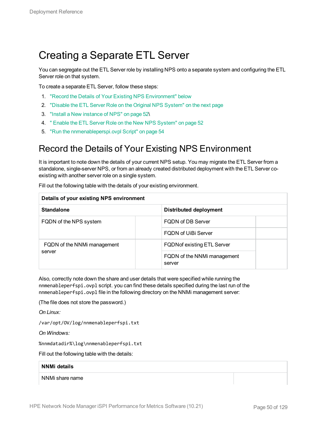# Creating a Separate ETL Server

You can segregate out the ETL Server role by installing NPS onto a separate system and configuring the ETL Server role on that system.

To create a separate ETL Server, follow these steps:

- 1. "Record the Details of Your Existing NPS [Environment"](#page-49-0) below
- 2. "Disable the ETL Server Role on the Original NPS [System"](#page-50-0) on the next page
- 3. "Install a New [instance](#page-51-0) of NPS" on page 52\
- 4. " Enable the ETL Server Role on the New NPS [System"](#page-51-1) on page 52
- <span id="page-49-0"></span>5. "Run the [nnmenableperspi.ovpl](#page-53-0) Script" on page 54

### Record the Details of Your Existing NPS Environment

It is important to note down the details of your current NPS setup. You may migrate the ETL Server from a standalone, single-server NPS, or from an already created distributed deployment with the ETL Server coexisting with another server role on a single system.

Fill out the following table with the details of your existing environment.

<span id="page-49-1"></span>

| Details of your existing NPS environment |                                       |  |  |  |
|------------------------------------------|---------------------------------------|--|--|--|
| <b>Standalone</b>                        | Distributed deployment                |  |  |  |
| FQDN of the NPS system                   | FQDN of DB Server                     |  |  |  |
|                                          | <b>FQDN of UiBi Server</b>            |  |  |  |
| FQDN of the NNMi management              | <b>FQDNof existing ETL Server</b>     |  |  |  |
| server                                   | FQDN of the NNMi management<br>server |  |  |  |

Also, correctly note down the share and user details that were specified while running the nnmenableperfspi.ovpl script. you can find these details specified during the last run of the nnmenableperfspi.ovpl file in the following directory on the NNMi management server:

(The file does not store the password.)

*On Linux:*

/var/opt/OV/log/nnmenableperfspi.txt

*On Windows:*

%nnmdatadir%\log\nnmenableperfspi.txt

<span id="page-49-2"></span>Fill out the following table with the details:

### **NNMi details** NNMi share name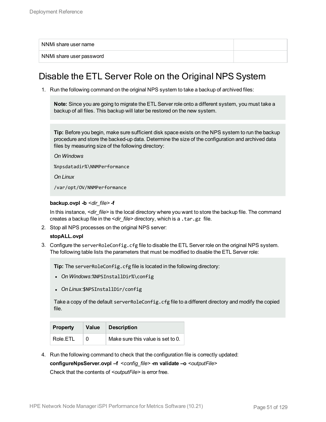NNMi share user name

<span id="page-50-0"></span>NNMi share user password

### Disable the ETL Server Role on the Original NPS System

<span id="page-50-1"></span>1. Run the following command on the original NPS system to take a backup of archived files:

**Note:** Since you are going to migrate the ETL Server role onto a different system, you must take a backup of all files. This backup will later be restored on the new system.

**Tip:** Before you begin, make sure sufficient disk space exists on the NPS system to run the backup procedure and store the backed-up data. Determine the size of the configuration and archived data files by measuring size of the following directory:

*On Windows*

%npsdatadir%\NNMPerformance

*On Linux*

/var/opt/OV/NNMPerformance

#### **backup.ovpl -b** *<dir\_file>* **-f**

In this instance, *<dir file>* is the local directory where you want to store the backup file. The command creates a backup file in the *<dir\_file>* directory, which is a .tar.gz file.

2. Stop all NPS processes on the original NPS server:

#### **stopALL.ovpl**

3. Configure the serverRoleConfig.cfg file to disable the ETL Server role on the original NPS system. The following table lists the parameters that must be modified to disable the ETL Server role:

**Tip:** The serverRoleConfig.cfg file is located in the following directory:

- <sup>l</sup> *On Windows:*%NPSInstallDir%\config
- <sup>l</sup> *On Linux:*\$NPSInstallDir/config

Take a copy of the default serverRoleConfig.cfg file to a different directory and modify the copied file.

| <b>Property</b> | Value | <b>Description</b>                |
|-----------------|-------|-----------------------------------|
| Role.ETL        | n     | Make sure this value is set to 0. |

4. Run the following command to check that the configuration file is correctly updated: **configureNpsServer.ovpl –f** *<config\_file>* **-m validate –o** *<outputFile>* Check that the contents of *<outputFile>* is error free.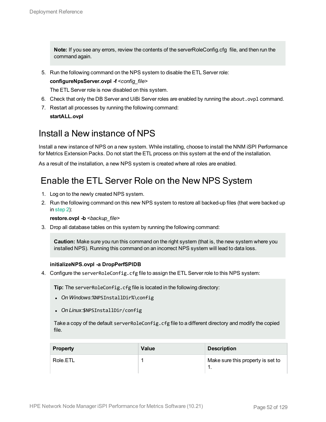**Note:** If you see any errors, review the contents of the serverRoleConfig.cfg file, and then run the command again.

5. Run the following command on the NPS system to disable the ETL Server role:

#### **configureNpsServer.ovpl -f** *<config\_file>*

The ETL Server role is now disabled on this system.

- 6. Check that only the DB Server and UiBi Server roles are enabled by running the about.ovpl command.
- 7. Restart all processes by running the following command: **startALL.ovpl**

### <span id="page-51-0"></span>Install a New instance of NPS

Install a new instance of NPS on a new system. While installing, choose to install the NNM iSPI Performance for Metrics Extension Packs. Do not start the ETL process on this system at the end of the installation.

<span id="page-51-1"></span>As a result of the installation, a new NPS system is created where all roles are enabled.

### Enable the ETL Server Role on the New NPS System

- 1. Log on to the newly created NPS system.
- 2. Run the following command on this new NPS system to restore all backed-up files (that were backed up in [step](#page-50-1) 2):

### **restore.ovpl -b** *<backup\_file>*

3. Drop all database tables on this system by running the following command:

**Caution:** Make sure you run this command on the right system (that is, the new system where you installed NPS). Running this command on an incorrect NPS system will lead to data loss.

#### **initializeNPS.ovpl -a DropPerfSPIDB**

4. Configure the serverRoleConfig.cfg file to assign the ETL Server role to this NPS system:

**Tip:** The serverRoleConfig.cfg file is located in the following directory:

- <sup>l</sup> *On Windows:*%NPSInstallDir%\config
- <sup>l</sup> *On Linux:*\$NPSInstallDir/config

Take a copy of the default serverRoleConfig.cfg file to a different directory and modify the copied file.

| <b>Property</b> | Value | <b>Description</b>                |
|-----------------|-------|-----------------------------------|
| Role.ETL        |       | Make sure this property is set to |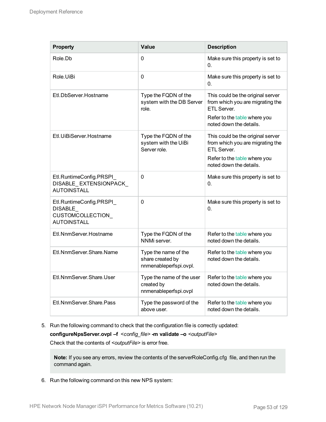| <b>Property</b>                                                                      | Value                                                              | <b>Description</b>                                                                                                   |
|--------------------------------------------------------------------------------------|--------------------------------------------------------------------|----------------------------------------------------------------------------------------------------------------------|
| Role.Db                                                                              | 0                                                                  | Make sure this property is set to<br>0.                                                                              |
| Role.UiBi                                                                            | $\mathbf 0$                                                        | Make sure this property is set to<br>0.                                                                              |
| Etl.DbServer.Hostname                                                                | Type the FQDN of the<br>system with the DB Server<br>role.         | This could be the original server<br>from which you are migrating the<br>ETL Server.<br>Refer to the table where you |
|                                                                                      |                                                                    | noted down the details.                                                                                              |
| Etl.UiBiServer.Hostname                                                              | Type the FQDN of the<br>system with the UiBi<br>Server role.       | This could be the original server<br>from which you are migrating the<br><b>ETL Server.</b>                          |
|                                                                                      |                                                                    | Refer to the table where you<br>noted down the details.                                                              |
| Etl.RuntimeConfig.PRSPI<br>DISABLE_EXTENSIONPACK_<br><b>AUTOINSTALL</b>              | $\mathbf 0$                                                        | Make sure this property is set to<br>0.                                                                              |
| Etl.RuntimeConfig.PRSPI_<br><b>DISABLE</b><br>CUSTOMCOLLECTION<br><b>AUTOINSTALL</b> | 0                                                                  | Make sure this property is set to<br>0.                                                                              |
| Etl.NnmServer.Hostname                                                               | Type the FQDN of the<br>NNMi server.                               | Refer to the table where you<br>noted down the details.                                                              |
| Etl.NnmServer.Share.Name                                                             | Type the name of the<br>share created by<br>nnmenableperfspi.ovpl. | Refer to the table where you<br>noted down the details.                                                              |
| Etl.NnmServer.Share.User                                                             | Type the name of the user<br>created by<br>nnmenableperfspi.ovpl   | Refer to the table where you<br>noted down the details.                                                              |
| Etl.NnmServer.Share.Pass                                                             | Type the password of the<br>above user.                            | Refer to the table where you<br>noted down the details.                                                              |

5. Run the following command to check that the configuration file is correctly updated:

**configureNpsServer.ovpl –f** *<config\_file>* **-m validate –o** *<outputFile>*

Check that the contents of *<outputFile>* is error free.

**Note:** If you see any errors, review the contents of the serverRoleConfig.cfg file, and then run the command again.

6. Run the following command on this new NPS system: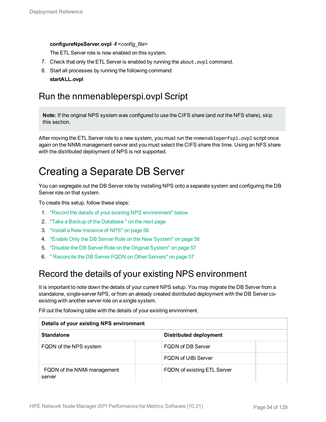### **configureNpsServer.ovpl -f** *<config\_file>*

The ETL Server role is now enabled on this system.

- 7. Check that only the ETL Server is enabled by running the about.ovpl command.
- 8. Start all processes by running the following command:

**startALL.ovpl**

### <span id="page-53-0"></span>Run the nnmenableperspi.ovpl Script

**Note:** If the original NPS system was configured to use the CIFS share (and *not* the NFS share), skip this section.

After moving the ETL Server role to a new system, you must run the nnmenableperfspi.ovpl script once again on the NNMi management server and you must select the CIFS share this time. Using an NFS share with the distributed deployment of NPS is not supported.

# Creating a Separate DB Server

You can segregate out the DB Server role by installing NPS onto a separate system and configuring the DB Server role on that system.

To create this setup, follow these steps:

- 1. "Record the details of your existing NPS [environment"](#page-53-1) below
- 2. "Take a Backup of the [Database](#page-54-0) " on the next page
- 3. "Install a New [Instance](#page-55-0) of NPS" on page 56
- 4. "Enable Only the DB Server Role on the New [System"](#page-55-1) on page 56
- 5. "Disable the DB Server Role on the Original [System"](#page-56-0) on page 57
- <span id="page-53-1"></span>6. " [Reconcile](#page-56-1) the DB Server FQDN on Other Servers" on page 57

### Record the details of your existing NPS environment

It is important to note down the details of your current NPS setup. You may migrate the DB Server from a standalone, single-server NPS, or from an already created distributed deployment with the DB Server coexisting with another server role on a single system.

Fill out the following table with the details of your existing environment.

| Details of your existing NPS environment           |                             |  |  |
|----------------------------------------------------|-----------------------------|--|--|
| <b>Standalone</b><br><b>Distributed deployment</b> |                             |  |  |
| FQDN of the NPS system                             | <b>FQDN of DB Server</b>    |  |  |
|                                                    | FODN of UiBi Server         |  |  |
| FQDN of the NNMi management<br>server              | FQDN of existing ETL Server |  |  |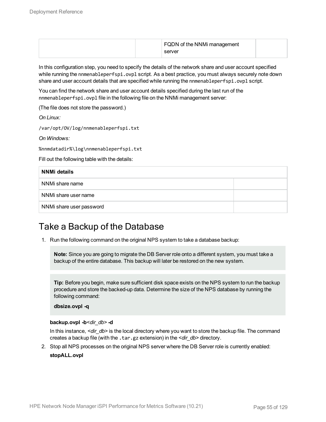|  | FQDN of the NNMi management<br>server |  |
|--|---------------------------------------|--|
|  |                                       |  |

In this configuration step, you need to specify the details of the network share and user account specified while running the nnmenableperfspi.ovpl script. As a best practice, you must always securely note down share and user account details that are specified while running the nnmenableperfspi.ovpl script.

You can find the network share and user account details specified during the last run of the nnmenableperfspi.ovpl file in the following file on the NNMi management server:

(The file does not store the password.)

*On Linux:*

/var/opt/OV/log/nnmenableperfspi.txt

*On Windows:*

%nnmdatadir%\log\nnmenableperfspi.txt

Fill out the following table with the details:

<span id="page-54-2"></span>

| NNMi details             |  |  |  |
|--------------------------|--|--|--|
| NNMi share name          |  |  |  |
| NNMi share user name     |  |  |  |
| NNMi share user password |  |  |  |

### <span id="page-54-0"></span>Take a Backup of the Database

<span id="page-54-1"></span>1. Run the following command on the original NPS system to take a database backup:

**Note:** Since you are going to migrate the DB Server role onto a different system, you must take a backup of the entire database. This backup will later be restored on the new system.

**Tip:** Before you begin, make sure sufficient disk space exists on the NPS system to run the backup procedure and store the backed-up data. Determine the size of the NPS database by running the following command:

**dbsize.ovpl -q**

#### **backup.ovpl -b***<dir\_db>* **-d**

In this instance, *<dir\_db>* is the local directory where you want to store the backup file. The command creates a backup file (with the .tar.gz extension) in the <dir\_db> directory.

2. Stop all NPS processes on the original NPS server where the DB Server role is currently enabled:

#### **stopALL.ovpl**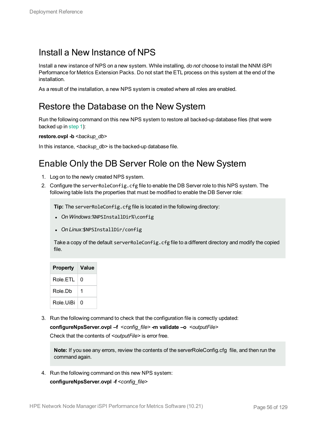### <span id="page-55-0"></span>Install a New Instance of NPS

Install a new instance of NPS on a new system. While installing, *do not* choose to install the NNM iSPI Performance for Metrics Extension Packs. Do not start the ETL process on this system at the end of the installation.

As a result of the installation, a new NPS system is created where all roles are enabled.

### Restore the Database on the New System

Run the following command on this new NPS system to restore all backed-up database files (that were backed up in [step](#page-54-1) 1):

```
restore.ovpl -b <backup_db>
```

```
In this instance, <backup_db> is the backed-up database file.
```
### Enable Only the DB Server Role on the New System

- 1. Log on to the newly created NPS system.
- 2. Configure the serverRoleConfig.cfg file to enable the DB Server role to this NPS system. The following table lists the properties that must be modified to enable the DB Server role:

**Tip:** The serverRoleConfig.cfg file is located in the following directory:

- <sup>l</sup> *On Windows:*%NPSInstallDir%\config
- <sup>l</sup> *On Linux:*\$NPSInstallDir/config

Take a copy of the default serverRoleConfig.cfg file to a different directory and modify the copied file.

| <b>Property</b> | Value |
|-----------------|-------|
| Role FTI-       | O     |
| Role Dh         | 1     |
| Role UiBi       | n     |

3. Run the following command to check that the configuration file is correctly updated:

**configureNpsServer.ovpl –f** *<config\_file>* **-m validate –o** *<outputFile>*

Check that the contents of *<outputFile>* is error free.

**Note:** If you see any errors, review the contents of the serverRoleConfig.cfg file, and then run the command again.

4. Run the following command on this new NPS system: **configureNpsServer.ovpl -f** *<config\_file>*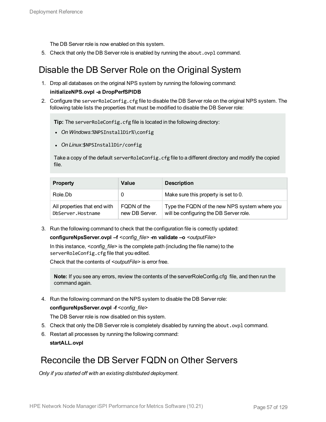The DB Server role is now enabled on this system.

<span id="page-56-0"></span>5. Check that only the DB Server role is enabled by running the about.ovpl command.

### Disable the DB Server Role on the Original System

1. Drop all databases on the original NPS system by running the following command:

### **initializeNPS.ovpl -a DropPerfSPIDB**

2. Configure the serverRoleConfig.cfg file to disable the DB Server role on the original NPS system. The following table lists the properties that must be modified to disable the DB Server role:

**Tip:** The serverRoleConfig.cfg file is located in the following directory:

- <sup>l</sup> *On Windows:*%NPSInstallDir%\config
- <sup>l</sup> *On Linux:*\$NPSInstallDir/config

Take a copy of the default serverRoleConfig.cfg file to a different directory and modify the copied file.

| <b>Property</b>                                   | Value                         | <b>Description</b>                                                                       |
|---------------------------------------------------|-------------------------------|------------------------------------------------------------------------------------------|
| Role.Db                                           |                               | Make sure this property is set to 0.                                                     |
| All properties that end with<br>DbServer.Hostname | FQDN of the<br>new DB Server. | Type the FQDN of the new NPS system where you<br>will be configuring the DB Server role. |

3. Run the following command to check that the configuration file is correctly updated:

**configureNpsServer.ovpl –f** *<config\_file>* **-m validate –o** *<outputFile>*

In this instance, *<config\_file>* is the complete path (including the file name) to the serverRoleConfig.cfg file that you edited.

Check that the contents of *<outputFile>* is error free.

**Note:** If you see any errors, review the contents of the serverRoleConfig.cfg file, and then run the command again.

4. Run the following command on the NPS system to disable the DB Server role:

#### **configureNpsServer.ovpl -f** *<config\_file>*

The DB Server role is now disabled on this system.

- 5. Check that only the DB Server role is completely disabled by running the about.ovpl command.
- 6. Restart all processes by running the following command: **startALL.ovpl**

### <span id="page-56-1"></span>Reconcile the DB Server FQDN on Other Servers

*Only if you started off with an existing distributed deployment.*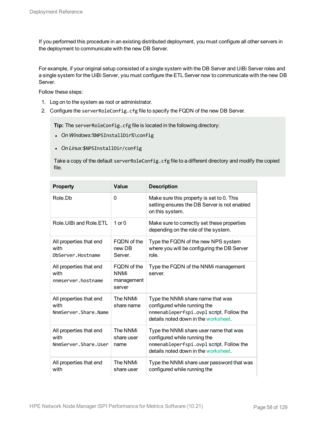If you performed this procedure in an existing distributed deployment, you must configure all other servers in the deployment to communicate with the new DB Server.

For example, if your original setup consisted of a single system with the DB Server and UiBi Server roles and a single system for the UiBi Server, you must configure the ETL Server now to communicate with the new DB Server.

Follow these steps:

- 1. Log on to the system as root or administrator.
- 2. Configure the serverRoleConfig.cfg file to specify the FQDN of the new DB Server.

**Tip:** The serverRoleConfig.cfg file is located in the following directory:

- <sup>l</sup> *On Windows:*%NPSInstallDir%\config
- <sup>l</sup> *On Linux:*\$NPSInstallDir/config

Take a copy of the default serverRoleConfig.cfg file to a different directory and modify the copied file.

| <b>Property</b>                                           | Value                                              | <b>Description</b>                                                                                                                                         |
|-----------------------------------------------------------|----------------------------------------------------|------------------------------------------------------------------------------------------------------------------------------------------------------------|
| Role.Db                                                   | 0                                                  | Make sure this property is set to 0. This<br>setting ensures the DB Server is not enabled<br>on this system.                                               |
| Role UiBi and Role FTL                                    | 1 or $\Omega$                                      | Make sure to correctly set these properties<br>depending on the role of the system.                                                                        |
| All properties that end<br>with<br>DbServer.Hostname      | FODN of the<br>new DB<br>Server.                   | Type the FQDN of the new NPS system<br>where you will be configuring the DB Server<br>role.                                                                |
| All properties that end<br>with<br>nnmserver.hostname     | FODN of the<br><b>NNMi</b><br>management<br>server | Type the FQDN of the NNMi management<br>server.                                                                                                            |
| All properties that end<br>with<br>NnmServer, Share, Name | The NNMi<br>share name                             | Type the NNMi share name that was<br>configured while running the<br>nnmenableperfspi.ovpl script. Follow the<br>details noted down in the worksheet.      |
| All properties that end<br>with<br>NnmServer.Share.User   | The NNMi<br>share user<br>name                     | Type the NNMi share user name that was<br>configured while running the<br>nnmenableperfspi.ovpl script. Follow the<br>details noted down in the worksheet. |
| All properties that end<br>with                           | The NNMi<br>share user                             | Type the NNMi share user password that was<br>configured while running the                                                                                 |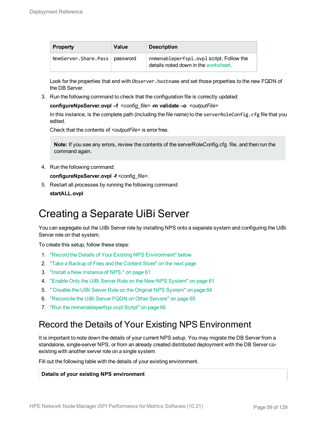| <b>Property</b>                 | Value | <b>Description</b>                                                               |
|---------------------------------|-------|----------------------------------------------------------------------------------|
| NnmServer.Share.Pass   password |       | nnmenableperfspi.ovpl script. Follow the<br>details noted down in the worksheet. |

Look for the properties that end with Dbserver.hostname and set those properties to the new FQDN of the DB Server.

3. Run the following command to check that the configuration file is correctly updated:

**configureNpsServer.ovpl –f** *<config\_file>* **-m validate –o** *<outputFile>*

In this instance, is the complete path (including the file name) to the serverRoleConfig.cfg file that you edited.

Check that the contents of *<outputFile>* is error free.

**Note:** If you see any errors, review the contents of the serverRoleConfig.cfg file, and then run the command again.

4. Run the following command:

**configureNpsServer.ovpl -f** *<config\_file>*.

5. Restart all processes by running the following command: **startALL.ovpl**

# Creating a Separate UiBi Server

You can segregate out the UiBi Server role by installing NPS onto a separate system and configuring the UiBi Server role on that system.

To create this setup, follow these steps:

- 1. "Record the Details of Your Existing NPS [Environment"](#page-58-0) below
- 2. "Take a Backup of Files and the [Content](#page-59-0) Store" on the next page
- 3. "Install a New [Instance](#page-60-0) of NPS." on page 61
- 4. "Enable Only the UiBi Server Role on the New NPS [System"](#page-60-1) on page 61
- 5. " Disable the UiBi Server Role on the Original NPS [System"](#page-63-0) on page 64
- 6. ["Reconcile](#page-64-0) the UiBi Server FQDN on Other Servers" on page 65
- <span id="page-58-0"></span>7. "Run the [nnmenableperfspi.ovpl](#page-65-0) Script" on page 66

### Record the Details of Your Existing NPS Environment

It is important to note down the details of your current NPS setup. You may migrate the DB Server from a standalone, single-server NPS, or from an already created distributed deployment with the DB Server coexisting with another server role on a single system.

Fill out the following table with the details of your existing environment.

#### **Details of your existing NPS environment**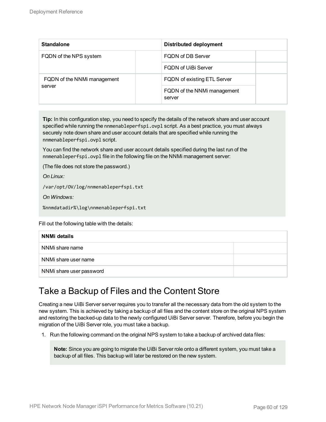| <b>Standalone</b>                     | <b>Distributed deployment</b>         |
|---------------------------------------|---------------------------------------|
| FQDN of the NPS system                | FQDN of DB Server                     |
|                                       | FQDN of UiBi Server                   |
| FQDN of the NNMi management<br>server | FQDN of existing ETL Server           |
|                                       | FQDN of the NNMi management<br>server |

**Tip:** In this configuration step, you need to specify the details of the network share and user account specified while running the nnmenableperfspi.ovpl script. As a best practice, you must always securely note down share and user account details that are specified while running the nnmenableperfspi.ovpl script.

You can find the network share and user account details specified during the last run of the nnmenableperfspi.ovpl file in the following file on the NNMi management server:

(The file does not store the password.)

*On Linux:*

/var/opt/OV/log/nnmenableperfspi.txt

*On Windows:*

%nnmdatadir%\log\nnmenableperfspi.txt

Fill out the following table with the details:

<span id="page-59-2"></span>

| <b>NNMi details</b>      |  |
|--------------------------|--|
| NNMi share name          |  |
| NNMi share user name     |  |
| NNMi share user password |  |

### <span id="page-59-0"></span>Take a Backup of Files and the Content Store

Creating a new UiBi Server server requires you to transfer all the necessary data from the old system to the new system. This is achieved by taking a backup of all files and the content store on the original NPS system and restoring the backed-up data to the newly configured UiBi Server server. Therefore, before you begin the migration of the UiBi Server role, you must take a backup.

<span id="page-59-1"></span>1. Run the following command on the original NPS system to take a backup of archived data files:

**Note:** Since you are going to migrate the UiBi Server role onto a different system, you must take a backup of all files. This backup will later be restored on the new system.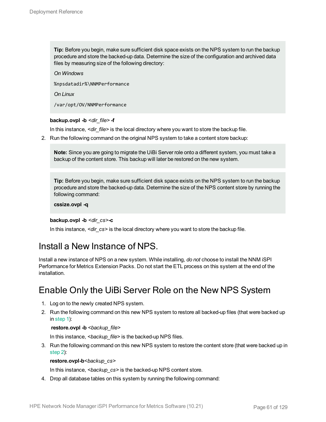**Tip:** Before you begin, make sure sufficient disk space exists on the NPS system to run the backup procedure and store the backed-up data. Determine the size of the configuration and archived data files by measuring size of the following directory:

### *On Windows*

%npsdatadir%\NNMPerformance

*On Linux*

/var/opt/OV/NNMPerformance

### **backup.ovpl -b** *<dir\_file>* **-f**

<span id="page-60-2"></span>In this instance, *<dir file>* is the local directory where you want to store the backup file.

2. Run the following command on the original NPS system to take a content store backup:

**Note:** Since you are going to migrate the UiBi Server role onto a different system, you must take a backup of the content store. This backup will later be restored on the new system.

**Tip:** Before you begin, make sure sufficient disk space exists on the NPS system to run the backup procedure and store the backed-up data. Determine the size of the NPS content store by running the following command:

**cssize.ovpl -q**

#### **backup.ovpl -b** *<dir\_cs>***-c**

In this instance, *<dir cs>* is the local directory where you want to store the backup file.

### <span id="page-60-0"></span>Install a New Instance of NPS.

Install a new instance of NPS on a new system. While installing, *do not* choose to install the NNM iSPI Performance for Metrics Extension Packs. Do not start the ETL process on this system at the end of the installation.

### <span id="page-60-1"></span>Enable Only the UiBi Server Role on the New NPS System

- 1. Log on to the newly created NPS system.
- 2. Run the following command on this new NPS system to restore all backed-up files (that were backed up in [step](#page-59-1) 1):

### **restore.ovpl -b** *<backup\_file>*

In this instance, *<backup\_file>* is the backed-up NPS files.

3. Run the following command on this new NPS system to restore the content store (that were backed up in [step](#page-60-2) 2):

#### **restore.ovpl-b***<backup\_cs>*

In this instance, *<backup cs>* is the backed-up NPS content store.

4. Drop all database tables on this system by running the following command: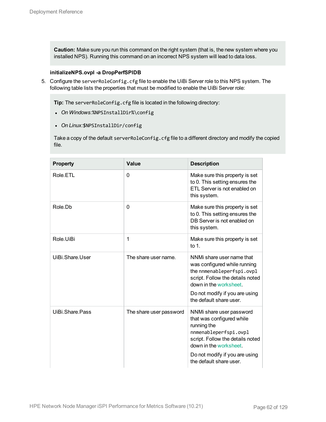**Caution:** Make sure you run this command on the right system (that is, the new system where you installed NPS). Running this command on an incorrect NPS system will lead to data loss.

### **initializeNPS.ovpl -a DropPerfSPIDB**

5. Configure the serverRoleConfig.cfg file to enable the UiBi Server role to this NPS system. The following table lists the properties that must be modified to enable the UiBi Server role:

**Tip:** The serverRoleConfig.cfg file is located in the following directory:

- <sup>l</sup> *On Windows:*%NPSInstallDir%\config
- <sup>l</sup> *On Linux:*\$NPSInstallDir/config

Take a copy of the default serverRoleConfig.cfg file to a different directory and modify the copied file.

| <b>Property</b> | <b>Value</b>            | <b>Description</b>                                                                                                                                                                                                       |
|-----------------|-------------------------|--------------------------------------------------------------------------------------------------------------------------------------------------------------------------------------------------------------------------|
| Role.ETL        | 0                       | Make sure this property is set<br>to 0. This setting ensures the<br>ETL Server is not enabled on<br>this system.                                                                                                         |
| Role.Db         | 0                       | Make sure this property is set<br>to 0. This setting ensures the<br>DB Server is not enabled on<br>this system.                                                                                                          |
| Role.UiBi       | 1                       | Make sure this property is set<br>to $1$ .                                                                                                                                                                               |
| UiBi.Share.User | The share user name.    | NNMi share user name that<br>was configured while running<br>the nnmenableperfspi.ovpl<br>script. Follow the details noted<br>down in the worksheet.<br>Do not modify if you are using<br>the default share user.        |
| UiBi.Share.Pass | The share user password | NNMi share user password<br>that was configured while<br>running the<br>nnmenableperfspi.ovpl<br>script. Follow the details noted<br>down in the worksheet.<br>Do not modify if you are using<br>the default share user. |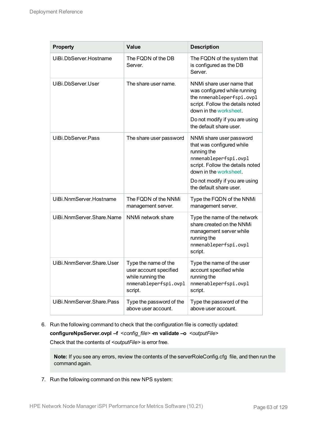| <b>Property</b>           | Value                                                                                                   | <b>Description</b>                                                                                                                                                                                                       |
|---------------------------|---------------------------------------------------------------------------------------------------------|--------------------------------------------------------------------------------------------------------------------------------------------------------------------------------------------------------------------------|
| UiBi.DbServer.Hostname    | The FQDN of the DB<br>Server.                                                                           | The FQDN of the system that<br>is configured as the DB<br>Server.                                                                                                                                                        |
| UiBi.DbServer.User        | The share user name.                                                                                    | NNMi share user name that<br>was configured while running<br>the nnmenableperfspi.ovpl<br>script. Follow the details noted<br>down in the worksheet.<br>Do not modify if you are using<br>the default share user.        |
| UiBi.DbServer.Pass        | The share user password                                                                                 | NNMi share user password<br>that was configured while<br>running the<br>nnmenableperfspi.ovpl<br>script. Follow the details noted<br>down in the worksheet.<br>Do not modify if you are using<br>the default share user. |
| UiBi.NnmServer.Hostname   | The FQDN of the NNMi<br>management server.                                                              | Type the FQDN of the NNMi<br>management server.                                                                                                                                                                          |
| UiBi.NnmServer.Share.Name | NNMi network share                                                                                      | Type the name of the network<br>share created on the NNMi<br>management server while<br>running the<br>nnmenableperfspi.ovpl<br>script.                                                                                  |
| UiBi.NnmServer.Share.User | Type the name of the<br>user account specified<br>while running the<br>nnmenableperfspi.ovpl<br>script. | Type the name of the user<br>account specified while<br>running the<br>nnmenableperfspi.ovpl<br>script.                                                                                                                  |
| UiBi.NnmServer.Share.Pass | Type the password of the<br>above user account.                                                         | Type the password of the<br>above user account.                                                                                                                                                                          |

6. Run the following command to check that the configuration file is correctly updated: **configureNpsServer.ovpl –f** *<config\_file>* **-m validate –o** *<outputFile>* Check that the contents of *<outputFile>* is error free.

**Note:** If you see any errors, review the contents of the serverRoleConfig.cfg file, and then run the command again.

7. Run the following command on this new NPS system: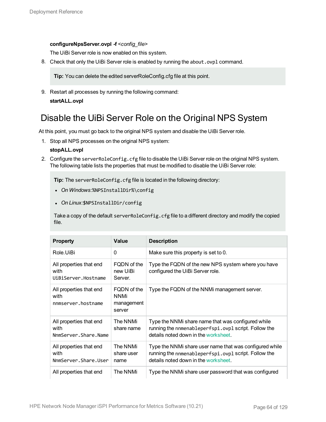### **configureNpsServer.ovpl -f** *<config\_file>*

The UiBi Server role is now enabled on this system.

8. Check that only the UiBi Server role is enabled by running the about.ovpl command.

**Tip:** You can delete the edited serverRoleConfig.cfg file at this point.

9. Restart all processes by running the following command:

<span id="page-63-0"></span>**startALL.ovpl**

### Disable the UiBi Server Role on the Original NPS System

At this point, you must go back to the original NPS system and disable the UiBi Server role.

1. Stop all NPS processes on the original NPS system:

### **stopALL.ovpl**

2. Configure the serverRoleConfig.cfg file to disable the UiBi Server role on the original NPS system. The following table lists the properties that must be modified to disable the UiBi Server role:

**Tip:** The serverRoleConfig.cfg file is located in the following directory:

- <sup>l</sup> *On Windows:*%NPSInstallDir%\config
- <sup>l</sup> *On Linux:*\$NPSInstallDir/config

Take a copy of the default serverRoleConfig.cfg file to a different directory and modify the copied file.

| <b>Property</b>                                         | Value                                       | <b>Description</b>                                                                                                                                      |
|---------------------------------------------------------|---------------------------------------------|---------------------------------------------------------------------------------------------------------------------------------------------------------|
| Role.UiBi                                               | 0                                           | Make sure this property is set to 0.                                                                                                                    |
| All properties that end<br>with<br>UiBiServer.Hostname  | FQDN of the<br>new UiBi<br>Server.          | Type the FQDN of the new NPS system where you have<br>configured the UiBi Server role.                                                                  |
| All properties that end<br>with<br>nnmserver.hostname   | FQDN of the<br>NNMi<br>management<br>server | Type the FQDN of the NNMi management server.                                                                                                            |
| All properties that end<br>with<br>NnmServer.Share.Name | The NNMi<br>share name                      | Type the NNMi share name that was configured while<br>running the nnmenableperfspi.ovpl script. Follow the<br>details noted down in the worksheet.      |
| All properties that end<br>with<br>NnmServer.Share.User | The NNMi<br>share user<br>name              | Type the NNMi share user name that was configured while<br>running the nnmenableperfspi.ovpl script. Follow the<br>details noted down in the worksheet. |
| All properties that end                                 | The NNMi                                    | Type the NNMi share user password that was configured                                                                                                   |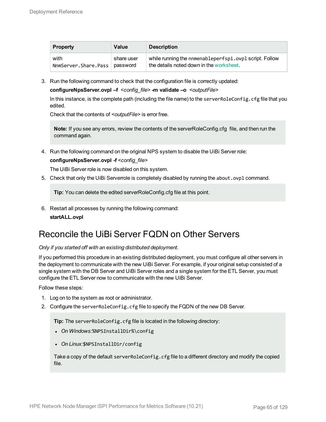| <b>Property</b>      | Value      | <b>Description</b>                                     |
|----------------------|------------|--------------------------------------------------------|
| with                 | share user | while running the nnmenableperfspi.ovpl script. Follow |
| NnmServer.Share.Pass | password   | the details noted down in the worksheet.               |

3. Run the following command to check that the configuration file is correctly updated:

**configureNpsServer.ovpl –f** *<config\_file>* **-m validate –o** *<outputFile>*

In this instance, is the complete path (including the file name) to the serverRoleConfig.cfg file that you edited.

Check that the contents of *<outputFile>* is error free.

**Note:** If you see any errors, review the contents of the serverRoleConfig.cfg file, and then run the command again.

4. Run the following command on the original NPS system to disable the UiBi Server role:

### **configureNpsServer.ovpl -f** *<config\_file>*

The UiBi Server role is now disabled on this system.

5. Check that only the UiBi Serverrole is completely disabled by running the about.ovpl command.

**Tip:** You can delete the edited serverRoleConfig.cfg file at this point.

6. Restart all processes by running the following command: **startALL.ovpl**

### <span id="page-64-0"></span>Reconcile the UiBi Server FQDN on Other Servers

### *Only if you started off with an existing distributed deployment.*

If you performed this procedure in an existing distributed deployment, you must configure all other servers in the deployment to communicate with the new UiBi Server. For example, if your original setup consisted of a single system with the DB Server and UiBi Server roles and a single system for the ETL Server, you must configure the ETL Server now to communicate with the new UiBi Server.

Follow these steps:

- 1. Log on to the system as root or administrator.
- 2. Configure the serverRoleConfig.cfg file to specify the FQDN of the new DB Server.

**Tip:** The serverRoleConfig.cfg file is located in the following directory:

- <sup>l</sup> *On Windows:*%NPSInstallDir%\config
- <sup>l</sup> *On Linux:*\$NPSInstallDir/config

Take a copy of the default serverRoleConfig.cfg file to a different directory and modify the copied file.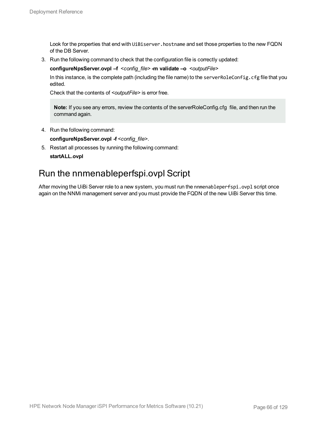Look for the properties that end with UiBiserver.hostname and set those properties to the new FQDN of the DB Server.

3. Run the following command to check that the configuration file is correctly updated:

**configureNpsServer.ovpl –f** *<config\_file>* **-m validate –o** *<outputFile>*

In this instance, is the complete path (including the file name) to the serverRoleConfig.cfg file that you edited.

Check that the contents of *<outputFile>* is error free.

**Note:** If you see any errors, review the contents of the serverRoleConfig.cfg file, and then run the command again.

4. Run the following command:

**configureNpsServer.ovpl -f** *<config\_file>*.

5. Restart all processes by running the following command: **startALL.ovpl**

### <span id="page-65-0"></span>Run the nnmenableperfspi.ovpl Script

After moving the UiBi Server role to a new system, you must run the nnmenableperfspi.ovpl script once again on the NNMi management server and you must provide the FQDN of the new UiBi Server this time.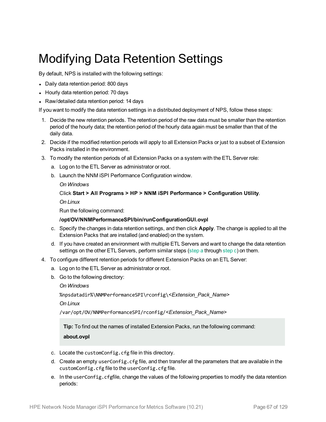# Modifying Data Retention Settings

By default, NPS is installed with the following settings:

- Daily data retention period: 800 days
- Hourly data retention period: 70 days
- Raw/detailed data retention period: 14 days

If you want to modify the data retention settings in a distributed deployment of NPS, follow these steps:

- 1. Decide the new retention periods. The retention period of the raw data must be smaller than the retention period of the hourly data; the retention period of the hourly data again must be smaller than that of the daily data.
- 2. Decide if the modified retention periods will apply to all Extension Packs or just to a subset of Extension Packs installed in the environment.
- 3. To modify the retention periods of all Extension Packs on a system with the ETL Server role:
	- a. Log on to the ETL Server as administrator or root.
	- b. Launch the NNM iSPI Performance Configuration window.

*On Windows*

Click **Start > All Programs > HP > NNM iSPI Performance > Configuration Utility**.

*On Linux*

Run the following command:

#### <span id="page-66-1"></span>**/opt/OV/NNMPerformanceSPI/bin/runConfigurationGUI.ovpl**

- c. Specify the changes in data retention settings, and then click **Apply**. The change is applied to all the Extension Packs that are installed (and enabled) on the system.
- d. If you have created an environment with multiple ETL Servers and want to change the data retention settings on the other ETL Servers, perform similar [step](#page-66-1)s (step a through step c) on them.
- <span id="page-66-0"></span>4. To configure different retention periods for different Extension Packs on an ETL Server:
	- a. Log on to the ETL Server as administrator or root.
	- b. Go to the following directory:

*On Windows*

%npsdatadir%\NNMPerformanceSPI\rconfig\*<Extension\_Pack\_Name>*

*On Linux*

/var/opt/OV/NNMPerformanceSPI/rconfig/*<Extension\_Pack\_Name>*

**Tip:** To find out the names of installed Extension Packs, run the following command:

**about.ovpl**

- c. Locate the customConfig.cfg file in this directory.
- d. Create an empty userConfig.cfg file, and then transfer all the parameters that are available in the customConfig.cfg file to the userConfig.cfg file.
- e. In the userConfig.cfgfile, change the values of the following properties to modify the data retention periods: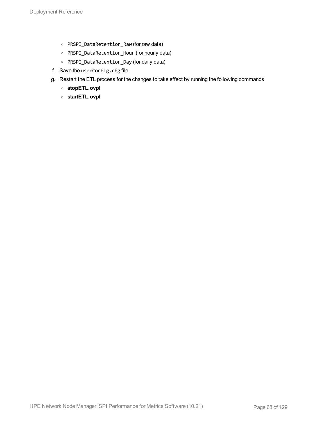- <sup>o</sup> PRSPI\_DataRetention\_Raw (for raw data)
- <sup>o</sup> PRSPI\_DataRetention\_Hour (for hourly data)
- <sup>o</sup> PRSPI\_DataRetention\_Day (for daily data)
- f. Save the userConfig.cfg file.
- g. Restart the ETL process for the changes to take effect by running the following commands:
	- <sup>o</sup> **stopETL.ovpl**
	- <sup>o</sup> **startETL.ovpl**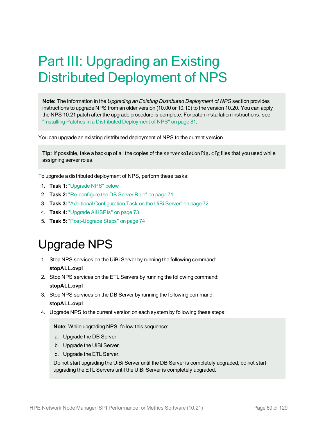# Part III: Upgrading an Existing Distributed Deployment of NPS

**Note:** The information in the *Upgrading an Existing Distributed Deployment of NPS* section provides instructions to upgrade NPS from an older version (10.00 or 10.10) to the version 10.20. You can apply the NPS 10.21 patch after the upgrade procedure is complete. For patch installation instructions, see "Installing Patches in a Distributed [Deployment](#page-80-0) of NPS" on page 81.

You can upgrade an existing distributed deployment of NPS to the current version.

**Tip:** If possible, take a backup of all the copies of the serverRoleConfig.cfg files that you used while assigning server roles.

To upgrade a distributed deployment of NPS, perform these tasks:

- 1. **Task 1:** ["Upgrade](#page-68-0) NPS" below
- 2. **Task 2:** ["Re-configure](#page-70-0) the DB Server Role" on page 71
- 3. **Task 3:** "Additional [Configuration](#page-71-0) Task on the UiBi Server" on page 72
- 4. **Task 4:** ["Upgrade](#page-72-0) All iSPIs" on page 73
- <span id="page-68-0"></span>5. **Task 5:** ["Post-Upgrade](#page-73-0) Steps" on page 74

# Upgrade NPS

- 1. Stop NPS services on the UiBi Server by running the following command: **stopALL.ovpl**
- 2. Stop NPS services on the ETL Servers by running the following command: **stopALL.ovpl**
- 3. Stop NPS services on the DB Server by running the following command:

#### **stopALL.ovpl**

4. Upgrade NPS to the current version on each system by following these steps:

**Note:** While upgrading NPS, follow this sequence:

- a. Upgrade the DB Server.
- b. Upgrade the UiBi Server.
- c. Upgrade the ETL Server.

Do not start upgrading the UiBi Server until the DB Server is completely upgraded; do not start upgrading the ETL Servers until the UiBi Server is completely upgraded.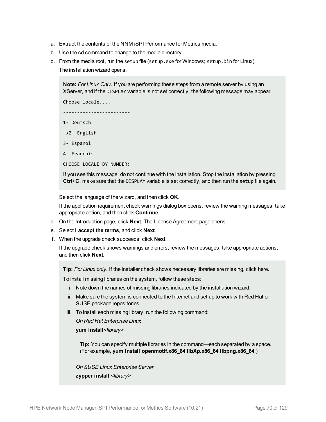- a. Extract the contents of the NNM iSPI Performance for Metrics media.
- b. Use the cd command to change to the media directory.
- c. From the media root, run the setup file (setup.exe for Windows; setup.bin for Linux). The installation wizard opens.

**Note:** *For Linux Only.* If you are performing these steps from a remote server by using an XServer, and if the DISPLAY variable is not set correctly, the following message may appear:

Choose locale.... ------------------------ 1- Deutsch ->2- English 3- Espanol 4- Francais CHOOSE LOCALE BY NUMBER: If you see this message, do not continue with the installation. Stop the installation by pressing **Ctrl+C**, make sure that the DISPLAY variable is set correctly, and then run the setup file again.

Select the language of the wizard, and then click **OK**.

If the application requirement check warnings dialog box opens, review the warning messages, take appropriate action, and then click **Continue**.

- d. On the Introduction page, click **Next**. The License Agreement page opens.
- e. Select **I accept the terms**, and click **Next**.
- f. When the upgrade check succeeds, click **Next**.

If the upgrade check shows warnings and errors, review the messages, take appropriate actions, and then click **Next**.

**Tip:** *For Linux only.* If the installer check shows necessary libraries are missing, click here.

To install missing libraries on the system, follow these steps:

- i. Note down the names of missing libraries indicated by the installation wizard.
- ii. Make sure the system is connected to the Internet and set up to work with Red Hat or SUSE package repositories.
- iii. To install each missing library, run the following command:

*On Red Hat Enterprise Linux*

**yum install***<library>*

**Tip:** You can specify multiple libraries in the command—each separated by a space. (For example, **yum install openmotif.x86\_64 libXp.x86\_64 libpng.x86\_64**.)

*On SUSE Linux Enterprise Server* **zypper install** *<library>*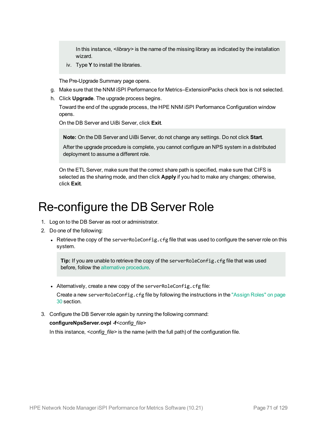In this instance, *<library>* is the name of the missing library as indicated by the installation wizard.

iv. Type **Y** to install the libraries.

The Pre-Upgrade Summary page opens.

- g. Make sure that the NNM iSPI Performance for Metrics–ExtensionPacks check box is not selected.
- h. Click **Upgrade**. The upgrade process begins.

Toward the end of the upgrade process, the HPE NNM iSPI Performance Configuration window opens.

On the DB Server and UiBi Server, click **Exit**.

**Note:** On the DB Server and UiBi Server, do not change any settings. Do not click **Start**.

After the upgrade procedure is complete, you cannot configure an NPS system in a distributed deployment to assume a different role.

On the ETL Server, make sure that the correct share path is specified, make sure that CIFS is selected as the sharing mode, and then click **Apply** if you had to make any changes; otherwise, click **Exit**.

# <span id="page-70-0"></span>Re-configure the DB Server Role

- 1. Log on to the DB Server as root or administrator.
- 2. Do one of the following:
	- Retrieve the copy of the serverRoleConfig.cfg file that was used to configure the server role on this system.

**Tip:** If you are unable to retrieve the copy of the serverRoleConfig.cfg file that was used before, follow the [alternative](#page-72-1) procedure.

• Alternatively, create a new copy of the serverRoleConfig.cfg file:

Create a new serverRoleConfig.cfg file by following the instructions in the ["Assign](#page-29-0) Roles" on page [30](#page-29-0) section.

3. Configure the DB Server role again by running the following command:

### **configureNpsServer.ovpl -f***<config\_file>*

In this instance, *<config file>* is the name (with the full path) of the configuration file.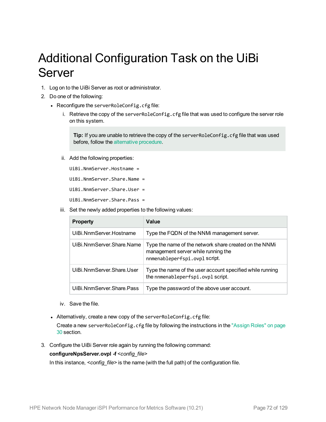# <span id="page-71-0"></span>Additional Configuration Task on the UiBi Server

- 1. Log on to the UiBi Server as root or administrator.
- 2. Do one of the following:
	- Reconfigure the serverRoleConfig.cfg file:
		- i. Retrieve the copy of the serverRoleConfig.cfg file that was used to configure the server role on this system.

**Tip:** If you are unable to retrieve the copy of the serverRoleConfig.cfg file that was used before, follow the [alternative](#page-72-1) procedure.

ii. Add the following properties:

UiBi.NnmServer.Hostname =

UiBi.NnmServer.Share.Name =

UiBi.NnmServer.Share.User =

UiBi.NnmServer.Share.Pass =

iii. Set the newly added properties to the following values:

| <b>Property</b>           | Value                                                                                                                          |
|---------------------------|--------------------------------------------------------------------------------------------------------------------------------|
| UiBi.NnmServer.Hostname   | Type the FQDN of the NNMi management server.                                                                                   |
| UiBi.NnmServer.Share.Name | Type the name of the network share created on the NNMi<br>management server while running the<br>nnmenableperfspi.ovpl script. |
| UiBi.NnmServer.Share.User | Type the name of the user account specified while running<br>the nnmenableperfspi.ovpl script.                                 |
| UiBi.NnmServer.Share.Pass | Type the password of the above user account.                                                                                   |

- iv. Save the file.
- Alternatively, create a new copy of the serverRoleConfig.cfg file:

Create a new serverRoleConfig.cfg file by following the instructions in the ["Assign](#page-29-0) Roles" on page [30](#page-29-0) section.

3. Configure the UiBi Server role again by running the following command:

### **configureNpsServer.ovpl -f** *<config\_file>*

In this instance, *<config\_file>* is the name (with the full path) of the configuration file.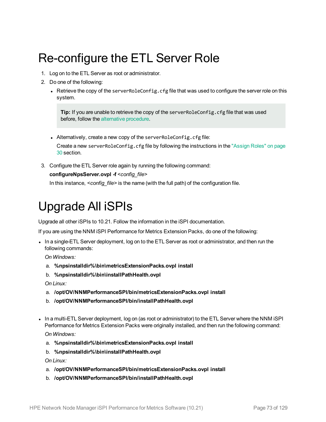## Re-configure the ETL Server Role

- 1. Log on to the ETL Server as root or administrator.
- 2. Do one of the following:
	- Retrieve the copy of the serverRoleConfig.cfg file that was used to configure the server role on this system.

**Tip:** If you are unable to retrieve the copy of the serverRoleConfig.cfg file that was used before, follow the [alternative](#page-72-0) procedure.

<span id="page-72-0"></span>• Alternatively, create a new copy of the serverRoleConfig.cfg file:

Create a new serverRoleConfig.cfg file by following the instructions in the ["Assign](#page-29-0) Roles" on page [30](#page-29-0) section.

3. Configure the ETL Server role again by running the following command:

#### **configureNpsServer.ovpl -f** *<config\_file>*

In this instance, *<config file>* is the name (with the full path) of the configuration file.

## Upgrade All iSPIs

Upgrade all other iSPIs to 10.21. Follow the information in the iSPI documentation.

If you are using the NNM iSPI Performance for Metrics Extension Packs, do one of the following:

• In a single-ETL Server deployment, log on to the ETL Server as root or administrator, and then run the following commands:

*On Windows:*

- a. **%npsinstalldir%\bin\metricsExtensionPacks.ovpl install**
- b. **%npsinstalldir%\bin\installPathHealth.ovpl**

*On Linux:*

- a. **/opt/OV/NNMPerformanceSPI/bin/metricsExtensionPacks.ovpl install**
- b. **/opt/OV/NNMPerformanceSPI/bin/installPathHealth.ovpl**
- In a multi-ETL Server deployment, log on (as root or administrator) to the ETL Server where the NNM iSPI Performance for Metrics Extension Packs were originally installed, and then run the following command:

*On Windows:*

- a. **%npsinstalldir%\bin\metricsExtensionPacks.ovpl install**
- b. **%npsinstalldir%\bin\installPathHealth.ovpl**

*On Linux:*

- a. **/opt/OV/NNMPerformanceSPI/bin/metricsExtensionPacks.ovpl install**
- b. **/opt/OV/NNMPerformanceSPI/bin/installPathHealth.ovpl**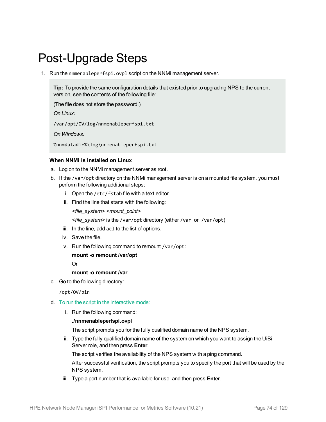### Post-Upgrade Steps

1. Run the nnmenableperfspi.ovpl script on the NNMi management server.

**Tip:** To provide the same configuration details that existed prior to upgrading NPS to the current version, see the contents of the following file:

(The file does not store the password.) *On Linux:* /var/opt/OV/log/nnmenableperfspi.txt *On Windows:* %nnmdatadir%\log\nnmenableperfspi.txt

#### **When NNMi is installed on Linux**

- a. Log on to the NNMi management server as root.
- b. If the /var/opt directory on the NNMi management server is on a mounted file system, you must perform the following additional steps:
	- i. Open the /etc/fstab file with a text editor.
	- ii. Find the line that starts with the following:

*<file\_system> <mount\_point>*

*<file\_system>* is the /var/opt directory (either /var or /var/opt)

- iii. In the line, add ac1 to the list of options.
- iv. Save the file.
- v. Run the following command to remount /var/opt:

#### **mount -o remount /var/opt**

Or

#### **mount -o remount /var**

c. Go to the following directory:

/opt/OV/bin

- d. To run the script in the interactive mode:
	- i. Run the following command:

#### **./nnmenableperfspi.ovpl**

The script prompts you for the fully qualified domain name of the NPS system.

ii. Type the fully qualified domain name of the system on which you want to assign the UiBi Server role, and then press **Enter**.

The script verifies the availability of the NPS system with a ping command.

After successful verification, the script prompts you to specify the port that will be used by the NPS system.

iii. Type a port number that is available for use, and then press **Enter**.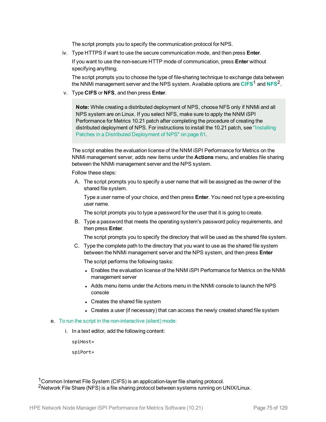The script prompts you to specify the communication protocol for NPS.

iv. Type HTTPS if want to use the secure communication mode, and then press **Enter**.

If you want to use the non-secure HTTP mode of communication, press **Enter** without specifying anything.

The script prompts you to choose the type of file-sharing technique to exchange data between the NNMi management server and the NPS system. Available options are **CIFS**1 and **NFS**2.

v. Type **CIFS** or **NFS**, and then press **Enter**.

**Note:** While creating a distributed deployment of NPS, choose NFS only if NNMi and all NPS system are on Linux. If you select NFS, make sure to apply the NNM iSPI Performance for Metrics 10.21 patch after completing the procedure of creating the distributed deployment of NPS. For instructions to install the 10.21 patch, see ["Installing](#page-80-0) Patches in a Distributed [Deployment](#page-80-0) of NPS" on page 81.

The script enables the evaluation license of the NNM iSPI Performance for Metrics on the NNMi management server, adds new items under the **Actions** menu, and enables file sharing between the NNMi management server and the NPS system.

Follow these steps:

A. The script prompts you to specify a user name that will be assigned as the owner of the shared file system.

Type a user name of your choice, and then press **Enter**. You need not type a pre-existing user name.

The script prompts you to type a password for the user that it is going to create.

B. Type a password that meets the operating system's password policy requirements, and then press **Enter**.

The script prompts you to specify the directory that will be used as the shared file system.

C. Type the complete path to the directory that you want to use as the shared file system between the NNMi management server and the NPS system, and then press **Enter**

The script performs the following tasks:

- Enables the evaluation license of the NNM ISPI Performance for Metrics on the NNMi management server
- Adds menu items under the Actions menu in the NNMi console to launch the NPS console
- Creates the shared file system
- Creates a user (if necessary) that can access the newly created shared file system

#### e. To run the script in the non-interactive (silent) mode:

i. In a text editor, add the following content:

spiHost=

spiPort=

<sup>1</sup> Common Internet File System (CIFS) is an application-layer file sharing protocol. <sup>2</sup>Network File Share (NFS) is a file sharing protocol between systems running on UNIX/Linux.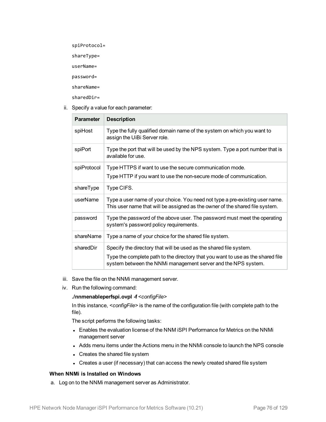spiProtocol=

shareType=

userName=

password=

shareName=

sharedDir=

ii. Specify a value for each parameter:

| <b>Parameter</b> | <b>Description</b>                                                                                                                                                                                                     |
|------------------|------------------------------------------------------------------------------------------------------------------------------------------------------------------------------------------------------------------------|
| spiHost          | Type the fully qualified domain name of the system on which you want to<br>assign the UiBi Server role.                                                                                                                |
| spiPort          | Type the port that will be used by the NPS system. Type a port number that is<br>available for use.                                                                                                                    |
| spiProtocol      | Type HTTPS if want to use the secure communication mode.                                                                                                                                                               |
|                  | Type HTTP if you want to use the non-secure mode of communication.                                                                                                                                                     |
| shareType        | Type CIFS.                                                                                                                                                                                                             |
| userName         | Type a user name of your choice. You need not type a pre-existing user name.<br>This user name that will be assigned as the owner of the shared file system.                                                           |
| password         | Type the password of the above user. The password must meet the operating<br>system's password policy requirements.                                                                                                    |
| shareName        | Type a name of your choice for the shared file system.                                                                                                                                                                 |
| sharedDir        | Specify the directory that will be used as the shared file system.<br>Type the complete path to the directory that you want to use as the shared file<br>system between the NNMi management server and the NPS system. |

- iii. Save the file on the NNMi management server.
- iv. Run the following command:

#### **./nnmenableperfspi.ovpl -f** *<configFile>*

In this instance, *<configFile>* is the name of the configuration file (with complete path to the file).

The script performs the following tasks:

- <sup>l</sup> Enables the evaluation license of the NNM iSPI Performance for Metrics on the NNMi management server
- Adds menu items under the Actions menu in the NNMi console to launch the NPS console
- Creates the shared file system
- Creates a user (if necessary) that can access the newly created shared file system

#### **When NNMi is Installed on Windows**

a. Log on to the NNMi management server as Administrator.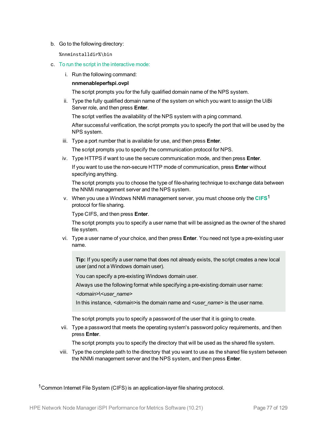b. Go to the following directory:

%nnminstalldir%\bin

#### c. To run the script in the interactive mode:

i. Run the following command:

#### **nnmenableperfspi.ovpl**

The script prompts you for the fully qualified domain name of the NPS system.

ii. Type the fully qualified domain name of the system on which you want to assign the UiBi Server role, and then press **Enter**.

The script verifies the availability of the NPS system with a ping command.

After successful verification, the script prompts you to specify the port that will be used by the NPS system.

iii. Type a port number that is available for use, and then press **Enter**.

The script prompts you to specify the communication protocol for NPS.

iv. Type HTTPS if want to use the secure communication mode, and then press **Enter**.

If you want to use the non-secure HTTP mode of communication, press **Enter** without specifying anything.

The script prompts you to choose the type of file-sharing technique to exchange data between the NNMi management server and the NPS system.

v. When you use a Windows NNMi management server, you must choose only the **CIFS**1 protocol for file sharing.

Type CIFS, and then press **Enter**.

The script prompts you to specify a user name that will be assigned as the owner of the shared file system.

vi. Type a user name of your choice, and then press **Enter**. You need not type a pre-existing user name.

**Tip:** If you specify a user name that does not already exists, the script creates a new local user (and not a Windows domain user).

You can specify a pre-existing Windows domain user.

Always use the following format while specifying a pre-existing domain user name:

*<domain>***\***<user\_name>*

In this instance, *<domain>*is the domain name and *<user\_name>* is the user name.

The script prompts you to specify a password of the user that it is going to create.

vii. Type a password that meets the operating system's password policy requirements, and then press **Enter**.

The script prompts you to specify the directory that will be used as the shared file system.

viii. Type the complete path to the directory that you want to use as the shared file system between the NNMi management server and the NPS system, and then press **Enter**.

<sup>1</sup> Common Internet File System (CIFS) is an application-layer file sharing protocol.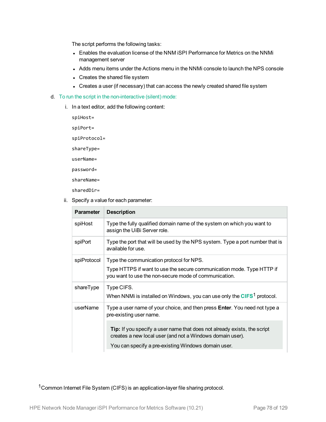The script performs the following tasks:

- Enables the evaluation license of the NNM iSPI Performance for Metrics on the NNMi management server
- Adds menu items under the Actions menu in the NNMi console to launch the NPS console
- Creates the shared file system
- Creates a user (if necessary) that can access the newly created shared file system
- d. To run the script in the non-interactive (silent) mode:
	- i. In a text editor, add the following content:

spiHost= spiPort= spiProtocol= shareType= userName= password= shareName= sharedDir=

ii. Specify a value for each parameter:

| <b>Parameter</b> | <b>Description</b>                                                                                                                                                                           |
|------------------|----------------------------------------------------------------------------------------------------------------------------------------------------------------------------------------------|
| spiHost          | Type the fully qualified domain name of the system on which you want to<br>assign the UiBi Server role.                                                                                      |
| spiPort          | Type the port that will be used by the NPS system. Type a port number that is<br>available for use.                                                                                          |
| spiProtocol      | Type the communication protocol for NPS.<br>Type HTTPS if want to use the secure communication mode. Type HTTP if<br>you want to use the non-secure mode of communication.                   |
| shareType        | Type CIFS.<br>When NNMi is installed on Windows, you can use only the CIFS <sup>1</sup> protocol.                                                                                            |
| userName         | Type a user name of your choice, and then press <b>Enter</b> . You need not type a<br>pre-existing user name.                                                                                |
|                  | Tip: If you specify a user name that does not already exists, the script<br>creates a new local user (and not a Windows domain user).<br>You can specify a pre-existing Windows domain user. |
|                  |                                                                                                                                                                                              |

<sup>1</sup> Common Internet File System (CIFS) is an application-layer file sharing protocol.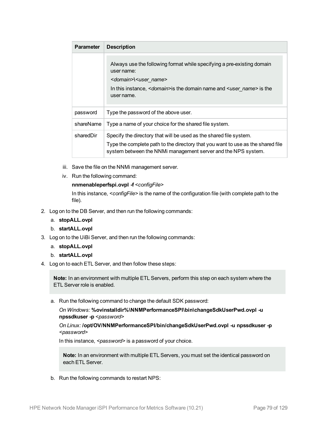| <b>Parameter</b> | <b>Description</b>                                                                                                                                                                                                                                              |
|------------------|-----------------------------------------------------------------------------------------------------------------------------------------------------------------------------------------------------------------------------------------------------------------|
|                  | Always use the following format while specifying a pre-existing domain<br>user name:<br><domain>\<user name=""><br/>In this instance, <math>\le</math> domain &gt; is the domain name and <math>\le</math> user name &gt; is the<br/>user name.</user></domain> |
| password         | Type the password of the above user.                                                                                                                                                                                                                            |
| shareName        | Type a name of your choice for the shared file system.                                                                                                                                                                                                          |
| sharedDir        | Specify the directory that will be used as the shared file system.<br>Type the complete path to the directory that you want to use as the shared file<br>system between the NNMi management server and the NPS system.                                          |

- iii. Save the file on the NNMi management server.
- iv. Run the following command:

#### **nnmenableperfspi.ovpl -f** *<configFile>*

In this instance, *<configFile>* is the name of the configuration file (with complete path to the file).

- 2. Log on to the DB Server, and then run the following commands:
	- a. **stopALL.ovpl**
	- b. **startALL.ovpl**
- 3. Log on to the UiBi Server, and then run the following commands:
	- a. **stopALL.ovpl**
	- b. **startALL.ovpl**
- 4. Log on to each ETL Server, and then follow these steps:

**Note:** In an environment with multiple ETL Servers, perform this step on each system where the ETL Server role is enabled.

a. Run the following command to change the default SDK password:

*On Windows:* **%ovinstalldir%\NNMPerformanceSPI\bin\changeSdkUserPwd.ovpl -u npssdkuser -p** *<password>*

*On Linux:* **/opt/OV/NNMPerformanceSPI/bin/changeSdkUserPwd.ovpl -u npssdkuser -p** *<password>*

In this instance, *<password>* is a password of your choice.

**Note:** In an environment with multiple ETL Servers, you must set the identical password on each ETL Server.

b. Run the following commands to restart NPS: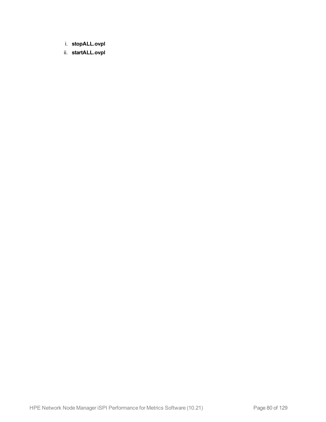- i. **stopALL.ovpl**
- ii. **startALL.ovpl**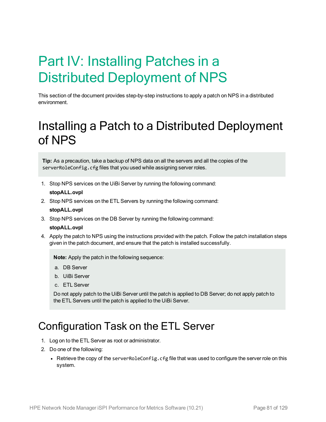# <span id="page-80-0"></span>Part IV: Installing Patches in a Distributed Deployment of NPS

This section of the document provides step-by-step instructions to apply a patch on NPS in a distributed environment.

### Installing a Patch to a Distributed Deployment of NPS

**Tip:** As a precaution, take a backup of NPS data on all the servers and all the copies of the serverRoleConfig.cfg files that you used while assigning server roles.

1. Stop NPS services on the UiBi Server by running the following command:

#### **stopALL.ovpl**

2. Stop NPS services on the ETL Servers by running the following command:

#### **stopALL.ovpl**

3. Stop NPS services on the DB Server by running the following command:

#### **stopALL.ovpl**

4. Apply the patch to NPS using the instructions provided with the patch. Follow the patch installation steps given in the patch document, and ensure that the patch is installed successfully.

**Note:** Apply the patch in the following sequence:

- a. DB Server
- b. UiBi Server
- c. ETL Server

Do not apply patch to the UiBi Server until the patch is applied to DB Server; do not apply patch to the ETL Servers until the patch is applied to the UiBi Server.

### Configuration Task on the ETL Server

- 1. Log on to the ETL Server as root or administrator.
- 2. Do one of the following:
	- Retrieve the copy of the serverRoleConfig.cfg file that was used to configure the server role on this system.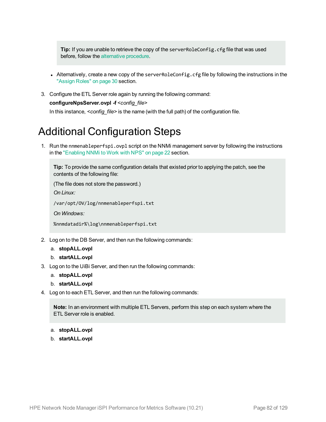**Tip:** If you are unable to retrieve the copy of the serverRoleConfig.cfg file that was used before, follow the [alternative](#page-81-0) procedure.

- <span id="page-81-0"></span>• Alternatively, create a new copy of the serverRoleConfig.cfg file by following the instructions in the ["Assign](#page-29-0) Roles" on page 30 section.
- 3. Configure the ETL Server role again by running the following command:

**configureNpsServer.ovpl -f** *<config\_file>*

In this instance, *<config\_file>* is the name (with the full path) of the configuration file.

### Additional Configuration Steps

1. Run the nnmenableperfspi.ovpl script on the NNMi management server by following the instructions in the ["Enabling](#page-21-0) NNMi to Work with NPS" on page 22 section.

**Tip:** To provide the same configuration details that existed prior to applying the patch, see the contents of the following file:

(The file does not store the password.)

*On Linux:*

/var/opt/OV/log/nnmenableperfspi.txt

*On Windows:*

%nnmdatadir%\log\nnmenableperfspi.txt

- 2. Log on to the DB Server, and then run the following commands:
	- a. **stopALL.ovpl**
	- b. **startALL.ovpl**
- 3. Log on to the UiBi Server, and then run the following commands:
	- a. **stopALL.ovpl**
	- b. **startALL.ovpl**
- 4. Log on to each ETL Server, and then run the following commands:

**Note:** In an environment with multiple ETL Servers, perform this step on each system where the ETL Server role is enabled.

- a. **stopALL.ovpl**
- b. **startALL.ovpl**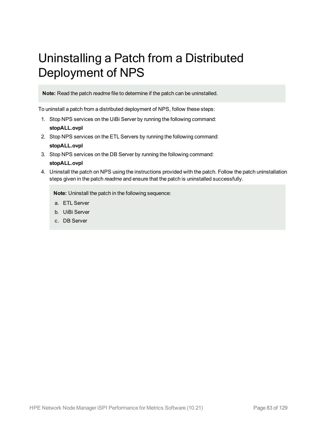### Uninstalling a Patch from a Distributed Deployment of NPS

**Note:** Read the patch *readme* file to determine if the patch can be uninstalled.

To uninstall a patch from a distributed deployment of NPS, follow these steps:

- 1. Stop NPS services on the UiBi Server by running the following command: **stopALL.ovpl**
- 2. Stop NPS services on the ETL Servers by running the following command:

#### **stopALL.ovpl**

3. Stop NPS services on the DB Server by running the following command:

#### **stopALL.ovpl**

4. Uninstall the patch on NPS using the instructions provided with the patch. Follow the patch uninstallation steps given in the patch *readme* and ensure that the patch is uninstalled successfully.

**Note:** Uninstall the patch in the following sequence:

- a. ETL Server
- b. UiBi Server
- c. DB Server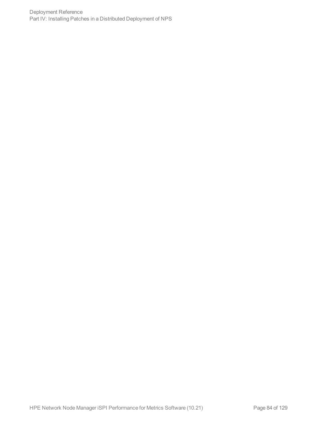Deployment Reference Part IV: Installing Patches in a Distributed Deployment of NPS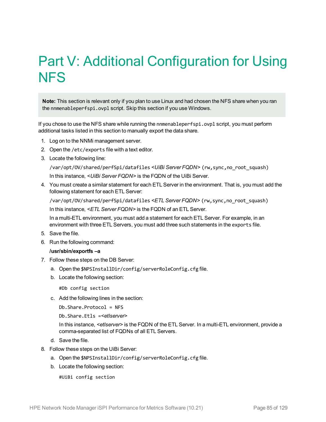# Part V: Additional Configuration for Using **NFS**

**Note:** This section is relevant only if you plan to use Linux and had chosen the NFS share when you ran the nnmenableperfspi.ovpl script. Skip this section if you use Windows.

If you chose to use the NFS share while running the nnmenableperfspi.ovpl script, you must perform additional tasks listed in this section to manually export the data share.

- 1. Log on to the NNMi management server.
- 2. Open the /etc/exports file with a text editor.
- 3. Locate the following line:

/var/opt/OV/shared/perfSpi/datafiles *<UiBi Server FQDN>* (rw,sync,no\_root\_squash) In this instance, *<UiBi Server FQDN>* is the FQDN of the UiBi Server.

4. You must create a similar statement for each ETL Server in the environment. That is, you must add the following statement for each ETL Server:

/var/opt/OV/shared/perfSpi/datafiles *<ETL Server FQDN>* (rw,sync,no\_root\_squash)

In this instance, *<ETL Server FQDN>* is the FQDN of an ETL Server.

In a multi-ETL environment, you must add a statement for each ETL Server. For example, in an environment with three ETL Servers, you must add three such statements in the exports file.

- 5. Save the file.
- 6. Run the following command:

#### **/usr/sbin/exportfs –a**

- 7. Follow these steps on the DB Server:
	- a. Open the \$NPSInstallDir/config/serverRoleConfig.cfg file.
	- b. Locate the following section:

#Db config section

c. Add the following lines in the section:

Db.Share.Protocol = NFS

Db.Share.Etls =*<etlserver>*

In this instance, *<etlserver>* is the FQDN of the ETL Server. In a multi-ETL environment, provide a comma-separated list of FQDNs of all ETL Servers.

- d. Save the file.
- 8. Follow these steps on the UiBi Server:
	- a. Open the \$NPSInstallDir/config/serverRoleConfig.cfg file.
	- b. Locate the following section:

#UiBi config section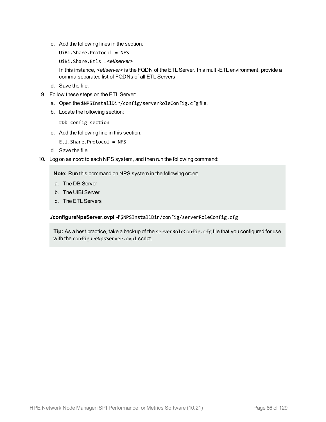c. Add the following lines in the section:

UiBi.Share.Protocol = NFS

UiBi.Share.Etls =*<etlserver>*

In this instance, *<etlserver>* is the FQDN of the ETL Server. In a multi-ETL environment, provide a comma-separated list of FQDNs of all ETL Servers.

- d. Save the file.
- 9. Follow these steps on the ETL Server:
	- a. Open the \$NPSInstallDir/config/serverRoleConfig.cfg file.
	- b. Locate the following section:

#Db config section

- c. Add the following line in this section:
	- Etl.Share.Protocol = NFS
- d. Save the file.
- 10. Log on as root to each NPS system, and then run the following command:

**Note:** Run this command on NPS system in the following order:

- a. The DB Server
- b. The UiBi Server
- c. The ETL Servers

**./configureNpsServer.ovpl -f** \$NPSInstallDir/config/serverRoleConfig.cfg

**Tip:** As a best practice, take a backup of the serverRoleConfig.cfg file that you configured for use with the configureNpsServer.ovpl script.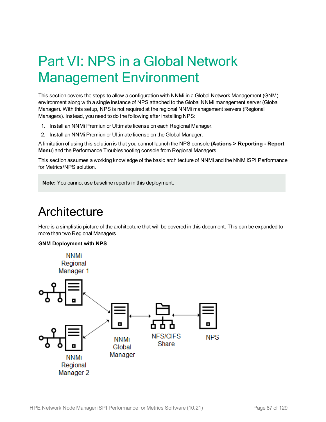# Part VI: NPS in a Global Network Management Environment

This section covers the steps to allow a configuration with NNMi in a Global Network Management (GNM) environment along with a single instance of NPS attached to the Global NNMi management server (Global Manager). With this setup, NPS is not required at the regional NNMi management servers (Regional Managers). Instead, you need to do the following after installing NPS:

- 1. Install an NNMi Premiun or Ultimate license on each Regional Manager.
- 2. Install an NNMi Premiun or Ultimate license on the Global Manager.

A limitation of using this solution is that you cannot launch the NPS console (**Actions > Reporting - Report Menu**) and the Performance Troubleshooting console from Regional Managers.

This section assumes a working knowledge of the basic architecture of NNMi and the NNM iSPI Performance for Metrics/NPS solution.

**Note:** You cannot use baseline reports in this deployment.

### **Architecture**

Here is a simplistic picture of the architecture that will be covered in this document. This can be expanded to more than two Regional Managers.

#### **GNM Deployment with NPS**

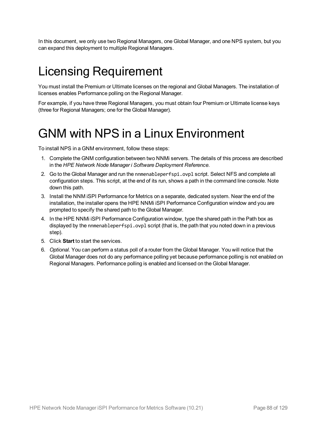In this document, we only use two Regional Managers, one Global Manager, and one NPS system, but you can expand this deployment to multiple Regional Managers.

## Licensing Requirement

You must install the Premium or Ultimate licenses on the regional and Global Managers. The installation of licenses enables Performance polling on the Regional Manager.

For example, if you have three Regional Managers, you must obtain four Premium or Ultimate license keys (three for Regional Managers; one for the Global Manager).

### GNM with NPS in a Linux Environment

To install NPS in a GNM environment, follow these steps:

- 1. Complete the GNM configuration between two NNMi servers. The details of this process are described in the *HPE Network Node Manager i Software Deployment Reference*.
- 2. Go to the Global Manager and run the nnmenableperfspi.ovpl script. Select NFS and complete all configuration steps. This script, at the end of its run, shows a path in the command line console. Note down this path.
- 3. Install the NNM iSPI Performance for Metrics on a separate, dedicated system. Near the end of the installation, the installer opens the HPE NNMi iSPI Performance Configuration window and you are prompted to specify the shared path to the Global Manager.
- 4. In the HPE NNMi iSPI Performance Configuration window, type the shared path in the Path box as displayed by the nnmenableperfspi.ovpl script (that is, the path that you noted down in a previous step).
- 5. Click **Start** to start the services.
- 6. *Optional.* You can perform a status poll of a router from the Global Manager. You will notice that the Global Manager does not do any performance polling yet because performance polling is not enabled on Regional Managers. Performance polling is enabled and licensed on the Global Manager.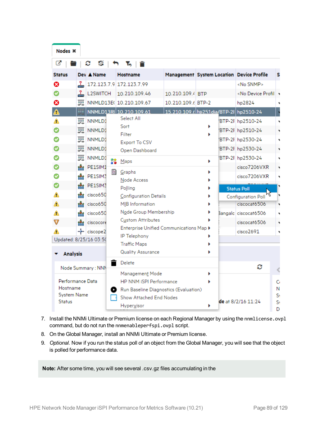| Nodes <b>*</b>          |     |                          |                                                                     |                            |                                |  |                                       |   |                    |                                                         |               |
|-------------------------|-----|--------------------------|---------------------------------------------------------------------|----------------------------|--------------------------------|--|---------------------------------------|---|--------------------|---------------------------------------------------------|---------------|
| ♂                       |     | ⊮<br>C.                  |                                                                     | 16   首                     |                                |  |                                       |   |                    |                                                         |               |
| <b>Status</b>           |     | Dev A Name               |                                                                     | <b>Hostname</b>            |                                |  |                                       |   |                    | Management System Location Device Profile               | s             |
| ø                       | 1   | 172.123.7.9 172.123.7.99 |                                                                     |                            |                                |  |                                       |   |                    | <no snmp=""></no>                                       |               |
| Ø                       | 1   | L2SWITCH                 |                                                                     | 10.210.109.46              |                                |  | 10.210.109.4 BTP                      |   |                    | <no device="" profil="" th=""  ="" •<=""><th></th></no> |               |
| ⊗                       | 婯   | NNMLD13E(10.210.109.67   |                                                                     |                            |                                |  | 10.210.109 / BTP-2                    |   |                    | hp2824                                                  |               |
| ◬                       |     | NNMLD13RI 10.210.109.61  |                                                                     |                            |                                |  | 15.210.109. (hp251.dia/BTP-21         |   |                    | hp2510-24                                               |               |
| А                       |     | <b>甄 NNMLD1</b>          |                                                                     | Select All                 |                                |  |                                       |   |                    | BTP-2I hp2510-24                                        |               |
| Ø                       | 甄   | NNMLD1                   |                                                                     | Sort<br>Filter             |                                |  |                                       |   |                    | BTP-2I hp2510-24                                        |               |
|                         |     | <b>驱</b> NNMLD1          |                                                                     |                            | Export To CSV                  |  |                                       |   |                    | BTP-2I hp2530-24                                        |               |
| Ø                       |     | <b>剪</b> NNMLD1          |                                                                     |                            | Open Dashboard                 |  |                                       |   |                    | BTP-2I hp2530-24                                        | ٠             |
|                         | 燛   | NNMLD1                   | R,                                                                  | Maps                       |                                |  |                                       | ۱ |                    | BTP-2I hp2530-24                                        |               |
| Ø                       | 盘   | PE1SIM1                  |                                                                     |                            |                                |  |                                       |   |                    | cisco7206VXR                                            | ٠             |
| Ø                       | 嵞   | PE1SIM3                  |                                                                     | 國<br>Graphs<br>Node Access |                                |  |                                       |   | cisco7206VXR       | ٠                                                       |               |
| Ø                       | 盘   | PE1SIM3                  | Polling                                                             |                            |                                |  |                                       |   | <b>Status Poll</b> |                                                         |               |
| А                       | 嵞   | cisco650                 |                                                                     |                            | <b>Configuration Details</b>   |  |                                       |   |                    | <b>Configuration Poll</b>                               |               |
| А                       | ਬੀਰ | cisco650                 |                                                                     | <b>MIB</b> Information     |                                |  |                                       |   |                    | ciscocat6506                                            |               |
| А                       | 盘t  | cisco650                 |                                                                     |                            | Node Group Membership          |  |                                       |   |                    | Bangalo ciscocat6506                                    |               |
| v                       | 盘   | ciscocore                | <b>Custom Attributes</b><br>Enterprise Unified Communications Map > |                            |                                |  |                                       |   |                    | ciscocat6506                                            | ٠             |
| А                       |     | ·· ciscope2              |                                                                     |                            | <b>IP Telephony</b>            |  |                                       |   |                    | cisco2691                                               |               |
| Updated: 8/25/16 03:50  |     |                          |                                                                     | <b>Traffic Maps</b>        |                                |  |                                       |   |                    |                                                         |               |
| <b>Analysis</b>         |     |                          |                                                                     |                            | <b>Quality Assurance</b>       |  |                                       |   |                    |                                                         |               |
|                         |     |                          |                                                                     | Delete                     |                                |  |                                       |   |                    | c                                                       |               |
|                         |     | Node Summary: NNN        |                                                                     |                            | Management Mode                |  |                                       | ۱ |                    |                                                         |               |
| Performance Data        |     |                          |                                                                     |                            | <b>HP NNM iSPI Performance</b> |  |                                       |   |                    |                                                         | Cı            |
| Hostname<br>System Name |     |                          |                                                                     |                            |                                |  | Run Baseline Diagnostics (Evaluation) |   |                    |                                                         | Ν             |
| <b>Status</b>           |     |                          |                                                                     | Hypervisor                 | <b>Show Attached End Nodes</b> |  |                                       | Þ |                    | de at 8/2/16 11:24                                      | S١<br>S١<br>D |

- 7. Install the NNMi Ultimate or Premium license on each Regional Manager by using the nnmlicense.ovpl command, but do not run the nnmenableperfspi.ovpl script.
- 8. On the Global Manager, install an NNMi Ultimate or Premium license.
- 9. *Optional.* Now if you run the status poll of an object from the Global Manager, you will see that the object is polled for performance data.

**Note:** After some time, you will see several .csv.gz files accumulating in the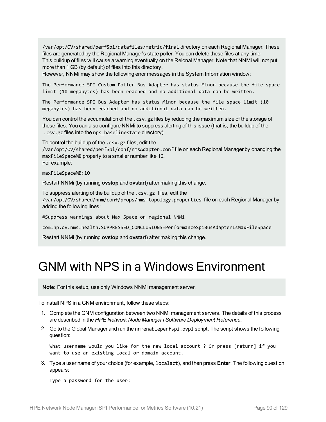/var/opt/OV/shared/perfSpi/datafiles/metric/final directory on each Regional Manager. These files are generated by the Regional Manager's state poller. You can delete these files at any time. This buildup of files will cause a warning eventually on the Reional Manager. Note that NNMi will not put more than 1 GB (by default) of files into this directory.

However, NNMi may show the following error messages in the System Information window:

The Performance SPI Custom Poller Bus Adapter has status Minor because the file space limit (10 megabytes) has been reached and no additional data can be written.

The Performance SPI Bus Adapter has status Minor because the file space limit (10 megabytes) has been reached and no additional data can be written.

You can control the accumulation of the .csv.gz files by reducing the maximum size of the storage of these files. You can also configure NNMi to suppress alerting of this issue (that is, the buildup of the .csv.gz files into the nps\_baselinestate directory).

To control the buildup of the .csv.gz files, edit the /var/opt/OV/shared/perfSpi/conf/nmsAdapter.conf file on each Regional Manager by changing the maxFileSpaceMB property to a smaller number like 10. For example:

maxFileSpaceMB:10

Restart NNMi (by running **ovstop** and **ovstart**) after making this change.

To suppress alerting of the buildup of the .csv.gz files, edit the /var/opt/OV/shared/nnm/conf/props/nms-topology.properties file on each Regional Manager by adding the following lines:

#Suppress warnings about Max Space on regional NNMi

com.hp.ov.nms.health.SUPPRESSED\_CONCLUSIONS=PerformanceSpiBusAdapterIsMaxFileSpace

<span id="page-89-0"></span>Restart NNMi (by running **ovstop** and **ovstart**) after making this change.

### GNM with NPS in a Windows Environment

**Note:** For this setup, use only Windows NNMi management server.

To install NPS in a GNM environment, follow these steps:

- 1. Complete the GNM configuration between two NNMi management servers. The details of this process are described in the *HPE Network Node Manager i Software Deployment Reference*.
- 2. Go to the Global Manager and run the nnmenableperfspi.ovpl script. The script shows the following question:

What username would you like for the new local account ? Or press [return] if you want to use an existing local or domain account.

3. Type a user name of your choice (for example, localact), and then press **Enter**. The following question appears:

Type a password for the user: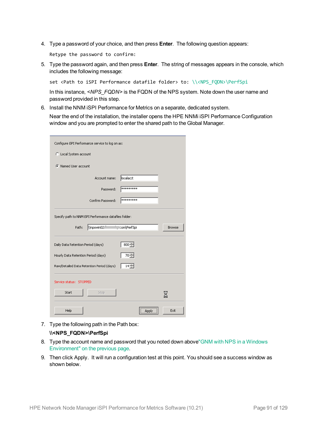4. Type a password of your choice, and then press **Enter**. The following question appears:

Retype the password to confirm:

5. Type the password again, and then press **Enter**. The string of messages appears in the console, which includes the following message:

set <Path to iSPI Performance datafile folder> to: \\<NPS\_FQDN>\PerfSpi

In this instance, *<NPS\_FQDN>* is the FQDN of the NPS system. Note down the user name and password provided in this step.

6. Install the NNM iSPI Performance for Metrics on a separate, dedicated system.

Near the end of the installation, the installer opens the HPE NNMi iSPI Performance Configuration window and you are prompted to enter the shared path to the Global Manager.

| Configure iSPI Performance service to log on as:                               |             |        |
|--------------------------------------------------------------------------------|-------------|--------|
| C Local System account                                                         |             |        |
| C Named User account                                                           |             |        |
| Account name:                                                                  | localacct   |        |
| Password:                                                                      | *********   |        |
| Confirm Password:                                                              | *********   |        |
| Specify path to NNM iSPI Performance datafiles folder:<br>\\npswin02.<br>Path: | com\PerfSpi | Browse |
| Daily Data Retention Period (days)                                             | $800 -$     |        |
| Hourly Data Retention Period (days)                                            | $70 -$      |        |
| Raw/Detailed Data Retention Period (days)                                      | $14 -$      |        |
| Service status: STOPPED                                                        |             |        |
| Start<br>Stop                                                                  |             | ⊠      |
| Help                                                                           | Apply       | Exit   |

7. Type the following path in the Path box:

#### **\\<NPS\_FQDN>\PerfSpi**

- 8. Type the account name and password that you noted down above"GNM with NPS in a [Windows](#page-89-0) [Environment"](#page-89-0) on the previous page.
- 9. Then click Apply. It will run a configuration test at this point. You should see a success window as shown below.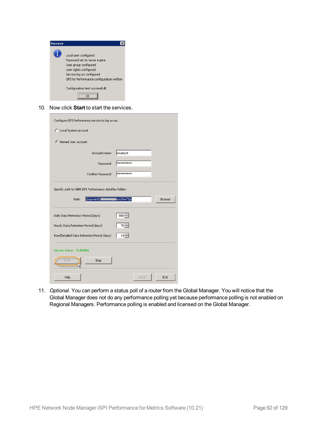

10. Now click **Start** to start the services.

| Configure iSPI Performance service to log on as:       |             |        |
|--------------------------------------------------------|-------------|--------|
| C Local System account                                 |             |        |
| C Named User account                                   |             |        |
| Account name:                                          | localacct   |        |
| Password:                                              | ********    |        |
| Confirm Password:                                      | *********   |        |
| Specify path to NNM iSPI Performance datafiles folder: |             |        |
| npswin02<br>Path:                                      | tom\PerfSpi | Browse |
| Daily Data Retention Period (days)                     | $800 - 1$   |        |
| Hourly Data Retention Period (days)                    | $70 -$      |        |
| Raw/Detailed Data Retention Period (days)              | $14 -$      |        |
| Service status: RUNNING                                |             |        |
| Start<br>Stop                                          |             |        |

11. *Optional.* You can perform a status poll of a router from the Global Manager. You will notice that the Global Manager does not do any performance polling yet because performance polling is not enabled on Regional Managers. Performance polling is enabled and licensed on the Global Manager.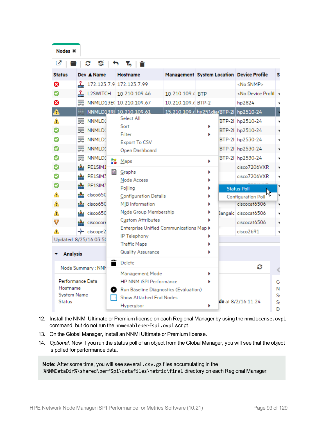| Nodes <b>*</b>          |                        |    |                                                                                                 |  |                                       |   |  |                                                    |         |
|-------------------------|------------------------|----|-------------------------------------------------------------------------------------------------|--|---------------------------------------|---|--|----------------------------------------------------|---------|
| ි                       | 龙∣<br>$\bm{c}$         |    | ЪŤ                                                                                              |  |                                       |   |  |                                                    |         |
| <b>Status</b>           | Dev A Name             |    | <b>Hostname</b>                                                                                 |  |                                       |   |  | Management System Location Device Profile          | s       |
| ø                       | 1                      |    | 172.123.7.9 172.123.7.99                                                                        |  |                                       |   |  | <no snmp=""></no>                                  |         |
| Ø                       | 1<br>L2SWITCH          |    | 10.210.109.46                                                                                   |  | 10.210.109.4 BTP                      |   |  | <no +<="" device="" profil="" td=""><td></td></no> |         |
| ☺                       | 燛                      |    | NNMLD13E(10.210.109.67                                                                          |  | 10.210.109.6 BTP-2                    |   |  | hp2824                                             |         |
| ◬                       | y.                     |    | NNMLD13RI 10.210.109.61                                                                         |  | 15.210.109. (hp251dia/BTP-21          |   |  | hp2510-24                                          |         |
| ⚠                       | <b>变</b> NNMLD1        |    | Select All<br>Sort                                                                              |  |                                       |   |  | BTP-2I hp2510-24                                   |         |
| Ø                       | <b>甄 NNMLD1</b>        |    | Filter                                                                                          |  |                                       |   |  | BTP-2I hp2510-24                                   |         |
|                         | <b>变</b> NNMLD1        |    | Export To CSV                                                                                   |  |                                       |   |  | BTP-2I hp2530-24                                   |         |
| Ø                       | <b>甄 NNMLD1</b>        |    | Open Dashboard                                                                                  |  |                                       |   |  | BTP-2I hp2530-24                                   | ٠       |
|                         | ш<br>NNMLD1            | ĸ. | Maps                                                                                            |  |                                       | Þ |  | BTP-2I hp2530-24                                   |         |
| ø                       | 矗<br>PE1SIM1           |    |                                                                                                 |  |                                       |   |  | cisco7206VXR                                       | ۰       |
| Ø                       | PE1SIM3<br>盘t          |    | 國<br>Graphs<br>Node Access<br><b>Polling</b><br><b>Configuration Details</b><br>MIB Information |  |                                       |   |  | cisco7206VXR                                       | ٠       |
| Ø                       | 盘 PE1SIM3              |    |                                                                                                 |  |                                       |   |  | <b>Status Poll</b>                                 |         |
| А                       | 盘<br>cisco650          |    |                                                                                                 |  |                                       |   |  | <b>Configuration Poll</b>                          |         |
| А                       | tĒt<br>cisco650        |    |                                                                                                 |  |                                       |   |  | ciscocat6506                                       |         |
| Α                       | 矗<br>cisco650          |    | Node Group Membership<br><b>Custom Attributes</b><br>Enterprise Unified Communications Map >    |  |                                       |   |  | Bangalo ciscocat6506                               |         |
| v                       | så:<br>ciscocore       |    |                                                                                                 |  |                                       |   |  | ciscocat6506                                       | ٠       |
| А                       | ·· ciscope2            |    | IP Telephony                                                                                    |  |                                       |   |  | cisco2691                                          |         |
|                         | Updated: 8/25/16 03:50 |    | <b>Traffic Maps</b>                                                                             |  |                                       |   |  |                                                    |         |
| <b>Analysis</b>         |                        |    | <b>Quality Assurance</b>                                                                        |  |                                       |   |  |                                                    |         |
|                         | Node Summary: NNN      |    | Delete                                                                                          |  |                                       |   |  | c                                                  |         |
|                         |                        |    | Management Mode                                                                                 |  |                                       |   |  |                                                    |         |
|                         | Performance Data       |    | <b>HP NNM iSPI Performance</b>                                                                  |  |                                       |   |  |                                                    | G       |
| Hostname<br>System Name |                        |    |                                                                                                 |  | Run Baseline Diagnostics (Evaluation) |   |  |                                                    | N<br>S١ |
| <b>Status</b>           |                        |    | <b>Show Attached End Nodes</b><br>Hypervisor                                                    |  |                                       | ь |  | de at 8/2/16 11:24                                 | S١<br>D |

- 12. Install the NNMi Ultimate or Premium license on each Regional Manager by using the nnmlicense.ovpl command, but do not run the nnmenableperfspi.ovpl script.
- 13. On the Global Manager, install an NNMi Ultimate or Premium license.
- 14. *Optional.* Now if you run the status poll of an object from the Global Manager, you will see that the object is polled for performance data.

**Note:** After some time, you will see several .csv.gz files accumulating in the %NNMDataDir%\shared\perfSpi\datafiles\metric\final directory on each Regional Manager.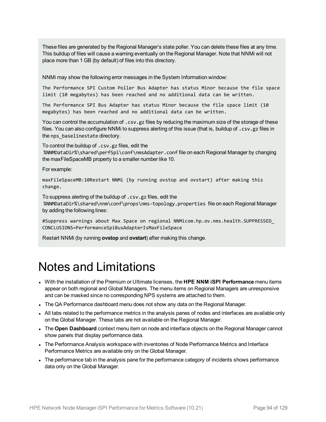These files are generated by the Regional Manager's state poller. You can delete these files at any time. This buildup of files will cause a warning eventually on the Regional Manager. Note that NNMi will not place more than 1 GB (by default) of files into this directory.

NNMi may show the following error messages in the System Information window:

The Performance SPI Custom Poller Bus Adapter has status Minor because the file space limit (10 megabytes) has been reached and no additional data can be written.

The Performance SPI Bus Adapter has status Minor because the file space limit (10 megabytes) has been reached and no additional data can be written.

You can control the accumulation of .csv.gz files by reducing the maximum size of the storage of these files. You can also configure NNMi to suppress alerting of this issue (that is, buildup of .csv.gz files in the nps\_baselinestate directory.

To control the buildup of .csv.gz files, edit the %NNMDataDir%\shared\perfSpi\conf\nmsAdapter.conf file on each Regional Manager by changing the maxFileSpaceMB property to a smaller number like 10.

For example:

maxFileSpaceMB:10Restart NNMi (by running ovstop and ovstart) after making this change.

To suppress alerting of the buildup of .csv.gz files, edit the %NNMDataDir%\shared\nnm\conf\props\nms-topology.properties file on each Regional Manager by adding the following lines:

#Suppress warnings about Max Space on regional NNMicom.hp.ov.nms.health.SUPPRESSED\_ CONCLUSIONS=PerformanceSpiBusAdapterIsMaxFileSpace

Restart NNMi (by running **ovstop** and **ovstart**) after making this change.

### Notes and Limitations

- <sup>l</sup> With the installation of the Premium or Ultimate licenses, the **HPE NNM iSPI Performance** menu items appear on both regional and Global Managers. The menu items on Regional Managers are unresponsive and can be masked since no corresponding NPS systems are attached to them.
- The QA Performance dashboard menu does not show any data on the Regional Manager.
- All tabs related to the performance metrics in the analysis panes of nodes and interfaces are available only on the Global Manager. These tabs are not available on the Regional Manager.
- <sup>l</sup> The **Open Dashboard** context menu item on node and interface objects on the Regional Manager cannot show panels that display performance data.
- The Performance Analysis workspace with inventories of Node Performance Metrics and Interface Performance Metrics are available only on the Global Manager.
- The performance tab in the analysis pane for the performance category of incidents shows performance data only on the Global Manager.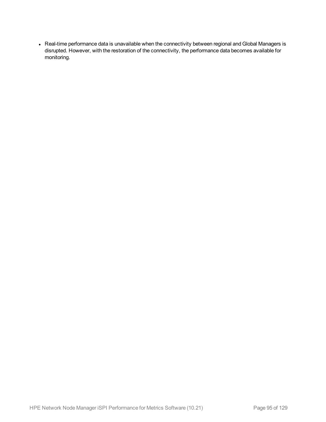• Real-time performance data is unavailable when the connectivity between regional and Global Managers is disrupted. However, with the restoration of the connectivity, the performance data becomes available for monitoring.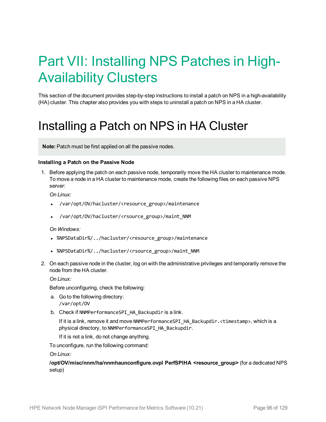# Part VII: Installing NPS Patches in High-Availability Clusters

This section of the document provides step-by-step instructions to install a patch on NPS in a high-availability (HA) cluster. This chapter also provides you with steps to uninstall a patch on NPS in a HA cluster.

### Installing a Patch on NPS in HA Cluster

**Note:** Patch must be first applied on all the passive nodes.

#### **Installing a Patch on the Passive Node**

1. Before applying the patch on each passive node, temporarily move the HA cluster to maintenance mode. To move a node in a HA cluster to maintenance mode, create the following files on each passive NPS server:

*On Linux:*

- /var/opt/OV/hacluster/<resource\_group>/maintenance
- /var/opt/OV/hacluster/<rsource\_group>/maint\_NNM

#### *On Windows:*

- <sup>l</sup> %NPSDataDir%/../hacluster/<resource\_group>/maintenance
- %NPSDataDir%/../hacluster/<rsource\_group>/maint\_NNM
- 2. On each passive node in the cluster, log on with the administrative privileges and temporarily remove the node from the HA cluster.

*On Linux:*

Before unconfiguring, check the following:

- a. Go to the following directory: /var/opt/OV
- b. Check if NNMPerformanceSPI HA Backupdir is a link.

If it is a link, remove it and move NNMPerformanceSPI\_HA\_Backupdir. <timestamp>, which is a physical directory, to NNMPerformanceSPI\_HA\_Backupdir.

If it is not a link, do not change anything.

To unconfigure, run the following command:

*On Linux:*

**/opt/OV/misc/nnm/ha/nnmhaunconfigure.ovpl PerfSPIHA <resource\_group>** (for a dedicated NPS setup)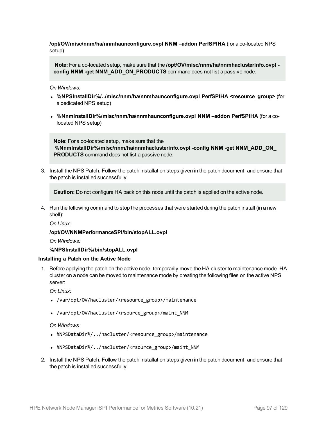**/opt/OV/misc/nnm/ha/nnmhaunconfigure.ovpl NNM –addon PerfSPIHA** (for a co-located NPS setup)

**Note:** For a co-located setup, make sure that the **/opt/OV/misc/nnm/ha/nnmhaclusterinfo.ovpl config NNM -get NNM\_ADD\_ON\_PRODUCTS** command does not list a passive node.

*On Windows:*

- <sup>l</sup> **%NPSInstallDir%/../misc/nnm/ha/nnmhaunconfigure.ovpl PerfSPIHA <resource\_group>** (for a dedicated NPS setup)
- <sup>l</sup> **%NnmInstallDir%/misc/nnm/ha/nnmhaunconfigure.ovpl NNM –addon PerfSPIHA** (for a colocated NPS setup)

**Note:** For a co-located setup, make sure that the **%NnmInstallDir%/misc/nnm/ha/nnmhaclusterinfo.ovpl -config NNM -get NNM\_ADD\_ON\_ PRODUCTS** command does not list a passive node.

3. Install the NPS Patch. Follow the patch installation steps given in the patch document, and ensure that the patch is installed successfully.

**Caution:** Do not configure HA back on this node until the patch is applied on the active node.

4. Run the following command to stop the processes that were started during the patch install (in a new shell):

*On Linux:*

#### **/opt/OV/NNMPerformanceSPI/bin/stopALL.ovpl**

*On Windows:*

**%NPSInstallDir%/bin/stopALL.ovpl**

#### **Installing a Patch on the Active Node**

1. Before applying the patch on the active node, temporarily move the HA cluster to maintenance mode. HA cluster on a node can be moved to maintenance mode by creating the following files on the active NPS server:

*On Linux:*

- /var/opt/OV/hacluster/<resource\_group>/maintenance
- /var/opt/OV/hacluster/<rsource group>/maint\_NNM

- <sup>l</sup> %NPSDataDir%/../hacluster/<resource\_group>/maintenance
- %NPSDataDir%/../hacluster/<rsource\_group>/maint\_NNM
- 2. Install the NPS Patch. Follow the patch installation steps given in the patch document, and ensure that the patch is installed successfully.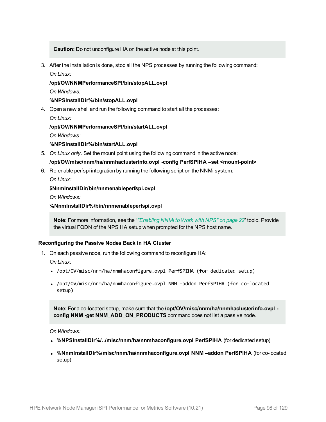**Caution:** Do not unconfigure HA on the active node at this point.

3. After the installation is done, stop all the NPS processes by running the following command:

*On Linux:*

#### **/opt/OV/NNMPerformanceSPI/bin/stopALL.ovpl**

*On Windows:*

#### **%NPSInstallDir%/bin/stopALL.ovpl**

4. Open a new shell and run the following command to start all the processes:

*On Linux:*

#### **/opt/OV/NNMPerformanceSPI/bin/startALL.ovpl**

*On Windows:*

#### **%NPSInstallDir%/bin/startALL.ovpl**

5. *On Linux only*. Set the mount point using the following command in the active node:

#### **/opt/OV/misc/nnm/ha/nnmhaclusterinfo.ovpl -config PerfSPIHA –set <mount-point>**

6. Re-enable perfspi integration by running the following script on the NNMi system:

*On Linux:*

#### **\$NnmInstallDir/bin/nnmenableperfspi.ovpl**

*On Windows:*

#### **%NnmInstallDir%/bin/nnmenableperfspi.ovpl**

**Note:** For more information, see the "*["Enabling](#page-21-0) NNMi to Work with NPS" on page 22*" topic. Provide the virtual FQDN of the NPS HA setup when prompted for the NPS host name.

#### **Reconfiguring the Passive Nodes Back in HA Cluster**

1. On each passive node, run the following command to reconfigure HA:

*On Linux:*

- <sup>l</sup> /opt/OV/misc/nnm/ha/nnmhaconfigure.ovpl PerfSPIHA (for dedicated setup)
- /opt/OV/misc/nnm/ha/nnmhaconfigure.ovpl NNM -addon PerfSPIHA (for co-located setup)

**Note:** For a co-located setup, make sure that the **/opt/OV/misc/nnm/ha/nnmhaclusterinfo.ovpl config NNM -get NNM\_ADD\_ON\_PRODUCTS** command does not list a passive node.

- <sup>l</sup> **%NPSInstallDir%/../misc/nnm/ha/nnmhaconfigure.ovpl PerfSPIHA** (for dedicated setup)
- <sup>l</sup> **%NnmInstallDir%/misc/nnm/ha/nnmhaconfigure.ovpl NNM –addon PerfSPIHA** (for co-located setup)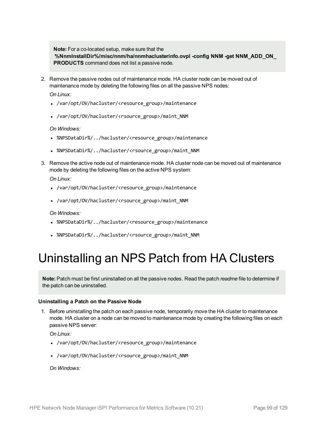**Note:** For a co-located setup, make sure that the **%NnmInstallDir%/misc/nnm/ha/nnmhaclusterinfo.ovpl -config NNM -get NNM\_ADD\_ON\_ PRODUCTS** command does not list a passive node.

2. Remove the passive nodes out of maintenance mode. HA cluster node can be moved out of maintenance mode by deleting the following files on all the passive NPS nodes:

*On Linux:*

- /var/opt/OV/hacluster/<resource\_group>/maintenance
- /var/opt/OV/hacluster/<rsource group>/maint\_NNM

*On Windows:*

- %NPSDataDir%/../hacluster/<resource\_group>/maintenance
- %NPSDataDir%/../hacluster/<rsource\_group>/maint\_NNM
- 3. Remove the active node out of maintenance mode. HA cluster node can be moved out of maintenance mode by deleting the following files on the active NPS system:

*On Linux:*

- /var/opt/OV/hacluster/<resource\_group>/maintenance
- /var/opt/OV/hacluster/<rsource group>/maint\_NNM

*On Windows:*

- %NPSDataDir%/../hacluster/<resource\_group>/maintenance
- %NPSDataDir%/../hacluster/<rsource\_group>/maint\_NNM

### Uninstalling an NPS Patch from HA Clusters

**Note:** Patch must be first uninstalled on all the passive nodes. Read the patch *readme* file to determine if the patch can be uninstalled.

#### **Uninstalling a Patch on the Passive Node**

1. Before uninstalling the patch on each passive node, temporarily move the HA cluster to maintenance mode. HA cluster on a node can be moved to maintenance mode by creating the following files on each passive NPS server:

*On Linux:*

- /var/opt/OV/hacluster/<resource group>/maintenance
- /var/opt/OV/hacluster/<rsource\_group>/maint\_NNM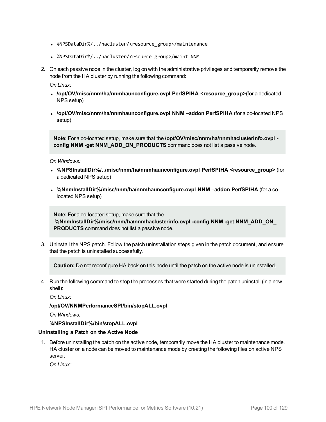- <sup>l</sup> %NPSDataDir%/../hacluster/<resource\_group>/maintenance
- <sup>l</sup> %NPSDataDir%/../hacluster/<rsource\_group>/maint\_NNM
- 2. On each passive node in the cluster, log on with the administrative privileges and temporarily remove the node from the HA cluster by running the following command:

*On Linux:*

- <sup>l</sup> **/opt/OV/misc/nnm/ha/nnmhaunconfigure.ovpl PerfSPIHA <resource\_group>**(for a dedicated NPS setup)
- <sup>l</sup> **/opt/OV/misc/nnm/ha/nnmhaunconfigure.ovpl NNM –addon PerfSPIHA** (for a co-located NPS setup)

**Note:** For a co-located setup, make sure that the **/opt/OV/misc/nnm/ha/nnmhaclusterinfo.ovpl config NNM -get NNM\_ADD\_ON\_PRODUCTS** command does not list a passive node.

#### *On Windows:*

- <sup>l</sup> **%NPSInstallDir%/../misc/nnm/ha/nnmhaunconfigure.ovpl PerfSPIHA <resource\_group>** (for a dedicated NPS setup)
- <sup>l</sup> **%NnmInstallDir%/misc/nnm/ha/nnmhaunconfigure.ovpl NNM –addon PerfSPIHA** (for a colocated NPS setup)

**Note:** For a co-located setup, make sure that the **%NnmInstallDir%/misc/nnm/ha/nnmhaclusterinfo.ovpl -config NNM -get NNM\_ADD\_ON\_ PRODUCTS** command does not list a passive node.

3. Uninstall the NPS patch. Follow the patch uninstallation steps given in the patch document, and ensure that the patch is uninstalled successfully.

**Caution:** Do not reconfigure HA back on this node until the patch on the active node is uninstalled.

4. Run the following command to stop the processes that were started during the patch uninstall (in a new shell):

*On Linux:*

#### **/opt/OV/NNMPerformanceSPI/bin/stopALL.ovpl**

*On Windows:*

#### **%NPSInstallDir%/bin/stopALL.ovpl**

#### **Uninstalling a Patch on the Active Node**

1. Before uninstalling the patch on the active node, temporarily move the HA cluster to maintenance mode. HA cluster on a node can be moved to maintenance mode by creating the following files on active NPS server:

*On Linux:*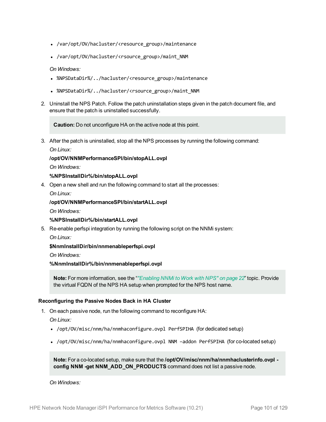- /var/opt/OV/hacluster/<resource\_group>/maintenance
- /var/opt/OV/hacluster/<rsource\_group>/maint\_NNM

#### *On Windows:*

- %NPSDataDir%/../hacluster/<resource\_group>/maintenance
- %NPSDataDir%/../hacluster/<rsource\_group>/maint\_NNM
- 2. Uninstall the NPS Patch. Follow the patch uninstallation steps given in the patch document file, and ensure that the patch is uninstalled successfully.

**Caution:** Do not unconfigure HA on the active node at this point.

3. After the patch is uninstalled, stop all the NPS processes by running the following command:

*On Linux:*

#### **/opt/OV/NNMPerformanceSPI/bin/stopALL.ovpl**

*On Windows:*

#### **%NPSInstallDir%/bin/stopALL.ovpl**

4. Open a new shell and run the following command to start all the processes:

*On Linux:*

#### **/opt/OV/NNMPerformanceSPI/bin/startALL.ovpl**

*On Windows:*

#### **%NPSInstallDir%/bin/startALL.ovpl**

5. Re-enable perfspi integration by running the following script on the NNMi system:

*On Linux:*

#### **\$NnmInstallDir/bin/nnmenableperfspi.ovpl**

*On Windows:*

#### **%NnmInstallDir%/bin/nnmenableperfspi.ovpl**

**Note:** For more information, see the "*["Enabling](#page-21-0) NNMi to Work with NPS" on page 22*" topic. Provide the virtual FQDN of the NPS HA setup when prompted for the NPS host name.

#### **Reconfiguring the Passive Nodes Back in HA Cluster**

1. On each passive node, run the following command to reconfigure HA:

*On Linux:*

- <sup>l</sup> /opt/OV/misc/nnm/ha/nnmhaconfigure.ovpl PerfSPIHA (for dedicated setup)
- /opt/OV/misc/nnm/ha/nnmhaconfigure.ovpl NNM -addon PerfSPIHA (for co-located setup)

**Note:** For a co-located setup, make sure that the **/opt/OV/misc/nnm/ha/nnmhaclusterinfo.ovpl config NNM -get NNM\_ADD\_ON\_PRODUCTS** command does not list a passive node.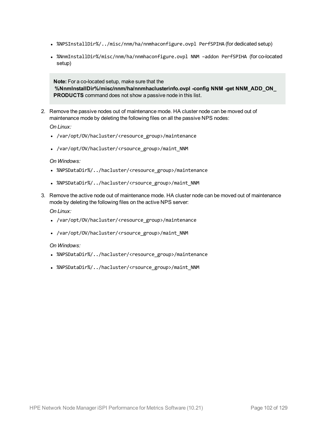- <sup>l</sup> %NPSInstallDir%/../misc/nnm/ha/nnmhaconfigure.ovpl PerfSPIHA (for dedicated setup)
- <sup>l</sup> %NnmInstallDir%/misc/nnm/ha/nnmhaconfigure.ovpl NNM –addon PerfSPIHA (for co-located setup)

**Note:** For a co-located setup, make sure that the **%NnmInstallDir%/misc/nnm/ha/nnmhaclusterinfo.ovpl -config NNM -get NNM\_ADD\_ON\_ PRODUCTS** command does not show a passive node in this list.

2. Remove the passive nodes out of maintenance mode. HA cluster node can be moved out of maintenance mode by deleting the following files on all the passive NPS nodes:

*On Linux:*

- /var/opt/OV/hacluster/<resource group>/maintenance
- /var/opt/OV/hacluster/<rsource group>/maint\_NNM

#### *On Windows:*

- <sup>l</sup> %NPSDataDir%/../hacluster/<resource\_group>/maintenance
- %NPSDataDir%/../hacluster/<rsource\_group>/maint\_NNM
- 3. Remove the active node out of maintenance mode. HA cluster node can be moved out of maintenance mode by deleting the following files on the active NPS server:

*On Linux:*

- /var/opt/OV/hacluster/<resource group>/maintenance
- /var/opt/OV/hacluster/<rsource\_group>/maint\_NNM

- <sup>l</sup> %NPSDataDir%/../hacluster/<resource\_group>/maintenance
- <sup>l</sup> %NPSDataDir%/../hacluster/<rsource\_group>/maint\_NNM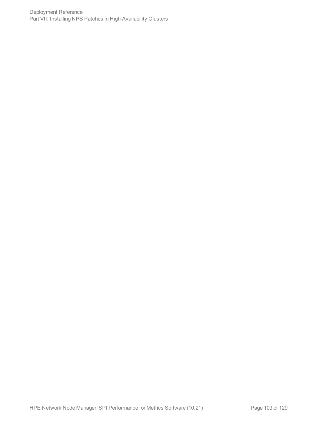Deployment Reference Part VII: Installing NPS Patches in High-Availability Clusters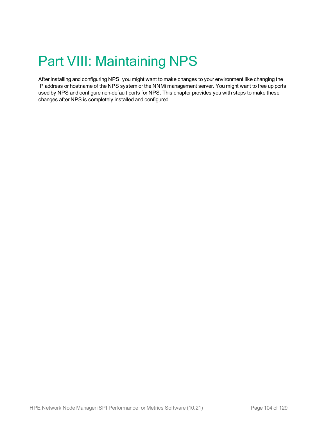# Part VIII: Maintaining NPS

After installing and configuring NPS, you might want to make changes to your environment like changing the IP address or hostname of the NPS system or the NNMi management server. You might want to free up ports used by NPS and configure non-default ports for NPS. This chapter provides you with steps to make these changes after NPS is completely installed and configured.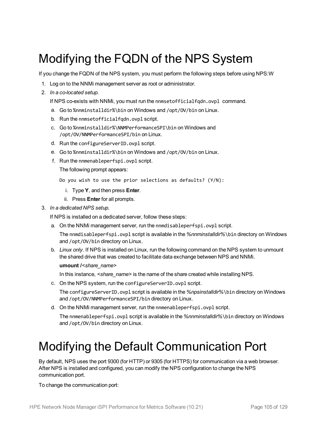## Modifying the FQDN of the NPS System

If you change the FQDN of the NPS system, you must perform the following steps before using NPS:W

- 1. Log on to the NNMi management server as root or administrator.
- 2. *In a co-located setup.*

If NPS co-exists with NNMi, you must run the nnmsetofficialfqdn.ovpl command.

- a. Go to %nnminstalldir%\bin on Windows and /opt/OV/bin on Linux.
- b. Run the nnmsetofficialfqdn.ovpl script.
- c. Go to %nnminstalldir%\NNMPerformanceSPI\bin on Windows and /opt/OV/NNMPerformanceSPI/bin on Linux.
- d. Run the configureServerID.ovpl script.
- e. Go to %nnminstalldir%\bin on Windows and /opt/OV/bin on Linux.
- f. Run the nnmenableperfspi.ovpl script.

The following prompt appears:

Do you wish to use the prior selections as defaults? (Y/N):

- i. Type **Y**, and then press **Enter**.
- ii. Press **Enter** for all prompts.
- 3. *In a dedicated NPS setup.*

If NPS is installed on a dedicated server, follow these steps:

a. On the NNMi management server, run the nnmdisableperfspi.ovpl script.

The nnmdisableperfspi.ovpl script is available in the *%nnminstalldir%*\bin directory on Windows and /opt/OV/bin directory on Linux.

b. *Linux only.* If NPS is installed on Linux, run the following command on the NPS system to unmount the shared drive that was created to facilitate data exchange between NPS and NNMi.

**umount /***<share\_name>*

In this instance, *<share name>* is the name of the share created while installing NPS.

c. On the NPS system, run the configureServerID.ovpl script.

The configureServerID.ovpl script is available in the *%npsinstalldir%*\bin directory on Windows and /opt/OV/NNMPerformanceSPI/bin directory on Linux.

d. On the NNMi management server, run the nnmenableperfspi.ovpl script.

The nnmenableperfspi.ovpl script is available in the *%nnminstalldir%*\bin directory on Windows and /opt/OV/bin directory on Linux.

### Modifying the Default Communication Port

By default, NPS uses the port 9300 (for HTTP) or 9305 (for HTTPS) for communication via a web browser. After NPS is installed and configured, you can modify the NPS configuration to change the NPS communication port.

To change the communication port: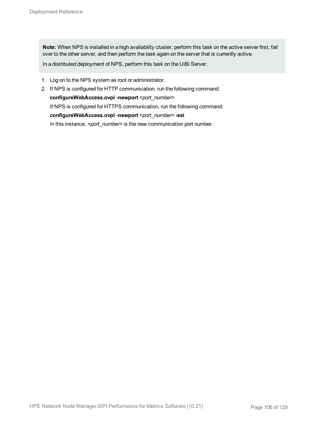**Note:** When NPS is installed in a high availability cluster, perform this task on the active server first, fail over to the other server, and then perform the task again on the server that is currently active.

In a distributed deployment of NPS, perform this task on the UiBi Server.

- 1. Log on to the NPS system as root or administrator.
- 2. If NPS is configured for HTTP communication, run the following command: **configureWebAccess.ovpl -newport** *<port\_number>* If NPS is configured for HTTPS communication, run the following command: **configureWebAccess.ovpl -newport** *<port\_number>* **-ssl** In this instance, *<port\_number>* is the new communication port number.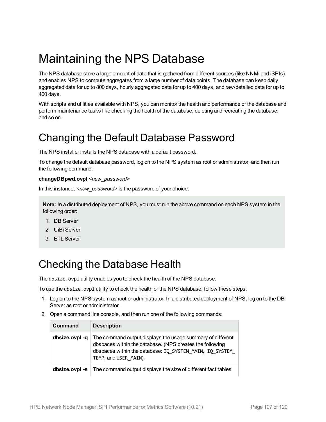## Maintaining the NPS Database

The NPS database store a large amount of data that is gathered from different sources (like NNMi and iSPIs) and enables NPS to compute aggregates from a large number of data points. The database can keep daily aggregated data for up to 800 days, hourly aggregated data for up to 400 days, and raw/detailed data for up to 400 days.

With scripts and utilities available with NPS, you can monitor the health and performance of the database and perform maintenance tasks like checking the health of the database, deleting and recreating the database, and so on.

### Changing the Default Database Password

The NPS installer installs the NPS database with a default password.

To change the default database password, log on to the NPS system as root or administrator, and then run the following command:

#### changeDBpwd.ovpl <new\_password>

In this instance, *<new\_password>* is the password of your choice.

**Note:** In a distributed deployment of NPS, you must run the above command on each NPS system in the following order:

- 1. DB Server
- 2. UiBi Server
- 3. ETL Server

**The Co** 

### Checking the Database Health

<u> 1999 - Jan James Barnett, politik politik (</u>

The dbsize.ovpl utility enables you to check the health of the NPS database.

To use the dbsize.ovpl utility to check the health of the NPS database, follow these steps:

- 1. Log on to the NPS system as root or administrator. In a distributed deployment of NPS, log on to the DB Server as root or administrator.
- 2. Open a command line console, and then run one of the following commands:

| Command        | <b>Description</b>                                                                                                                                                                                         |
|----------------|------------------------------------------------------------------------------------------------------------------------------------------------------------------------------------------------------------|
| dbsize.ovpl -q | The command output displays the usage summary of different<br>dbspaces within the database. (NPS creates the following<br>dbspaces within the database: IQ SYSTEM MAIN, IQ SYSTEM<br>TEMP, and USER MAIN). |
|                | <b>dbsize.ovpl</b> -s $\vert$ The command output displays the size of different fact tables                                                                                                                |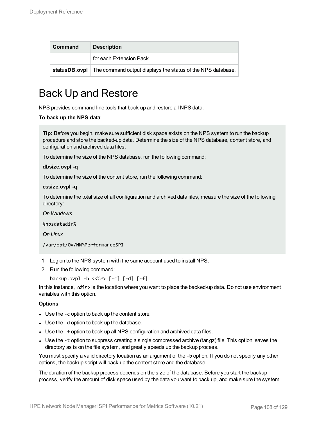| Command | <b>Description</b>                                                               |
|---------|----------------------------------------------------------------------------------|
|         | for each Extension Pack.                                                         |
|         | <b>statusDB.ovpl</b> The command output displays the status of the NPS database. |

### Back Up and Restore

NPS provides command-line tools that back up and restore all NPS data.

```
To back up the NPS data:
```
**Tip:** Before you begin, make sure sufficient disk space exists on the NPS system to run the backup procedure and store the backed-up data. Determine the size of the NPS database, content store, and configuration and archived data files.

To determine the size of the NPS database, run the following command:

#### **dbsize.ovpl -q**

To determine the size of the content store, run the following command:

#### **cssize.ovpl -q**

To determine the total size of all configuration and archived data files, measure the size of the following directory:

*On Windows*

%npsdatadir%

*On Linux*

/var/opt/OV/NNMPerformanceSPI

- 1. Log on to the NPS system with the same account used to install NPS.
- 2. Run the following command:

backup.ovpl -b <*dir*> [-c] [-d] [-f]

In this instance,  $\langle \text{div} \rangle$  is the location where you want to place the backed-up data. Do not use environment variables with this option.

#### **Options**

- Use the -c option to back up the content store.
- Use the -d option to back up the database.
- Use the -f option to back up all NPS configuration and archived data files.
- Use the -t option to suppress creating a single compressed archive (tar.gz) file. This option leaves the directory as is on the file system, and greatly speeds up the backup process.

You must specify a valid directory location as an argument of the -b option. If you do not specify any other options, the backup script will back up the content store and the database.

The duration of the backup process depends on the size of the database. Before you start the backup process, verify the amount of disk space used by the data you want to back up, and make sure the system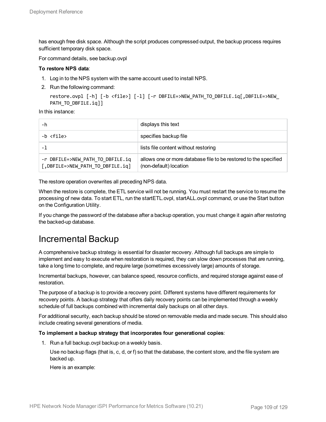has enough free disk space. Although the script produces compressed output, the backup process requires sufficient temporary disk space.

For command details, see backup.ovpl

#### **To restore NPS data**:

- 1. Log in to the NPS system with the same account used to install NPS.
- 2. Run the following command:

```
restore.ovpl [-h] [-b <file>] [-l] [-r DBFILE=>NEW PATH TO DBFILE.iq[,DBFILE=>NEW
PATH_TO_DBFILE.iq]]
```
In this instance:

| -h                                                                    | displays this text                                                                         |
|-----------------------------------------------------------------------|--------------------------------------------------------------------------------------------|
| -b <file></file>                                                      | specifies backup file                                                                      |
|                                                                       | lists file content without restoring                                                       |
| -r DBFILE=>NEW PATH TO DBFILE.iq<br>[, DBFILE=>NEW PATH TO DBFILE.iq] | allows one or more database file to be restored to the specified<br>(non-default) location |

The restore operation overwrites all preceding NPS data.

When the restore is complete, the ETL service will not be running. You must restart the service to resume the processing of new data. To start ETL, run the startETL.ovpl, startALL.ovpl command, or use the Start button on the Configuration Utility.

If you change the password of the database after a backup operation, you must change it again after restoring the backed-up database.

## Incremental Backup

A comprehensive backup strategy is essential for disaster recovery. Although full backups are simple to implement and easy to execute when restoration is required, they can slow down processes that are running, take a long time to complete, and require large (sometimes excessively large) amounts of storage.

Incremental backups, however, can balance speed, resource conflicts, and required storage against ease of restoration.

The purpose of a backup is to provide a recovery point. Different systems have different requirements for recovery points. A backup strategy that offers daily recovery points can be implemented through a weekly schedule of full backups combined with incremental daily backups on all other days.

For additional security, each backup should be stored on removable media and made secure. This should also include creating several generations of media.

#### **To implement a backup strategy that incorporates four generational copies**:

1. Run a full backup.ovpl backup on a weekly basis.

Use no backup flags (that is, c, d, or f) so that the database, the content store, and the file system are backed up.

Here is an example: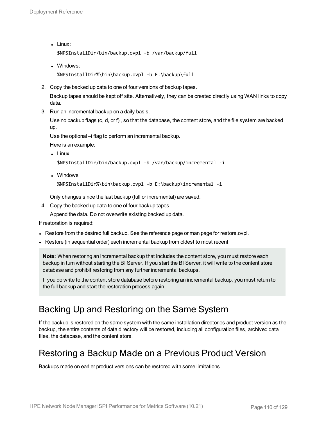- Linux: \$NPSInstallDir/bin/backup.ovpl -b /var/backup/full
- Windows: %NPSInstallDir%\bin\backup.ovpl -b E:\backup\full
- 2. Copy the backed up data to one of four versions of backup tapes.

Backup tapes should be kept off site. Alternatively, they can be created directly using WAN links to copy data.

3. Run an incremental backup on a daily basis.

Use no backup flags (c, d, or f) , so that the database, the content store, and the file system are backed up.

Use the optional  $-i$  flag to perform an incremental backup.

Here is an example:

 $\bullet$  Linux

\$NPSInstallDir/bin/backup.ovpl -b /var/backup/incremental -i

• Windows

%NPSInstallDir%\bin\backup.ovpl -b E:\backup\incremental -i

Only changes since the last backup (full or incremental) are saved.

4. Copy the backed up data to one of four backup tapes.

Append the data. Do not overwrite existing backed up data.

If restoration is required:

- Restore from the desired full backup. See the reference page or man page for restore.ovpl.
- Restore (in sequential order) each incremental backup from oldest to most recent.

**Note:** When restoring an incremental backup that includes the content store, you must restore each backup in turn without starting the BI Server. If you start the BI Server, it will write to the content store database and prohibit restoring from any further incremental backups.

If you do write to the content store database before restoring an incremental backup, you must return to the full backup and start the restoration process again.

## Backing Up and Restoring on the Same System

If the backup is restored on the same system with the same installation directories and product version as the backup, the entire contents of data directory will be restored, including all configuration files, archived data files, the database, and the content store.

## Restoring a Backup Made on a Previous Product Version

Backups made on earlier product versions can be restored with some limitations.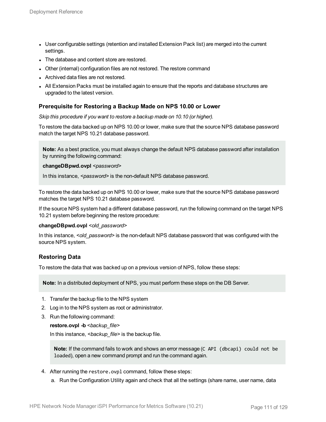- User configurable settings (retention and installed Extension Pack list) are merged into the current settings.
- The database and content store are restored.
- Other (internal) configuration files are not restored. The restore command
- Archived data files are not restored.
- All Extension Packs must be installed again to ensure that the reports and database structures are upgraded to the latest version.

#### **Prerequisite for Restoring a Backup Made on NPS 10.00 or Lower**

*Skip this procedure if you want to restore a backup made on 10.10 (or higher).*

To restore the data backed up on NPS 10.00 or lower, make sure that the source NPS database password match the target NPS 10.21 database password.

**Note:** As a best practice, you must always change the default NPS database password after installation by running the following command:

#### **changeDBpwd.ovpl** *<password>*

In this instance, *<password>* is the non-default NPS database password.

To restore the data backed up on NPS 10.00 or lower, make sure that the source NPS database password matches the target NPS 10.21 database password.

If the source NPS system had a different database password, run the following command on the target NPS 10.21 system before beginning the restore procedure:

#### **changeDBpwd.ovpl** *<old\_password>*

In this instance, *<old\_password>* is the non-default NPS database password that was configured with the source NPS system.

#### **Restoring Data**

To restore the data that was backed up on a previous version of NPS, follow these steps:

**Note:** In a distributed deployment of NPS, you must perform these steps on the DB Server.

- 1. Transfer the backup file to the NPS system
- 2. Log in to the NPS system as root or administrator.
- 3. Run the following command:

**restore.ovpl -b** *<backup\_file>*

In this instance, *<backup\_file>* is the backup file.

**Note:** If the command fails to work and shows an error message (C API (dbcapi) could not be loaded), open a new command prompt and run the command again.

- 4. After running the restore.ovpl command, follow these steps:
	- a. Run the Configuration Utility again and check that all the settings (share name, user name, data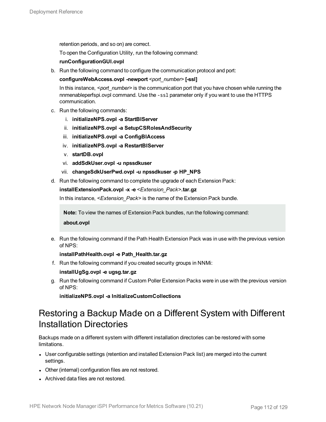retention periods, and so on) are correct.

To open the Configuration Utility, run the following command:

#### **runConfigurationGUI.ovpl**

b. Run the following command to configure the communication protocol and port:

#### **configureWebAccess.ovpl -newport** *<port\_number>* **[-ssl]**

In this instance, *<port\_number>* is the communication port that you have chosen while running the nnmenableperfspi.ovpl command. Use the -ssl parameter only if you want to use the HTTPS communication.

- c. Run the following commands:
	- i. **initializeNPS.ovpl -a StartBIServer**
	- ii. **initializeNPS.ovpl -a SetupCSRolesAndSecurity**
	- iii. **initializeNPS.ovpl -a ConfigBIAccess**
	- iv. **initializeNPS.ovpl -a RestartBIServer**
	- v. **startDB.ovpl**
	- vi. **addSdkUser.ovpl -u npssdkuser**
	- vii. **changeSdkUserPwd.ovpl -u npssdkuser -p HP\_NPS**
- d. Run the following command to complete the upgrade of each Extension Pack:

#### **installExtensionPack.ovpl -x -e** *<Extension\_Pack>***.tar.gz**

In this instance, *<Extension\_Pack>* is the name of the Extension Pack bundle.

**Note:** To view the names of Extension Pack bundles, run the following command:

#### **about.ovpl**

e. Run the following command if the Path Health Extension Pack was in use with the previous version of NPS:

#### **installPathHealth.ovpl -e Path\_Health.tar.gz**

f. Run the following command if you created security groups in NNMi:

**installUgSg.ovpl -e ugsg.tar.gz**

g. Run the following command if Custom Poller Extension Packs were in use with the previous version of NPS:

**initializeNPS.ovpl -a InitializeCustomCollections**

## Restoring a Backup Made on a Different System with Different Installation Directories

Backups made on a different system with different installation directories can be restored with some limitations.

- User configurable settings (retention and installed Extension Pack list) are merged into the current settings.
- Other (internal) configuration files are not restored.
- Archived data files are not restored.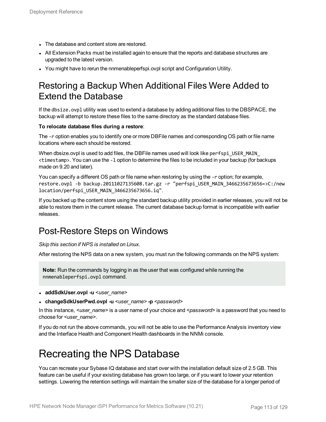- The database and content store are restored.
- All Extension Packs must be installed again to ensure that the reports and database structures are upgraded to the latest version.
- You might have to rerun the nnmenableperfspi.ovpl script and Configuration Utility.

## Restoring a Backup When Additional Files Were Added to Extend the Database

If the dbsize.ovpl utility was used to extend a database by adding additional files to the DBSPACE, the backup will attempt to restore these files to the same directory as the standard database files.

#### **To relocate database files during a restore**:

The -r option enables you to identify one or more DBFile names and corresponding OS path or file name locations where each should be restored.

When dbsize.ovpl is used to add files, the DBFile names used will look like perfspi\_USER\_MAIN <timestamp>. You can use the -l option to determine the files to be included in your backup (for backups made on 9.20 and later).

You can specify a different OS path or file name when restoring by using the -r option; for example, restore.ovpl -b backup.20111027135608.tar.gz -r "perfspi\_USER\_MAIN\_3466235673656=>C:/new location/perfspi\_USER\_MAIN\_3466235673656.iq".

If you backed up the content store using the standard backup utility provided in earlier releases, you will not be able to restore them in the current release. The current database backup format is incompatible with earlier releases.

### Post-Restore Steps on Windows

#### *Skip this section if NPS is installed on Linux.*

After restoring the NPS data on a new system, you must run the following commands on the NPS system:

**Note:** Run the commands by logging in as the user that was configured while running the nnmenableperfspi.ovpl command.

- <sup>l</sup> **addSdkUser.ovpl -u** *<user\_name>*
- <sup>l</sup> **changeSdkUserPwd.ovpl -u** *<user\_name>* **-p** *<password>*

In this instance, *<user\_name>* is a user name of your choice and *<password>* is a password that you need to choose for *<user\_name>*.

If you do not run the above commands, you will not be able to use the Performance Analysis inventory view and the Interface Health and Component Health dashboards in the NNMi console.

## Recreating the NPS Database

You can recreate your Sybase IQ database and start over with the installation default size of 2.5 GB. This feature can be useful if your existing database has grown too large, or if you want to lower your retention settings. Lowering the retention settings will maintain the smaller size of the database for a longer period of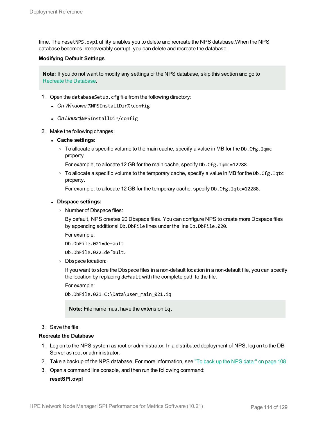time. The resetNPS.ovpl utility enables you to delete and recreate the NPS database.When the NPS database becomes irrecoverably corrupt, you can delete and recreate the database.

#### **Modifying Default Settings**

**Note:** If you do not want to modify any settings of the NPS database, skip this section and go to Recreate the [Database](#page-113-0).

- 1. Open the databaseSetup.cfg file from the following directory:
	- <sup>l</sup> *On Windows:*%NPSInstallDir%\config
	- <sup>l</sup> *On Linux:*\$NPSInstallDir/config

#### 2. Make the following changes:

- <sup>l</sup> **Cache settings:**
	- $\circ$  To allocate a specific volume to the main cache, specify a value in MB for the Db. Cfg. Igmc property.

For example, to allocate 12 GB for the main cache, specify Db.Cfg.Iqmc=12288.

 $\circ$  To allocate a specific volume to the temporary cache, specify a value in MB for the Db.Cfg. Iqtc property.

For example, to allocate 12 GB for the temporary cache, specify Db.Cfg.Iqtc=12288.

#### <sup>l</sup> **Dbspace settings:**

<sup>o</sup> Number of Dbspace files:

By default, NPS creates 20 Dbspace files. You can configure NPS to create more Dbspace files by appending additional Db.DbFile lines under the line Db.DbFile.020.

For example:

Db.DbFile.021=default

Db.DbFile.022=default.

<sup>o</sup> Dbspace location:

If you want to store the Dbspace files in a non-default location in a non-default file, you can specify the location by replacing default with the complete path to the file.

For example:

Db.DbFile.021=C:\Data\user\_main\_021.iq

**Note:** File name must have the extension iq.

#### <span id="page-113-0"></span>3. Save the file.

#### **Recreate the Database**

- 1. Log on to the NPS system as root or administrator. In a distributed deployment of NPS, log on to the DB Server as root or administrator.
- 2. Take a backup of the NPS database. For more information, see "To back up the NPS [data:"](#page-107-0) on page 108
- 3. Open a command line console, and then run the following command:

#### **resetSPI.ovpl**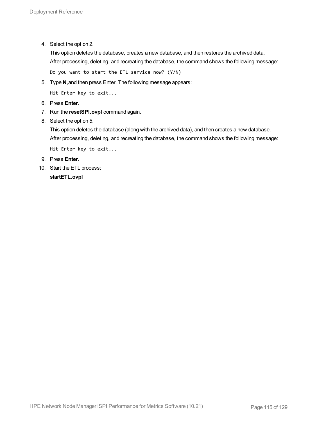4. Select the option 2.

This option deletes the database, creates a new database, and then restores the archived data. After processing, deleting, and recreating the database, the command shows the following message:

Do you want to start the ETL service now? (Y/N)

5. Type **N**,and then press Enter. The following message appears:

Hit Enter key to exit...

- 6. Press **Enter**.
- 7. Run the **resetSPI.ovpl** command again.
- 8. Select the option 5.

This option deletes the database (along with the archived data), and then creates a new database. After processing, deleting, and recreating the database, the command shows the following message:

Hit Enter key to exit...

- 9. Press **Enter**.
- 10. Start the ETL process:

**startETL.ovpl**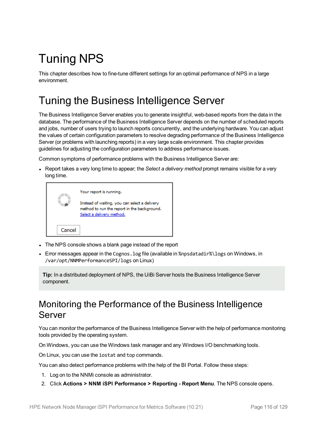## Tuning NPS

This chapter describes how to fine-tune different settings for an optimal performance of NPS in a large environment.

## Tuning the Business Intelligence Server

The Business Intelligence Server enables you to generate insightful, web-based reports from the data in the database. The performance of the Business Intelligence Server depends on the number of scheduled reports and jobs, number of users trying to launch reports concurrently, and the underlying hardware. You can adjust the values of certain configuration parameters to resolve degrading performance of the Business Intelligence Server (or problems with launching reports) in a very large scale environment. This chapter provides guidelines for adjusting the configuration parameters to address performance issues.

Common symptoms of performance problems with the Business Intelligence Server are:

<sup>l</sup> Report takes a very long time to appear; the *Select a delivery method* prompt remains visible for a very long time.

|        | Your report is running.                                                                                                   |
|--------|---------------------------------------------------------------------------------------------------------------------------|
|        | Instead of waiting, you can select a delivery<br>method to run the report in the background.<br>Select a delivery method. |
| Cancel |                                                                                                                           |

- The NPS console shows a blank page instead of the report
- Error messages appear in the Cognos.log file (available in %npsdatadir%\logs on Windows, in /var/opt/NNMPerformanceSPI/logs on Linux)

**Tip:** In a distributed deployment of NPS, the UiBi Server hosts the Business Intelligence Server component.

## Monitoring the Performance of the Business Intelligence Server

You can monitor the performance of the Business Intelligence Server with the help of performance monitoring tools provided by the operating system.

On Windows, you can use the Windows task manager and any Windows I/O benchmarking tools.

On Linux, you can use the iostat and top commands.

You can also detect performance problems with the help of the BI Portal. Follow these steps:

- 1. Log on to the NNMi console as administrator.
- 2. Click **Actions > NNM iSPI Performance > Reporting - Report Menu**. The NPS console opens.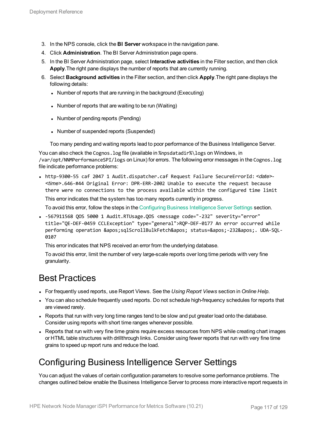- 3. In the NPS console, click the **BI Server** workspace in the navigation pane.
- 4. Click **Administration**. The BI Server Administration page opens.
- 5. In the BI Server Administration page, select **Interactive activities** in the Filter section, and then click **Apply**.The right pane displays the number of reports that are currently running.
- 6. Select **Background activities** in the Filter section, and then click **Apply**.The right pane displays the following details:
	- Number of reports that are running in the background (Executing)
	- Number of reports that are waiting to be run (Waiting)
	- Number of pending reports (Pending)
	- Number of suspended reports (Suspended)

Too many pending and waiting reports lead to poor performance of the Business Intelligence Server.

You can also check the Cognos.log file (available in %npsdatadir%\logs on Windows, in /var/opt/NNMPerformanceSPI/logs on Linux) for errors. The following error messages in the Cognos.log file indicate performance problems:

<sup>l</sup> http-9300-55 caf 2047 1 Audit.dispatcher.caf Request Failure SecureErrorId: *<date>*- *<time>*.646-#44 Original Error: DPR-ERR-2002 Unable to execute the request because there were no connections to the process available within the configured time limit

This error indicates that the system has too many reports currently in progress.

To avoid this error, follow the steps in the Configuring Business [Intelligence](#page-116-0) Server Settings section.

<sup>l</sup> -567911568 QOS 5000 1 Audit.RTUsage.QOS <message code="-232" severity="error" title="QE-DEF-0459 CCLException" type="general">RQP-DEF-0177 An error occurred while performing operation 'sqlScrollBulkFetch' status='-232'. UDA-SQL-**0107** 

This error indicates that NPS received an error from the underlying database.

To avoid this error, limit the number of very large-scale reports over long time periods with very fine granularity.

## Best Practices

- <sup>l</sup> For frequently used reports, use Report Views. See the *Using Report Views* section in *Online Help*.
- You can also schedule frequently used reports. Do not schedule high-frequency schedules for reports that are viewed rarely.
- Reports that run with very long time ranges tend to be slow and put greater load onto the database. Consider using reports with short time ranges whenever possible.
- Reports that run with very fine time grains require excess resources from NPS while creating chart images or HTML table structures with drillthrough links. Consider using fewer reports that run with very fine time grains to speed up report runs and reduce the load.

## <span id="page-116-0"></span>Configuring Business Intelligence Server Settings

You can adjust the values of certain configuration parameters to resolve some performance problems. The changes outlined below enable the Business Intelligence Server to process more interactive report requests in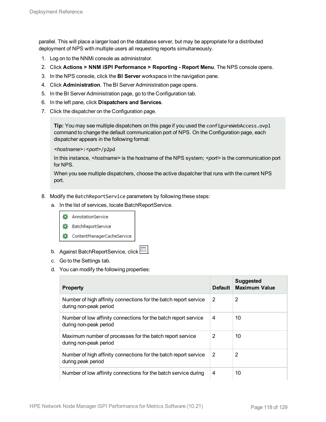parallel. This will place a larger load on the database server, but may be appropriate for a distributed deployment of NPS with multiple users all requesting reports simultaneously.

- 1. Log on to the NNMi console as administrator.
- 2. Click **Actions > NNM iSPI Performance > Reporting - Report Menu**. The NPS console opens.
- 3. In the NPS console, click the **BI Server** workspace in the navigation pane.
- 4. Click **Administration**. The BI Server Administration page opens.
- 5. In the BI Server Administration page, go to the Configuration tab.
- 6. In the left pane, click **Dispatchers and Services**.
- 7. Click the dispatcher on the Configuration page.

**Tip:** You may see multiple dispatchers on this page if you used the configureWebAccess.ovpl command to change the default communication port of NPS. On the Configuration page, each dispatcher appears in the following format:

*<hostname>*:*<port>*/p2pd

In this instance, *<hostname>* is the hostname of the NPS system; *<port>* is the communication port for NPS.

When you see multiple dispatchers, choose the active dispatcher that runs with the current NPS port.

- 8. Modify the BatchReportService parameters by following these steps:
	- a. In the list of services, locate BatchReportService.





- **查** ContentManagerCacheService
- b. Against BatchReportService, click
- c. Go to the Settings tab.

 $\sim$ 

d. You can modify the following properties:

| <b>Property</b>                                                                            | <b>Default</b> | <b>Suggested</b><br><b>Maximum Value</b> |
|--------------------------------------------------------------------------------------------|----------------|------------------------------------------|
| Number of high affinity connections for the batch report service<br>during non-peak period | 2              | 2                                        |
| Number of low affinity connections for the batch report service<br>during non-peak period  | 4              | 10                                       |
| Maximum number of processes for the batch report service<br>during non-peak period         | 2              | 10                                       |
| Number of high affinity connections for the batch report service<br>during peak period     | 2              | 2                                        |
| Number of low affinity connections for the batch service during                            | 4              | 10                                       |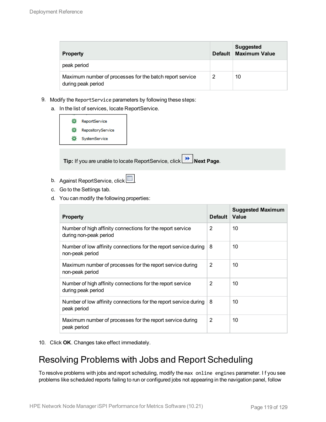| <b>Property</b>                                                                | <b>Default</b> | <b>Suggested</b><br><b>Maximum Value</b> |
|--------------------------------------------------------------------------------|----------------|------------------------------------------|
| peak period                                                                    |                |                                          |
| Maximum number of processes for the batch report service<br>during peak period | 2              | 10                                       |

- 9. Modify the ReportService parameters by following these steps:
	- a. In the list of services, locate ReportService.

| ReportService     |
|-------------------|
| RepositoryService |
| SystemService     |

**Tip:** If you are unable to locate ReportService, click **Next Page**.

- b. Against ReportService, click
- c. Go to the Settings tab.
- d. You can modify the following properties:

| <b>Property</b>                                                                      | <b>Default</b> | <b>Suggested Maximum</b><br>Value |
|--------------------------------------------------------------------------------------|----------------|-----------------------------------|
| Number of high affinity connections for the report service<br>during non-peak period | 2              | 10                                |
| Number of low affinity connections for the report service during<br>non-peak period  | 8              | 10                                |
| Maximum number of processes for the report service during<br>non-peak period         | 2              | 10                                |
| Number of high affinity connections for the report service<br>during peak period     | 2              | 10                                |
| Number of low affinity connections for the report service during<br>peak period      | 8              | 10                                |
| Maximum number of processes for the report service during<br>peak period             | 2              | 10                                |

10. Click **OK**. Changes take effect immediately.

## Resolving Problems with Jobs and Report Scheduling

To resolve problems with jobs and report scheduling, modify the max online engines parameter. I f you see problems like scheduled reports failing to run or configured jobs not appearing in the navigation panel, follow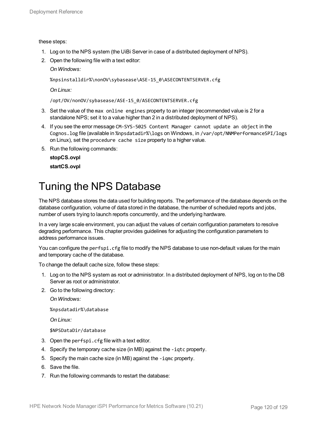these steps:

- 1. Log on to the NPS system (the UiBi Server in case of a distributed deployment of NPS).
- 2. Open the following file with a text editor:

*On Windows:*

%npsinstalldir%\nonOV\sybasease\ASE-15\_0\ASECONTENTSERVER.cfg

*On Linux:*

/opt/OV/nonOV/sybasease/ASE-15\_0/ASECONTENTSERVER.cfg

- 3. Set the value of the max online engines property to an integer (recommended value is 2 for a standalone NPS; set it to a value higher than 2 in a distributed deployment of NPS).
- 4. If you see the error message CM-SYS-5025 Content Manager cannot update an object in the Cognos.log file (available in %npsdatadir%\logs on Windows, in /var/opt/NNMPerformanceSPI/logs on Linux), set the procedure cache size property to a higher value.
- 5. Run the following commands:

**stopCS.ovpl startCS.ovpl**

## Tuning the NPS Database

The NPS database stores the data used for building reports. The performance of the database depends on the database configuration, volume of data stored in the database, the number of scheduled reports and jobs, number of users trying to launch reports concurrently, and the underlying hardware.

In a very large scale environment, you can adjust the values of certain configuration parameters to resolve degrading performance. This chapter provides guidelines for adjusting the configuration parameters to address performance issues.

You can configure the perfspi.cfg file to modify the NPS database to use non-default values for the main and temporary cache of the database.

To change the default cache size, follow these steps:

- 1. Log on to the NPS system as root or administrator. In a distributed deployment of NPS, log on to the DB Server as root or administrator.
- 2. Go to the following directory:

*On Windows:*

%npsdatadir%\database

*On Linux:*

\$NPSDataDir/database

- 3. Open the perfspi.cfg file with a text editor.
- 4. Specify the temporary cache size (in MB) against the -iqtc property.
- 5. Specify the main cache size (in MB) against the -iqmc property.
- 6. Save the file.
- 7. Run the following commands to restart the database: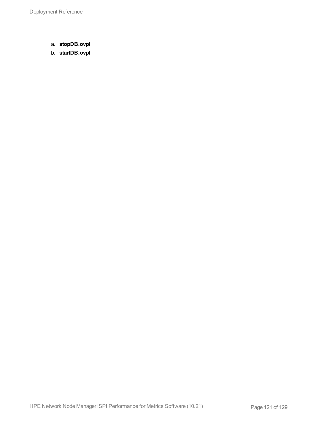- a. **stopDB.ovpl**
- b. **startDB.ovpl**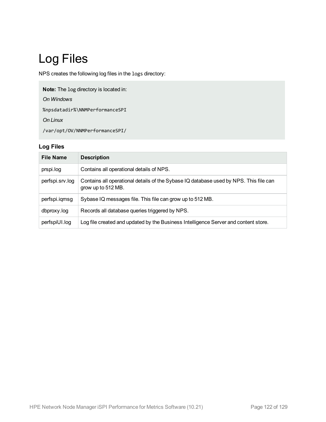## Log Files

NPS creates the following log files in the logs directory:

**Note:** The log directory is located in:

#### *On Windows*

%npsdatadir%\NNMPerformanceSPI

*On Linux*

/var/opt/OV/NNMPerformanceSPI/

#### **Log Files**

| <b>File Name</b> | <b>Description</b>                                                                                          |
|------------------|-------------------------------------------------------------------------------------------------------------|
| prspi.log        | Contains all operational details of NPS.                                                                    |
| perfspi.srv.log  | Contains all operational details of the Sybase IQ database used by NPS. This file can<br>grow up to 512 MB. |
| perfspi.igmsg    | Sybase IQ messages file. This file can grow up to 512 MB.                                                   |
| dbproxy.log      | Records all database queries triggered by NPS.                                                              |
| perfspiUI.log    | Log file created and updated by the Business Intelligence Server and content store.                         |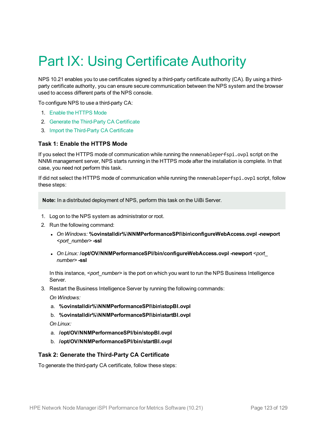# Part IX: Using Certificate Authority

NPS 10.21 enables you to use certificates signed by a third-party certificate authority (CA). By using a thirdparty certificate authority, you can ensure secure communication between the NPS system and the browser used to access different parts of the NPS console.

To configure NPS to use a third-party CA:

- 1. Enable the [HTTPS](#page-122-0) Mode
- 2. Generate the [Third-Party](#page-122-1) CA Certificate
- <span id="page-122-0"></span>3. Import the [Third-Party](#page-124-0) CA Certificate

#### **Task 1: Enable the HTTPS Mode**

If you select the HTTPS mode of communication while running the nnmenableperfspi.ovpl script on the NNMi management server, NPS starts running in the HTTPS mode after the installation is complete. In that case, you need not perform this task.

If did not select the HTTPS mode of communication while running the nnmenableperfspi.ovpl script, follow these steps:

**Note:** In a distributed deployment of NPS, perform this task on the UiBi Server.

- 1. Log on to the NPS system as administrator or root.
- 2. Run the following command:
	- <sup>l</sup> *On Windows:* **%ovinstalldir%\NNMPerformanceSPI\bin\configureWebAccess.ovpl -newport** *<port\_number>* **-ssl**
	- <sup>l</sup> *On Linux:* **/opt/OV/NNMPerformanceSPI/bin/configureWebAccess.ovpl -newport** *<port\_ number>* **-ssl**

In this instance, *<port\_number>* is the port on which you want to run the NPS Business Intelligence Server.

3. Restart the Business Intelligence Server by running the following commands:

*On Windows:*

- a. **%ovinstalldir%\NNMPerformanceSPI\bin\stopBI.ovpl**
- b. **%ovinstalldir%\NNMPerformanceSPI\bin\startBI.ovpl**
- *On Linux:*
- a. **/opt/OV/NNMPerformanceSPI/bin/stopBI.ovpl**
- b. **/opt/OV/NNMPerformanceSPI/bin/startBI.ovpl**

#### <span id="page-122-1"></span>**Task 2: Generate the Third-Party CA Certificate**

To generate the third-party CA certificate, follow these steps: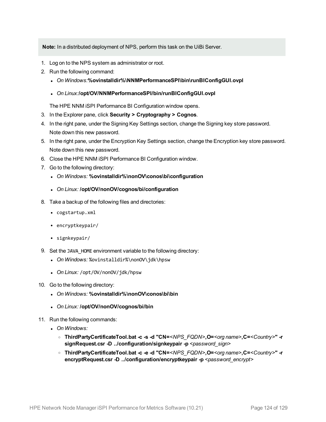**Note:** In a distributed deployment of NPS, perform this task on the UiBi Server.

- 1. Log on to the NPS system as administrator or root.
- 2. Run the following command:
	- <sup>l</sup> *On Windows:***%ovinstalldir%\NNMPerformanceSPI\bin\runBIConfigGUI.ovpl**
	- <sup>l</sup> *On Linux:***/opt/OV/NNMPerformanceSPI/bin/runBIConfigGUI.ovpl**

The HPE NNM iSPI Performance BI Configuration window opens.

- <span id="page-123-0"></span>3. In the Explorer pane, click **Security > Cryptography > Cognos**.
- 4. In the right pane, under the Signing Key Settings section, change the Signing key store password. Note down this new password.
- <span id="page-123-1"></span>5. In the right pane, under the Encryption Key Settings section, change the Encryption key store password. Note down this new password.
- 6. Close the HPE NNM iSPI Performance BI Configuration window.
- 7. Go to the following directory:
	- <sup>l</sup> *On Windows:* **%ovinstalldir%\nonOV\conos\bi\configuration**
	- <sup>l</sup> *On Linux:* **/opt/OV/nonOV/cognos/bi/configuration**
- 8. Take a backup of the following files and directories:
	- cogstartup.xml
	- encryptkeypair/
	- $\cdot$  signkeypair/
- <span id="page-123-2"></span>9. Set the JAVA HOME environment variable to the following directory:
	- <sup>l</sup> *On Windows:* %ovinstalldir%\nonOV\jdk\hpsw
	- <sup>l</sup> *On Linux:* /opt/OV/nonOV/jdk/hpsw
- 10. Go to the following directory:
	- <sup>l</sup> *On Windows:* **%ovinstalldir%\nonOV\conos\bi\bin**
	- <sup>l</sup> *On Linux:* **/opt/OV/nonOV/cognos/bi/bin**
- 11. Run the following commands:
	- <sup>l</sup> *On Windows:*
		- <sup>o</sup> **ThirdPartyCertificateTool.bat -c -s -d "CN=***<NPS\_FQDN>***,O=***<org name>***,C=***<Country>***" -r signRequest.csr -D ../configuration/signkeypair -p** *<password\_sign>*
		- <sup>o</sup> **ThirdPartyCertificateTool.bat -c -e -d "CN=***<NPS\_FQDN>***,O=***<org name>***,C=***<Country>***" -r encryptRequest.csr -D ../configuration/encryptkeypair -p** *<password\_encrypt>*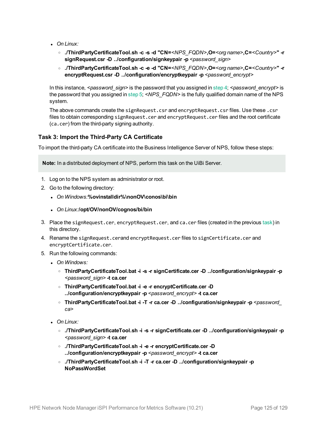- <sup>l</sup> *On Linux:*
	- <sup>o</sup> **./ThirdPartyCertificateTool.sh -c -s -d "CN=***<NPS\_FQDN>***,O=***<org name>***,C=***<Country>***" -r signRequest.csr -D ../configuration/signkeypair -p** *<password\_sign>*
	- <sup>o</sup> **./ThirdPartyCertificateTool.sh -c -e -d "CN=***<NPS\_FQDN>***,O=***<org name>***,C=***<Country>***" -r encryptRequest.csr -D ../configuration/encryptkeypair -p** *<password\_encrypt>*

In this instance, *<password\_sign>* is the password that you assigned in [step](#page-123-0) 4; *<password\_encrypt>* is the password that you assigned in [step](#page-123-1) 5; <*NPS FQDN*> is the fully qualified domain name of the NPS system.

The above commands create the signRequest.csr and encryptRequest.csr files. Use these .csr files to obtain corresponding signRequest.cer and encryptRequest.cer files and the root certificate (ca.cer) from the third-party signing authority.

#### <span id="page-124-0"></span>**Task 3: Import the Third-Party CA Certificate**

To import the third-party CA certificate into the Business Intelligence Server of NPS, follow these steps:

**Note:** In a distributed deployment of NPS, perform this task on the UiBi Server.

- 1. Log on to the NPS system as administrator or root.
- 2. Go to the following directory:
	- <sup>l</sup> *On Windows:***%ovinstalldir%\nonOV\conos\bi\bin**
	- <sup>l</sup> *On Linux:***/opt/OV/nonOV/cognos/bi/bin**
- 3. Place the signRequest.cer, encryptRequest.cer, and ca.cer files (created in the previous [task](#page-122-1)) in this directory.
- 4. Rename the signRequest.cerand encryptRequest.cer files to signCertificate.cer and encryptCertificate.cer.
- 5. Run the following commands:
	- <sup>l</sup> *On Windows:*
		- <sup>o</sup> **ThirdPartyCertificateTool.bat -i -s -r signCertificate.cer -D ../configuration/signkeypair -p** *<password\_sign>* **-t ca.cer**
		- <sup>o</sup> **ThirdPartyCertificateTool.bat -i -e -r encryptCertificate.cer -D ../configuration/encryptkeypair -p** *<password\_encrypt>* **-t ca.cer**
		- <sup>o</sup> **ThirdPartyCertificateTool.bat -i -T -r ca.cer -D ../configuration/signkeypair -p** *<password\_ ca>*
	- <sup>l</sup> *On Linux:*
		- <sup>o</sup> **./ThirdPartyCertificateTool.sh -i -s -r signCertificate.cer -D ../configuration/signkeypair -p** *<password\_sign>* **-t ca.cer**
		- <sup>o</sup> **./ThirdPartyCertificateTool.sh -i -e -r encryptCertificate.cer -D ../configuration/encryptkeypair -p** *<password\_encrypt>* **-t ca.cer**
		- <sup>o</sup> **./ThirdPartyCertificateTool.sh -i -T -r ca.cer -D ../configuration/signkeypair -p NoPassWordSet**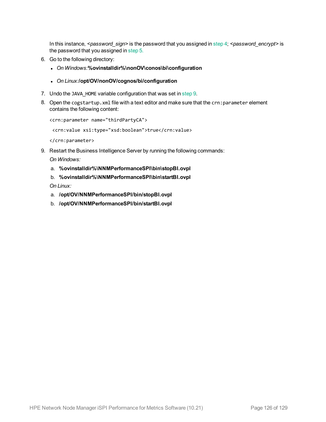In this instance, *<password\_sign>* is the password that you assigned in [step](#page-123-0) 4; *<password\_encrypt>* is the password that you assigned in [step](#page-123-1) 5.

- 6. Go to the following directory:
	- <sup>l</sup> *On Windows:***%ovinstalldir%\nonOV\conos\bi\configuration**
	- <sup>l</sup> *On Linux:***/opt/OV/nonOV/cognos/bi/configuration**
- 7. Undo the JAVA HOME variable configuration that was set in [step](#page-123-2) 9.
- 8. Open the cogstartup.xml file with a text editor and make sure that the crn:parameter element contains the following content:

```
<crn:parameter name="thirdPartyCA">
```

```
<crn:value xsi:type="xsd:boolean">true</crn:value>
```
</crn:parameter>

9. Restart the Business Intelligence Server by running the following commands:

*On Windows:*

- a. **%ovinstalldir%\NNMPerformanceSPI\bin\stopBI.ovpl**
- b. **%ovinstalldir%\NNMPerformanceSPI\bin\startBI.ovpl**

*On Linux:*

- a. **/opt/OV/NNMPerformanceSPI/bin/stopBI.ovpl**
- b. **/opt/OV/NNMPerformanceSPI/bin/startBI.ovpl**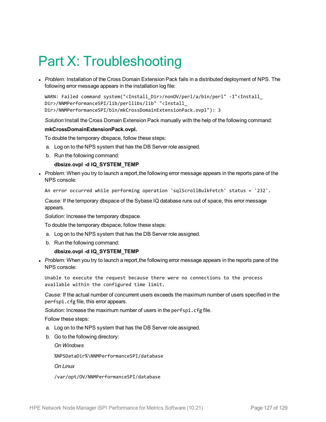# Part X: Troubleshooting

• Problem: Installation of the Cross Domain Extension Pack fails in a distributed deployment of NPS. The following error message appears in the installation log file:

```
WARN: Failed command system("<Install_Dir>/nonOV/perl/a/bin/perl" -I"<Install_
Dir>/NNMPerformanceSPI/lib/perllibs/lib" "<Install_
Dir>/NNMPerformanceSPI/bin/mkCrossDomainExtensionPack.ovpl"): 3
```
*Solution:*Install the Cross Domain Extension Pack manually with the help of the following command:

#### **mkCrossDomainExtensionPack.ovpl.**

To double the temporary dbspace, follow these steps:

- a. Log on to the NPS system that has the DB Server role assigned.
- b. Run the following command:

#### **dbsize.ovpl -d IQ\_SYSTEM\_TEMP**

• Problem: When you try to launch a report, the following error message appears in the reports pane of the NPS console:

An error occurred while performing operation 'sqlScrollBulkFetch' status = '232'.

*Cause:* If the temporary dbspace of the Sybase IQ database runs out of space, this error message appears.

*Solution:* Increase the temporary dbspace.

To double the temporary dbspace, follow these steps:

- a. Log on to the NPS system that has the DB Server role assigned.
- b. Run the following command:

#### **dbsize.ovpl -d IQ\_SYSTEM\_TEMP**

• Problem: When you try to launch a report, the following error message appears in the reports pane of the NPS console:

Unable to execute the request because there were no connections to the process available within the configured time limit.

*Cause:* If the actual number of concurrent users exceeds the maximum number of users specified in the perfspi.cfg file, this error appears.

*Solution:* Increase the maximum number of users in the perfspi.cfg file.

Follow these steps:

- a. Log on to the NPS system that has the DB Server role assigned.
- b. Go to the following directory:

*On Windows*

%NPSDataDir%\NNMPerformanceSPI/database

*On Linux*

/var/opt/OV/NNMPerformanceSPI/database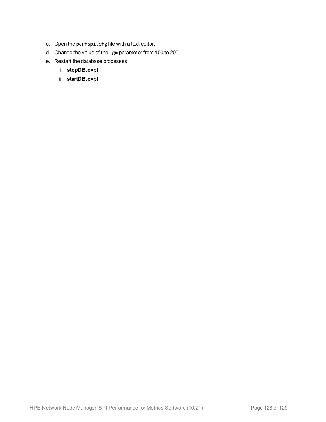- c. Open the perfspi.cfg file with a text editor.
- d. Change the value of the -gm parameter from 100 to 200.
- e. Restart the database processes:
	- i. **stopDB.ovpl**
	- ii. **startDB.ovpl**